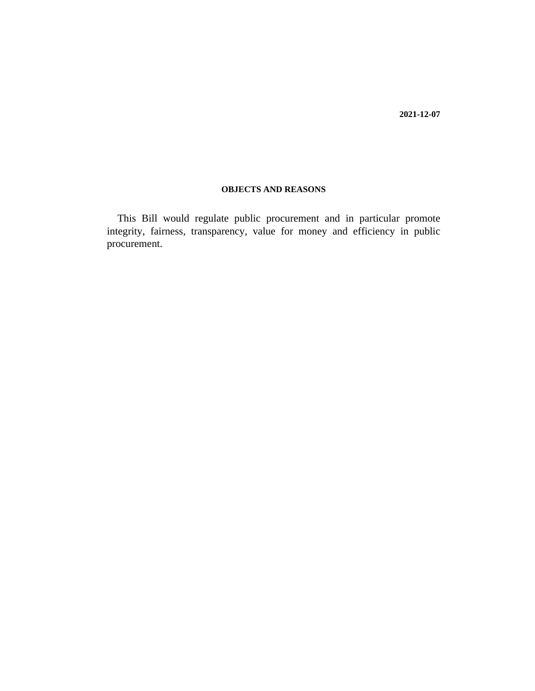**2021-12-07**

# **OBJECTS AND REASONS**

This Bill would regulate public procurement and in particular promote integrity, fairness, transparency, value for money and efficiency in public procurement.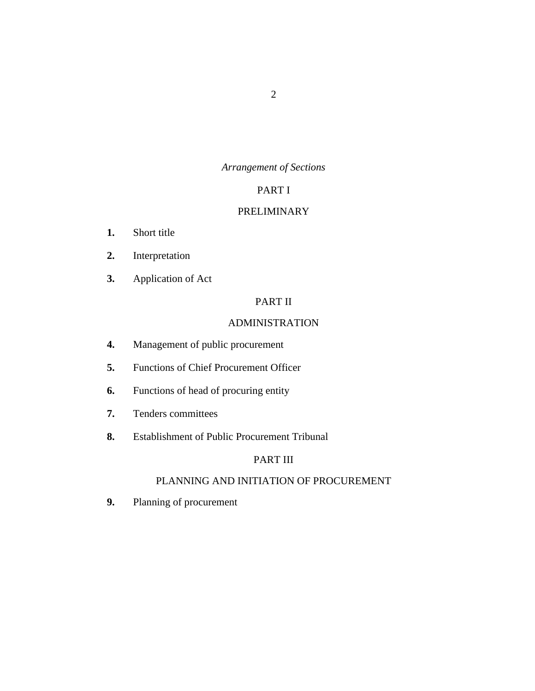# *Arrangement of Sections*

# PART I

# [PRELIMINARY](#page-11-0)

- [Short title](#page-11-0) **1.**
- [Interpretation](#page-11-0) **2.**
- [Application of Act](#page-15-0) **3.**

# PART II

# [ADMINISTRATION](#page-16-0)

- [Management of public procurement](#page-16-0) **4.**
- [Functions of Chief Procurement Officer](#page-16-0) **5.**
- [Functions of head of procuring entity](#page-17-0) **6.**
- [Tenders committees](#page-18-0) **7.**
- [Establishment of Public Procurement Tribunal](#page-19-0) **8.**

## PART III

# [PLANNING AND INITIATION OF PROCUREMENT](#page-19-0)

[Planning of procurement](#page-19-0) **9.**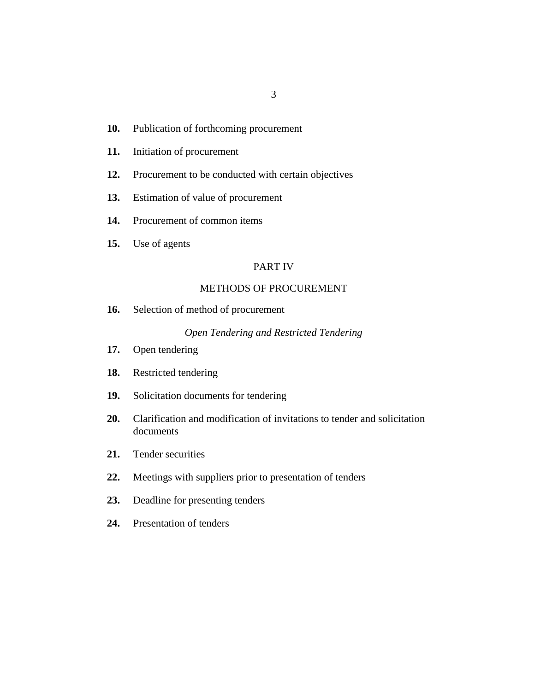- 3
- [Publication of forthcoming procurement](#page-20-0) **10.**
- [Initiation of procurement](#page-21-0) **11.**
- [Procurement to be conducted with certain objectives](#page-21-0) **12.**
- [Estimation of value of procurement](#page-21-0) **13.**
- [Procurement of common items](#page-22-0) **14.**
- [Use of agents](#page-23-0) **15.**

## PART IV

# [METHODS OF PROCUREMENT](#page-23-0)

[Selection of method of procurement](#page-23-0) **16.**

## *[Open Tendering and Restricted Tendering](#page-24-0)*

- [Open tendering](#page-24-0) **17.**
- [Restricted tendering](#page-25-0) **18.**
- [Solicitation documents for tendering](#page-26-0) **19.**
- [Clarification and modification of invitations to tender and solicitation](#page-28-0) documents **20.**
- [Tender securities](#page-29-0) **21.**
- [Meetings with suppliers prior to presentation of tenders](#page-30-0) **22.**
- [Deadline for presenting tenders](#page-31-0) **23.**
- [Presentation of tenders](#page-31-0) **24.**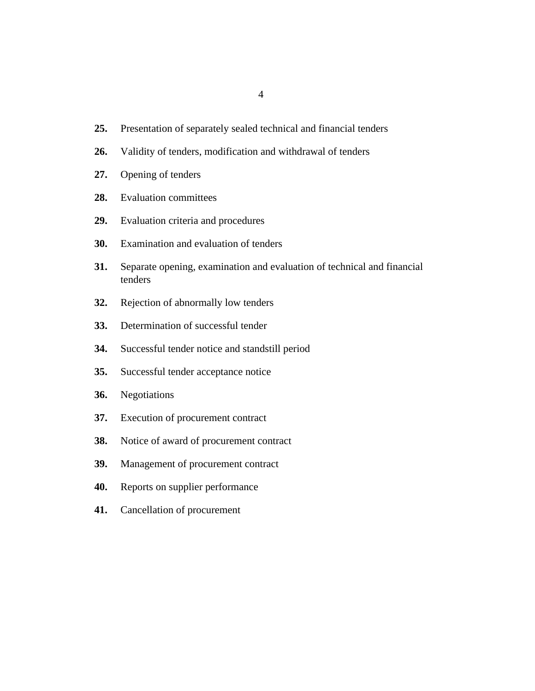- [Presentation of separately sealed technical and financial tenders](#page-32-0) **25.**
- [Validity of tenders, modification and withdrawal of tenders](#page-32-0) **26.**
- [Opening of tenders](#page-33-0) **27.**
- [Evaluation committees](#page-34-0) **28.**
- [Evaluation criteria and procedures](#page-35-0) **29.**
- [Examination and evaluation of tenders](#page-36-0) **30.**
- [Separate opening, examination and evaluation of technical and financial](#page-39-0) tenders **31.**
- [Rejection of abnormally low tenders](#page-40-0) **32.**
- [Determination of successful tender](#page-41-0) **33.**
- [Successful tender notice and standstill period](#page-42-0) **34.**
- [Successful tender acceptance notice](#page-43-0) **35.**
- [Negotiations](#page-43-0) **36.**
- [Execution of procurement contract](#page-44-0) **37.**
- [Notice of award of procurement contract](#page-45-0) **38.**
- [Management of procurement contract](#page-45-0) **39.**
- [Reports on supplier performance](#page-46-0) **40.**
- [Cancellation of procurement](#page-47-0) **41.**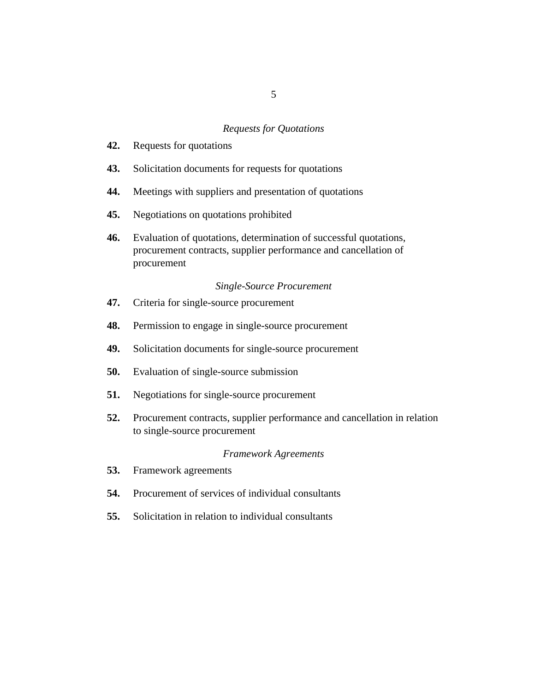#### *[Requests for Quotations](#page-48-0)*

- [Requests for quotations](#page-48-0) **42.**
- [Solicitation documents for requests for quotations](#page-49-0) **43.**
- [Meetings with suppliers and presentation of quotations](#page-50-0) **44.**
- [Negotiations on quotations prohibited](#page-51-0) **45.**
- [Evaluation of quotations, determination of successful quotations,](#page-51-0) procurement contracts, supplier performance and cancellation of procurement **46.**

#### *[Single-Source Procurement](#page-51-0)*

- [Criteria for single-source procurement](#page-51-0) **47.**
- [Permission to engage in single-source procurement](#page-52-0) **48.**
- [Solicitation documents for single-source procurement](#page-53-0) **49.**
- [Evaluation of single-source submission](#page-54-0) **50.**
- [Negotiations for single-source procurement](#page-54-0) **51.**
- [Procurement contracts, supplier performance and cancellation in relation](#page-55-0) to single-source procurement **52.**

#### *[Framework Agreements](#page-55-0)*

- [Framework agreements](#page-55-0) **53.**
- [Procurement of services of individual consultants](#page-56-0) **54.**
- [Solicitation in relation to individual consultants](#page-56-0) **55.**

5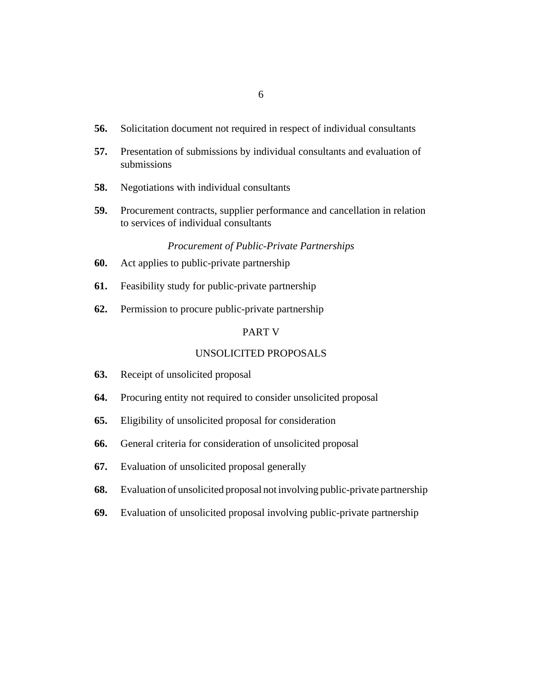- [Solicitation document not required in respect of individual consultants](#page-57-0) **56.**
- [Presentation of submissions by individual consultants and evaluation of](#page-57-0) submissions **57.**
- [Negotiations with individual consultants](#page-58-0) **58.**
- [Procurement contracts, supplier performance and cancellation in relation](#page-58-0) to services of individual consultants **59.**

## *[Procurement of Public-Private Partnerships](#page-58-0)*

- [Act applies to public-private partnership](#page-58-0) **60.**
- [Feasibility study for public-private partnership](#page-58-0) **61.**
- [Permission to procure public-private partnership](#page-60-0) **62.**

## PART V

#### [UNSOLICITED PROPOSALS](#page-60-0)

- [Receipt of unsolicited proposal](#page-60-0) **63.**
- [Procuring entity not required to consider unsolicited proposal](#page-61-0) **64.**
- [Eligibility of unsolicited proposal for consideration](#page-61-0) **65.**
- [General criteria for consideration of unsolicited proposal](#page-63-0) **66.**
- [Evaluation of unsolicited proposal generally](#page-63-0) **67.**
- [Evaluation of unsolicited proposal not involving public-private partnership](#page-64-0) **68.**
- [Evaluation of unsolicited proposal involving public-private partnership](#page-64-0) **69.**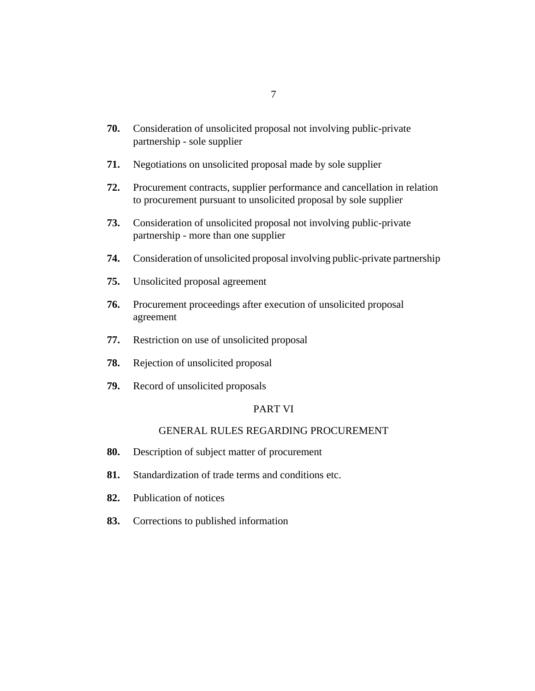- [Consideration of unsolicited proposal not involving public-private](#page-64-0) partnership - sole supplier **70.**
- [Negotiations on unsolicited proposal made by sole supplier](#page-66-0) **71.**
- [Procurement contracts, supplier performance and cancellation in relation](#page-66-0) to procurement pursuant to unsolicited proposal by sole supplier **72.**
- [Consideration of unsolicited proposal not involving public-private](#page-66-0) partnership - more than one supplier **73.**
- [Consideration of unsolicited proposal involving public-private partnership](#page-67-0) **74.**
- [Unsolicited proposal agreement](#page-68-0) **75.**
- [Procurement proceedings after execution of unsolicited proposal](#page-69-0) agreement **76.**
- [Restriction on use of unsolicited proposal](#page-70-0) **77.**
- [Rejection of unsolicited proposal](#page-71-0) **78.**
- [Record of unsolicited proposals](#page-71-0) **79.**

# PART VI

## [GENERAL RULES REGARDING PROCUREMENT](#page-72-0)

- [Description of subject matter of procurement](#page-72-0) **80.**
- [Standardization of trade terms and conditions etc.](#page-73-0) **81.**
- [Publication of notices](#page-73-0) **82.**
- [Corrections to published information](#page-74-0) **83.**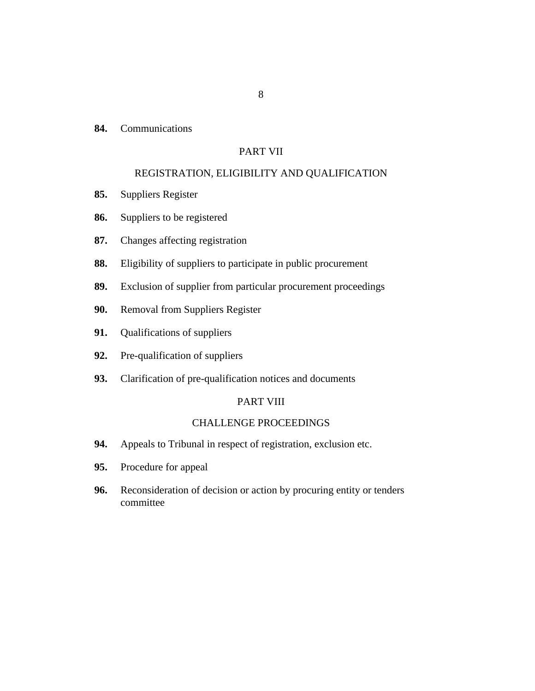**[Communications](#page-74-0) 84.**

# PART VII

## [REGISTRATION, ELIGIBILITY AND QUALIFICATION](#page-76-0)

- [Suppliers Register](#page-76-0) **85.**
- [Suppliers to be registered](#page-78-0) **86.**
- [Changes affecting registration](#page-79-0) **87.**
- [Eligibility of suppliers to participate in public procurement](#page-79-0) **88.**
- [Exclusion of supplier from particular procurement proceedings](#page-82-0) **89.**
- [Removal from Suppliers Register](#page-82-0) **90.**
- [Qualifications of suppliers](#page-83-0) **91.**
- [Pre-qualification of suppliers](#page-84-0) **92.**
- [Clarification of pre-qualification notices and documents](#page-86-0) **93.**

#### PART VIII

# [CHALLENGE PROCEEDINGS](#page-88-0)

- [Appeals to Tribunal in respect of registration, exclusion etc.](#page-88-0) **94.**
- [Procedure for appeal](#page-88-0) **95.**
- [Reconsideration of decision or action by procuring entity or tenders](#page-89-0) committee **96.**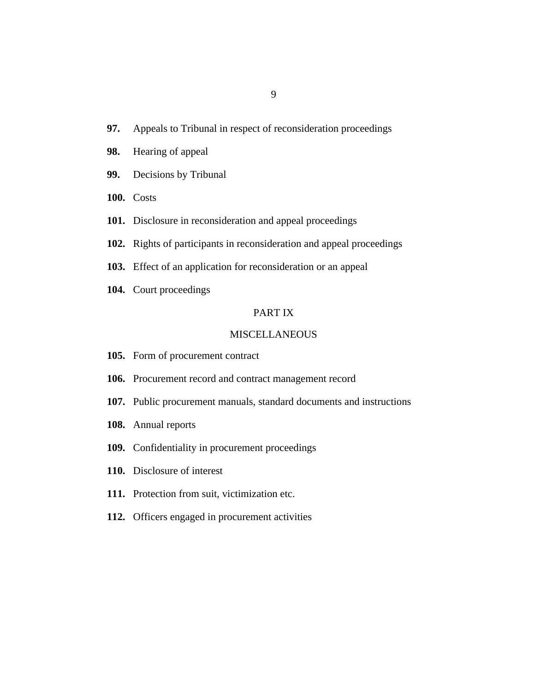- [Appeals to Tribunal in respect of reconsideration proceedings](#page-91-0) **97.**
- [Hearing of appeal](#page-93-0) **98.**
- [Decisions by Tribunal](#page-94-0) **99.**
- 100. [Costs](#page-95-0)
- 101. [Disclosure in reconsideration and appeal proceedings](#page-95-0)
- 102. [Rights of participants in reconsideration and appeal proceedings](#page-96-0)
- 103. [Effect of an application for reconsideration or an appeal](#page-96-0)
- 104. [Court proceedings](#page-97-0)

## PART IX

#### [MISCELLANEOUS](#page-98-0)

- 105. [Form of procurement contract](#page-98-0)
- 106. [Procurement record and contract management record](#page-99-0)
- 107. [Public procurement manuals, standard documents and instructions](#page-102-0)
- [Annual reports](#page-102-0) **108.**
- 109. [Confidentiality in procurement proceedings](#page-103-0)
- 110. [Disclosure of interest](#page-104-0)
- 111. [Protection from suit, victimization etc.](#page-105-0)
- 112. [Officers engaged in procurement activities](#page-105-0)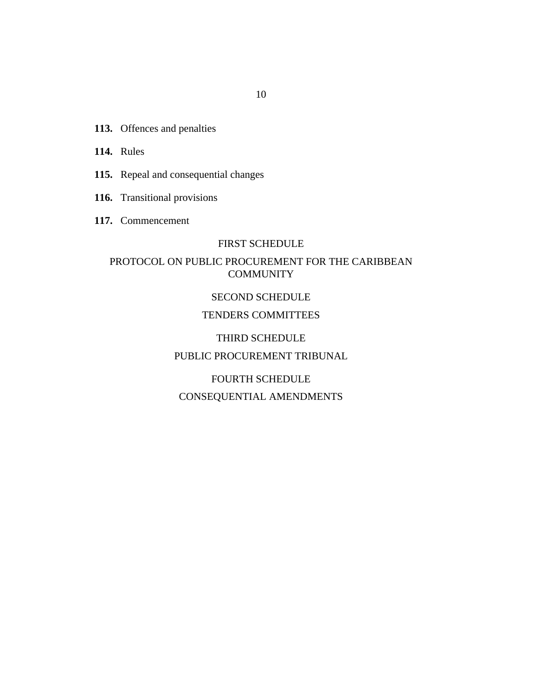- 113. [Offences and penalties](#page-106-0)
- 114. [Rules](#page-107-0)
- 115. [Repeal and consequential changes](#page-107-0)
- 116. [Transitional provisions](#page-107-0)
- [Commencement](#page-108-0) **117.**

## FIRST SCHEDULE

# PROTOCOL ON PUBLIC PROCUREMENT FOR THE CARIBBEAN **COMMUNITY**

## SECOND SCHEDULE

# [TENDERS COMMITTEES](#page-155-0)

# THIRD SCHEDULE

# [PUBLIC PROCUREMENT TRIBUNAL](#page-161-0)

# FOURTH SCHEDULE CONSEQUENTIAL AMENDMENTS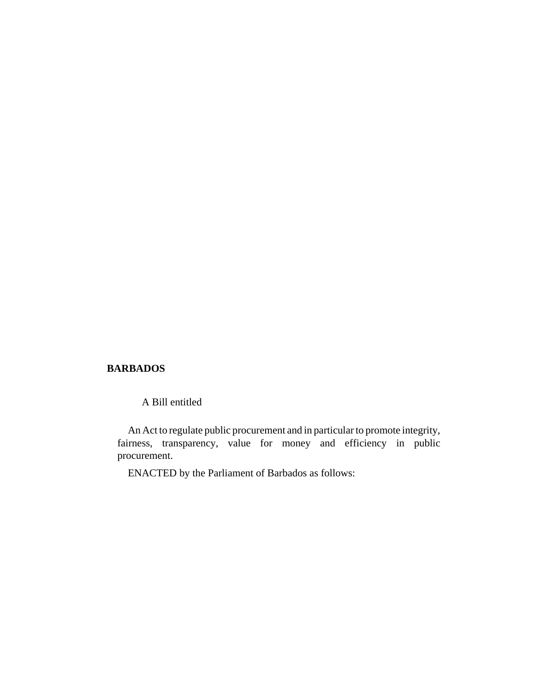#### **BARBADOS**

A Bill entitled

An Act to regulate public procurement and in particular to promote integrity, fairness, transparency, value for money and efficiency in public procurement.

ENACTED by the Parliament of Barbados as follows: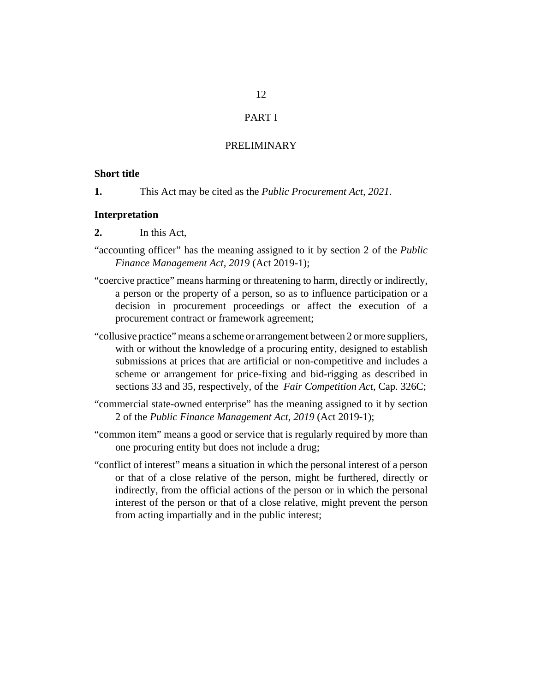# PART I

#### PRELIMINARY

### <span id="page-11-0"></span>**Short title**

This Act may be cited as the *Public Procurement Act, 2021*. **1.**

#### **Interpretation**

- In this Act, **2.**
- "accounting officer" has the meaning assigned to it by section 2 of the *[Public](http://barbadosparliament-laws.com/en/showdoc/cs/2019_1) [Finance Management Act, 2019](http://barbadosparliament-laws.com/en/showdoc/cs/2019_1)* (Act 2019-1);
- "coercive practice" means harming or threatening to harm, directly or indirectly, a person or the property of a person, so as to influence participation or a decision in procurement proceedings or affect the execution of a procurement contract or framework agreement;
- "collusive practice" means a scheme or arrangement between 2 or more suppliers, with or without the knowledge of a procuring entity, designed to establish submissions at prices that are artificial or non-competitive and includes a scheme or arrangement for price-fixing and bid-rigging as described in sections 33 and 35, respectively, of the *[Fair Competition Act](http://barbadosparliament-laws.com/en/showdoc/cs/326C;)*, Cap. 326C;
- "commercial state-owned enterprise" has the meaning assigned to it by section 2 of the *[Public Finance Management Act, 2019](http://barbadosparliament-laws.com/en/showdoc/cs/2019_1)* (Act 2019-1);
- "common item" means a good or service that is regularly required by more than one procuring entity but does not include a drug;
- "conflict of interest" means a situation in which the personal interest of a person or that of a close relative of the person, might be furthered, directly or indirectly, from the official actions of the person or in which the personal interest of the person or that of a close relative, might prevent the person from acting impartially and in the public interest;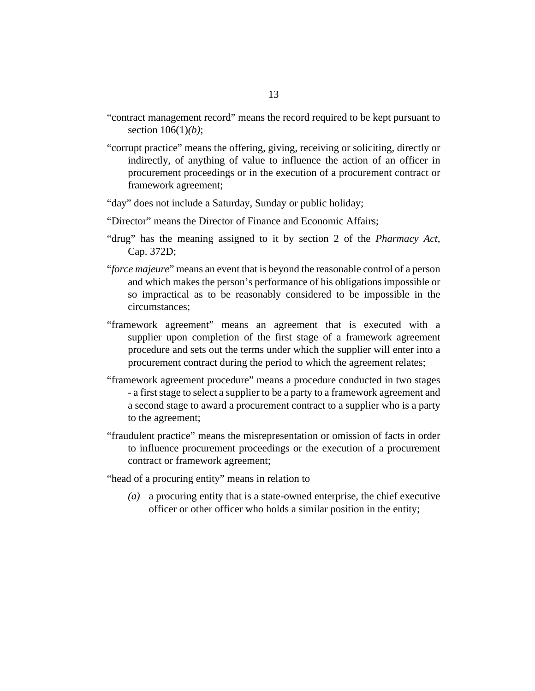- "contract management record" means the record required to be kept pursuant to [section 106](#page-99-0)(1)*(b)*;
- "corrupt practice" means the offering, giving, receiving or soliciting, directly or indirectly, of anything of value to influence the action of an officer in procurement proceedings or in the execution of a procurement contract or framework agreement;
- "day" does not include a Saturday, Sunday or public holiday;
- "Director" means the Director of Finance and Economic Affairs;
- "drug" has the meaning assigned to it by section 2 of the *[Pharmacy Act](http://barbadosparliament-laws.com/en/showdoc/cs/372D)*, [Cap. 372D](http://barbadosparliament-laws.com/en/showdoc/cs/372D);
- "*force majeure*" means an event that is beyond the reasonable control of a person and which makes the person's performance of his obligations impossible or so impractical as to be reasonably considered to be impossible in the circumstances;
- "framework agreement" means an agreement that is executed with a supplier upon completion of the first stage of a framework agreement procedure and sets out the terms under which the supplier will enter into a procurement contract during the period to which the agreement relates;
- "framework agreement procedure" means a procedure conducted in two stages - a first stage to select a supplier to be a party to a framework agreement and a second stage to award a procurement contract to a supplier who is a party to the agreement;
- "fraudulent practice" means the misrepresentation or omission of facts in order to influence procurement proceedings or the execution of a procurement contract or framework agreement;

"head of a procuring entity" means in relation to

a procuring entity that is a state-owned enterprise, the chief executive *(a)* officer or other officer who holds a similar position in the entity;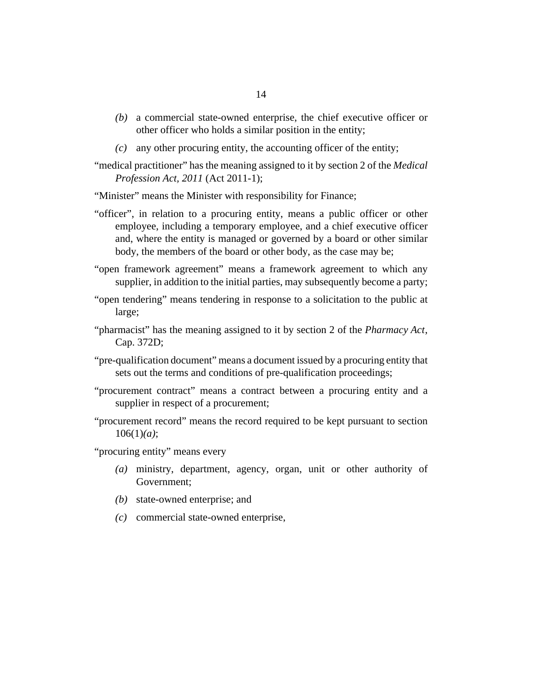- a commercial state-owned enterprise, the chief executive officer or *(b)* other officer who holds a similar position in the entity;
- any other procuring entity, the accounting officer of the entity; *(c)*
- "medical practitioner" has the meaning assigned to it by section 2 of the *[Medical](http://barbadosparliament-laws.com/en/showdoc/cs/2011_1) [Profession Act, 2011](http://barbadosparliament-laws.com/en/showdoc/cs/2011_1)* (Act 2011-1);
- "Minister" means the Minister with responsibility for Finance;
- "officer", in relation to a procuring entity, means a public officer or other employee, including a temporary employee, and a chief executive officer and, where the entity is managed or governed by a board or other similar body, the members of the board or other body, as the case may be;
- "open framework agreement" means a framework agreement to which any supplier, in addition to the initial parties, may subsequently become a party;
- "open tendering" means tendering in response to a solicitation to the public at large;
- "pharmacist" has the meaning assigned to it by section 2 of the *[Pharmacy Act](http://barbadosparliament-laws.com/en/showdoc/cs/372D)*, [Cap. 372D;](http://barbadosparliament-laws.com/en/showdoc/cs/372D)
- "pre-qualification document" means a document issued by a procuring entity that sets out the terms and conditions of pre-qualification proceedings;
- "procurement contract" means a contract between a procuring entity and a supplier in respect of a procurement;
- "procurement record" means the record required to be kept pursuant to [section](#page-99-0) [106](#page-99-0)(1)*(a)*;

"procuring entity" means every

- ministry, department, agency, organ, unit or other authority of *(a)* Government;
- (b) state-owned enterprise; and
- commercial state-owned enterprise, *(c)*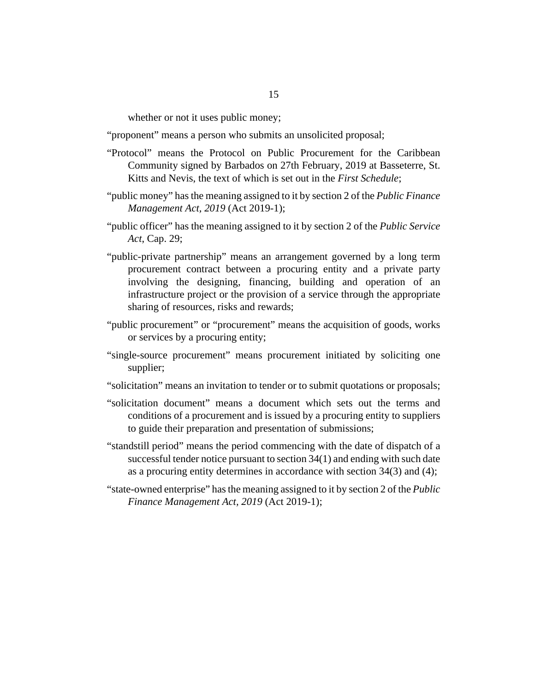whether or not it uses public money;

- "proponent" means a person who submits an unsolicited proposal;
- "Protocol" means the Protocol on Public Procurement for the Caribbean Community signed by Barbados on 27th February, 2019 at Basseterre, St. Kitts and Nevis, the text of which is set out in the *First Schedule*;
- "public money" has the meaning assigned to it by section 2 of the *[Public Finance](http://barbadosparliament-laws.com/en/showdoc/cs/2019_1) [Management Act, 2019](http://barbadosparliament-laws.com/en/showdoc/cs/2019_1)* (Act 2019-1);
- "public officer" has the meaning assigned to it by section 2 of the *[Public Service](http://barbadosparliament-laws.com/en/showdoc/cs/29;) Act*[, Cap. 29;](http://barbadosparliament-laws.com/en/showdoc/cs/29;)
- "public-private partnership" means an arrangement governed by a long term procurement contract between a procuring entity and a private party involving the designing, financing, building and operation of an infrastructure project or the provision of a service through the appropriate sharing of resources, risks and rewards;
- "public procurement" or "procurement" means the acquisition of goods, works or services by a procuring entity;
- "single-source procurement" means procurement initiated by soliciting one supplier;
- "solicitation" means an invitation to tender or to submit quotations or proposals;
- "solicitation document" means a document which sets out the terms and conditions of a procurement and is issued by a procuring entity to suppliers to guide their preparation and presentation of submissions;
- "standstill period" means the period commencing with the date of dispatch of a successful tender notice pursuant to [section 34](#page-42-0)(1) and ending with such date as a procuring entity determines in accordance with [section 34\(](#page-42-0)3) and (4);
- "state-owned enterprise" has the meaning assigned to it by section 2 of the *[Public](http://barbadosparliament-laws.com/en/showdoc/cs/2019_1) [Finance Management Act, 2019](http://barbadosparliament-laws.com/en/showdoc/cs/2019_1)* (Act 2019-1);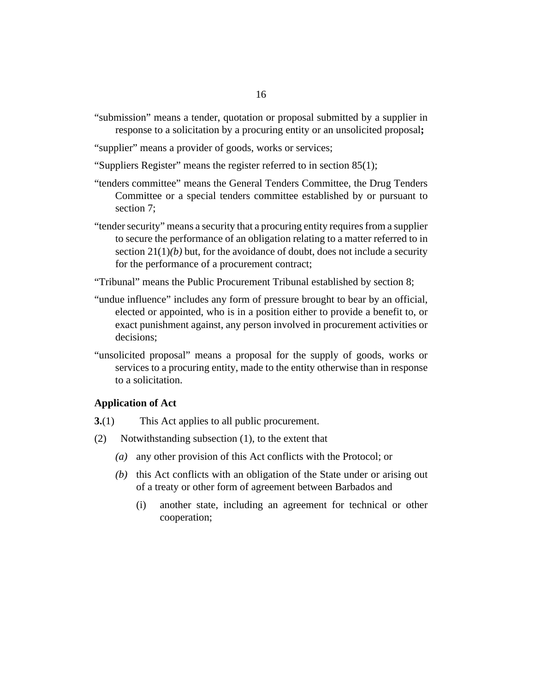- <span id="page-15-0"></span>"submission" means a tender, quotation or proposal submitted by a supplier in response to a solicitation by a procuring entity or an unsolicited proposal**;**
- "supplier" means a provider of goods, works or services;
- "Suppliers Register" means the register referred to in [section 85\(](#page-76-0)1);
- "tenders committee" means the General Tenders Committee, the Drug Tenders Committee or a special tenders committee established by or pursuant to [section 7;](#page-18-0)
- "tender security" means a security that a procuring entity requires from a supplier to secure the performance of an obligation relating to a matter referred to in section  $21(1)(b)$  but, for the avoidance of doubt, does not include a security for the performance of a procurement contract;
- "Tribunal" means the Public Procurement Tribunal established by [section 8;](#page-19-0)
- "undue influence" includes any form of pressure brought to bear by an official, elected or appointed, who is in a position either to provide a benefit to, or exact punishment against, any person involved in procurement activities or decisions;
- "unsolicited proposal" means a proposal for the supply of goods, works or services to a procuring entity, made to the entity otherwise than in response to a solicitation.

#### **Application of Act**

- This Act applies to all public procurement. **3.**(1)
- Notwithstanding subsection (1), to the extent that (2)
	- any other provision of this Act conflicts with the Protocol; or *(a)*
	- $(b)$  this Act conflicts with an obligation of the State under or arising out of a treaty or other form of agreement between Barbados and
		- another state, including an agreement for technical or other cooperation; (i)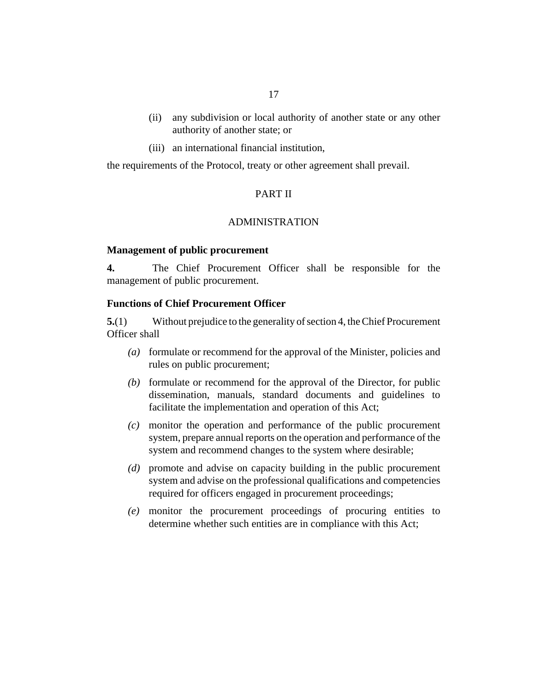- <span id="page-16-0"></span>(ii) any subdivision or local authority of another state or any other authority of another state; or
- (iii) an international financial institution,

the requirements of the Protocol, treaty or other agreement shall prevail.

## PART II

#### ADMINISTRATION

#### **Management of public procurement**

The Chief Procurement Officer shall be responsible for the management of public procurement. **4.**

## **Functions of Chief Procurement Officer**

Without prejudice to the generality of section 4, the Chief Procurement Officer shall **5.**(1)

- formulate or recommend for the approval of the Minister, policies and *(a)* rules on public procurement;
- (b) formulate or recommend for the approval of the Director, for public dissemination, manuals, standard documents and guidelines to facilitate the implementation and operation of this Act;
- monitor the operation and performance of the public procurement *(c)* system, prepare annual reports on the operation and performance of the system and recommend changes to the system where desirable;
- promote and advise on capacity building in the public procurement *(d)* system and advise on the professional qualifications and competencies required for officers engaged in procurement proceedings;
- monitor the procurement proceedings of procuring entities to *(e)* determine whether such entities are in compliance with this Act;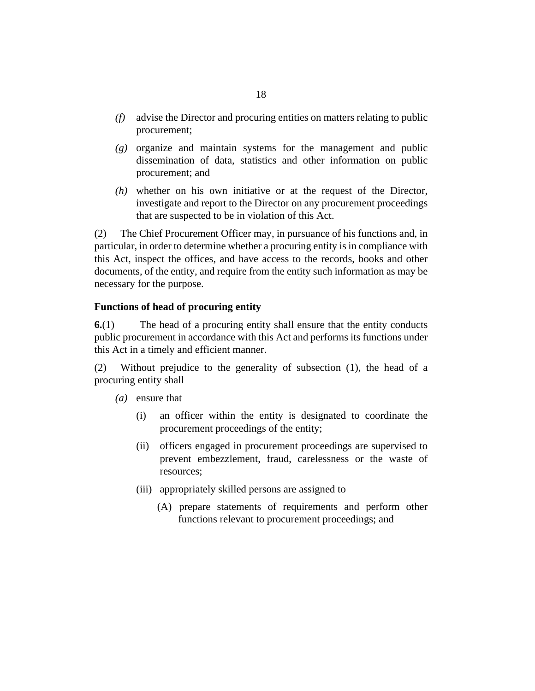- <span id="page-17-0"></span>advise the Director and procuring entities on matters relating to public *(f)* procurement;
- (g) organize and maintain systems for the management and public dissemination of data, statistics and other information on public procurement; and
- whether on his own initiative or at the request of the Director, *(h)* investigate and report to the Director on any procurement proceedings that are suspected to be in violation of this Act.

The Chief Procurement Officer may, in pursuance of his functions and, in particular, in order to determine whether a procuring entity is in compliance with this Act, inspect the offices, and have access to the records, books and other documents, of the entity, and require from the entity such information as may be necessary for the purpose. (2)

# **Functions of head of procuring entity**

The head of a procuring entity shall ensure that the entity conducts public procurement in accordance with this Act and performs its functions under this Act in a timely and efficient manner. **6.**(1)

Without prejudice to the generality of subsection (1), the head of a procuring entity shall (2)

- (a) ensure that
	- an officer within the entity is designated to coordinate the procurement proceedings of the entity; (i)
	- (ii) officers engaged in procurement proceedings are supervised to prevent embezzlement, fraud, carelessness or the waste of resources;
	- (iii) appropriately skilled persons are assigned to
		- (A) prepare statements of requirements and perform other functions relevant to procurement proceedings; and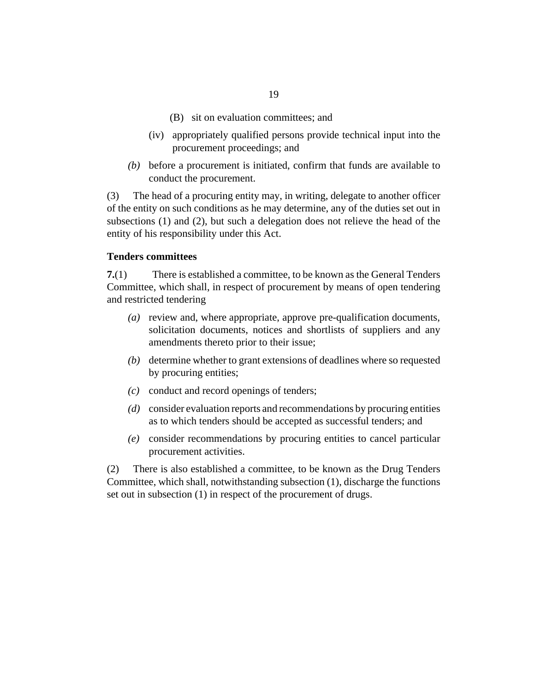- (B) sit on evaluation committees; and
- <span id="page-18-0"></span>(iv) appropriately qualified persons provide technical input into the procurement proceedings; and
- $(b)$  before a procurement is initiated, confirm that funds are available to conduct the procurement.

The head of a procuring entity may, in writing, delegate to another officer of the entity on such conditions as he may determine, any of the duties set out in subsections (1) and (2), but such a delegation does not relieve the head of the entity of his responsibility under this Act. (3)

#### **Tenders committees**

There is established a committee, to be known as the General Tenders Committee, which shall, in respect of procurement by means of open tendering and restricted tendering **7.**(1)

- (a) review and, where appropriate, approve pre-qualification documents, solicitation documents, notices and shortlists of suppliers and any amendments thereto prior to their issue;
- (b) determine whether to grant extensions of deadlines where so requested by procuring entities;
- conduct and record openings of tenders; *(c)*
- consider evaluation reports and recommendations by procuring entities *(d)* as to which tenders should be accepted as successful tenders; and
- consider recommendations by procuring entities to cancel particular *(e)* procurement activities.

There is also established a committee, to be known as the Drug Tenders Committee, which shall, notwithstanding subsection (1), discharge the functions set out in subsection (1) in respect of the procurement of drugs. (2)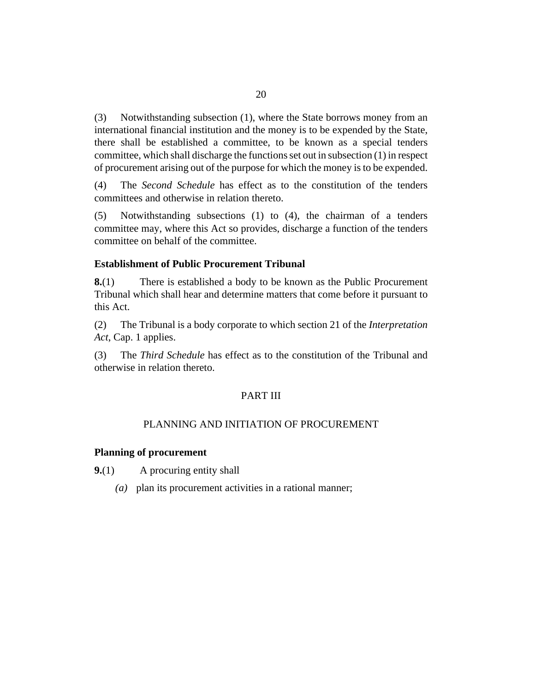<span id="page-19-0"></span>Notwithstanding subsection (1), where the State borrows money from an international financial institution and the money is to be expended by the State, there shall be established a committee, to be known as a special tenders committee, which shall discharge the functions set out in subsection (1) in respect of procurement arising out of the purpose for which the money is to be expended. (3)

The *Second Schedule* has effect as to the constitution of the tenders committees and otherwise in relation thereto. (4)

Notwithstanding subsections (1) to (4), the chairman of a tenders committee may, where this Act so provides, discharge a function of the tenders committee on behalf of the committee. (5)

## **Establishment of Public Procurement Tribunal**

There is established a body to be known as the Public Procurement Tribunal which shall hear and determine matters that come before it pursuant to this Act. **8.**(1)

The Tribunal is a body corporate to which section 21 of the *[Interpretation](http://barbadosparliament-laws.com/en/showdoc/cs/1) Act*[, Cap. 1](http://barbadosparliament-laws.com/en/showdoc/cs/1) applies. (2)

The *Third Schedule* has effect as to the constitution of the Tribunal and otherwise in relation thereto. (3)

## PART III

# PLANNING AND INITIATION OF PROCUREMENT

#### **Planning of procurement**

A procuring entity shall **9.**(1)

plan its procurement activities in a rational manner; *(a)*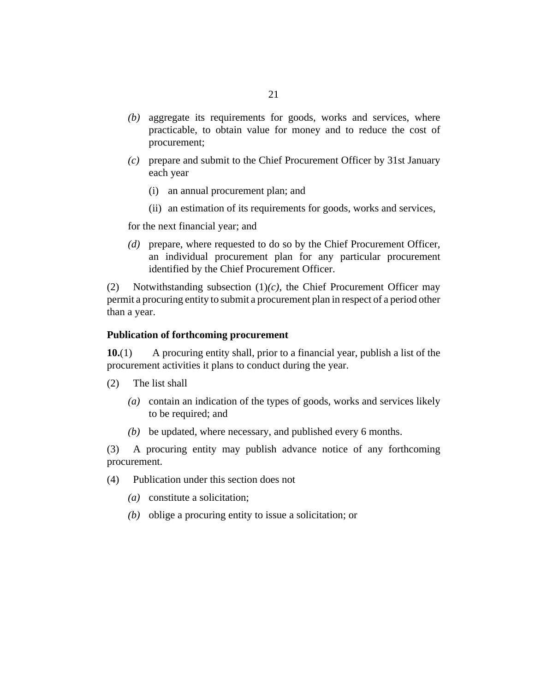- <span id="page-20-0"></span>aggregate its requirements for goods, works and services, where *(b)* practicable, to obtain value for money and to reduce the cost of procurement;
- prepare and submit to the Chief Procurement Officer by 31st January *(c)* each year
	- (i) an annual procurement plan; and
	- (ii) an estimation of its requirements for goods, works and services,

for the next financial year; and

prepare, where requested to do so by the Chief Procurement Officer, *(d)* an individual procurement plan for any particular procurement identified by the Chief Procurement Officer.

Notwithstanding subsection (1)*(c)*, the Chief Procurement Officer may permit a procuring entity to submit a procurement plan in respect of a period other than a year. (2)

#### **Publication of forthcoming procurement**

A procuring entity shall, prior to a financial year, publish a list of the procurement activities it plans to conduct during the year. **10.**(1)

- The list shall (2)
	- contain an indication of the types of goods, works and services likely *(a)* to be required; and
	- be updated, where necessary, and published every 6 months. *(b)*

A procuring entity may publish advance notice of any forthcoming (3) procurement.

- Publication under this section does not (4)
	- constitute a solicitation; *(a)*
	- (b) oblige a procuring entity to issue a solicitation; or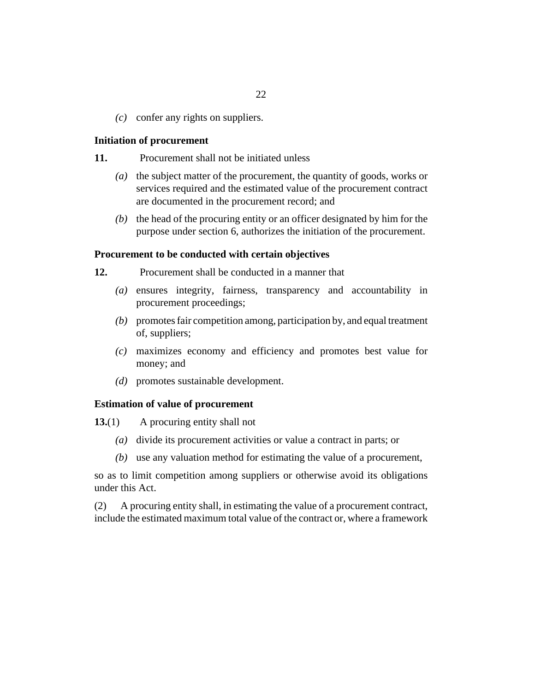<span id="page-21-0"></span>confer any rights on suppliers. *(c)*

#### **Initiation of procurement**

- Procurement shall not be initiated unless **11.**
	- (a) the subject matter of the procurement, the quantity of goods, works or services required and the estimated value of the procurement contract are documented in the procurement record; and
	- $(b)$  the head of the procuring entity or an officer designated by him for the purpose under [section 6](#page-17-0), authorizes the initiation of the procurement.

## **Procurement to be conducted with certain objectives**

- Procurement shall be conducted in a manner that **12.**
	- ensures integrity, fairness, transparency and accountability in *(a)* procurement proceedings;
	- promotes fair competition among, participation by, and equal treatment *(b)* of, suppliers;
	- maximizes economy and efficiency and promotes best value for *(c)* money; and
	- promotes sustainable development. *(d)*

#### **Estimation of value of procurement**

A procuring entity shall not **13.**(1)

- (a) divide its procurement activities or value a contract in parts; or
- (b) use any valuation method for estimating the value of a procurement,

so as to limit competition among suppliers or otherwise avoid its obligations under this Act.

A procuring entity shall, in estimating the value of a procurement contract, include the estimated maximum total value of the contract or, where a framework (2)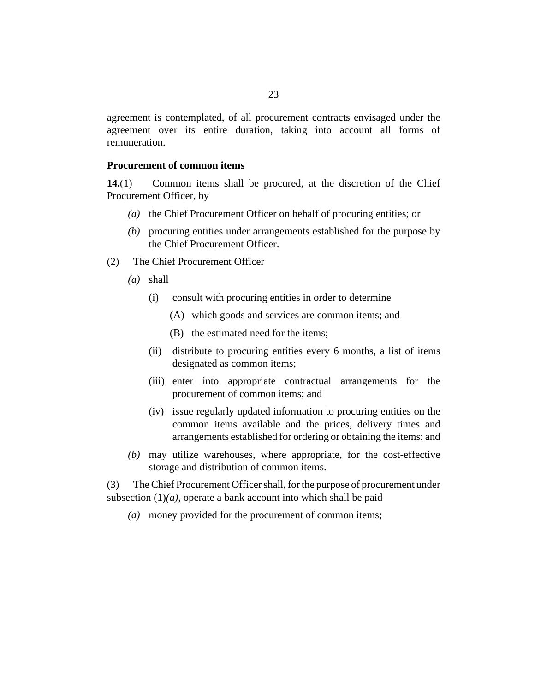<span id="page-22-0"></span>agreement is contemplated, of all procurement contracts envisaged under the agreement over its entire duration, taking into account all forms of remuneration.

### **Procurement of common items**

Common items shall be procured, at the discretion of the Chief Procurement Officer, by **14.**(1)

- (a) the Chief Procurement Officer on behalf of procuring entities; or
- procuring entities under arrangements established for the purpose by *(b)* the Chief Procurement Officer.
- The Chief Procurement Officer (2)
	- shall *(a)*
		- (i) consult with procuring entities in order to determine
			- which goods and services are common items; and (A)
			- (B) the estimated need for the items;
		- (ii) distribute to procuring entities every 6 months, a list of items designated as common items;
		- (iii) enter into appropriate contractual arrangements for the procurement of common items; and
		- (iv) issue regularly updated information to procuring entities on the common items available and the prices, delivery times and arrangements established for ordering or obtaining the items; and
	- may utilize warehouses, where appropriate, for the cost-effective *(b)* storage and distribution of common items.

The Chief Procurement Officer shall, for the purpose of procurement under subsection  $(1)(a)$ , operate a bank account into which shall be paid (3)

money provided for the procurement of common items; *(a)*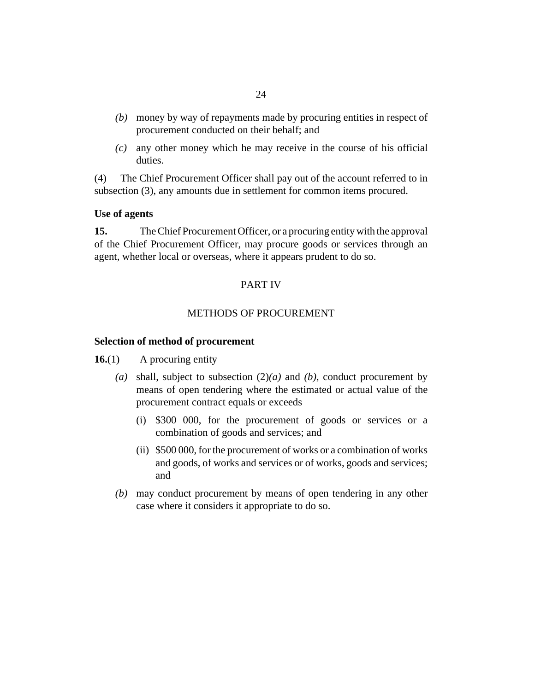- <span id="page-23-0"></span>money by way of repayments made by procuring entities in respect of *(b)* procurement conducted on their behalf; and
- any other money which he may receive in the course of his official *(c)* duties.

The Chief Procurement Officer shall pay out of the account referred to in subsection (3), any amounts due in settlement for common items procured. (4)

# **Use of agents**

The Chief Procurement Officer, or a procuring entity with the approval of the Chief Procurement Officer, may procure goods or services through an agent, whether local or overseas, where it appears prudent to do so. **15.**

# PART IV

#### METHODS OF PROCUREMENT

#### **Selection of method of procurement**

- A procuring entity **16.**(1)
	- (a) shall, subject to subsection  $(2)(a)$  and  $(b)$ , conduct procurement by means of open tendering where the estimated or actual value of the procurement contract equals or exceeds
		- \$300 000, for the procurement of goods or services or a (i) combination of goods and services; and
		- (ii) \$500 000, for the procurement of works or a combination of works and goods, of works and services or of works, goods and services; and
	- may conduct procurement by means of open tendering in any other *(b)* case where it considers it appropriate to do so.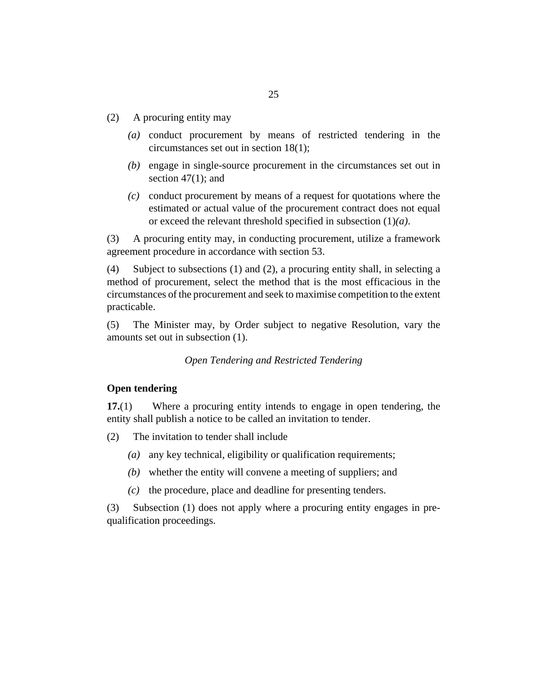- <span id="page-24-0"></span>A procuring entity may (2)
	- (a) conduct procurement by means of restricted tendering in the circumstances set out in [section 18](#page-25-0)(1);
	- (b) engage in single-source procurement in the circumstances set out in section  $47(1)$ ; and
	- conduct procurement by means of a request for quotations where the *(c)* estimated or actual value of the procurement contract does not equal or exceed the relevant threshold specified in subsection (1)*(a)*.

A procuring entity may, in conducting procurement, utilize a framework agreement procedure in accordance with [section 53.](#page-55-0) (3)

Subject to subsections (1) and (2), a procuring entity shall, in selecting a method of procurement, select the method that is the most efficacious in the circumstances of the procurement and seek to maximise competition to the extent practicable. (4)

The Minister may, by Order subject to negative Resolution, vary the amounts set out in subsection (1). (5)

## *Open Tendering and Restricted Tendering*

## **Open tendering**

Where a procuring entity intends to engage in open tendering, the entity shall publish a notice to be called an invitation to tender. **17.**(1)

- The invitation to tender shall include (2)
	- (a) any key technical, eligibility or qualification requirements;
	- whether the entity will convene a meeting of suppliers; and *(b)*
	- $(c)$  the procedure, place and deadline for presenting tenders.

Subsection (1) does not apply where a procuring entity engages in prequalification proceedings. (3)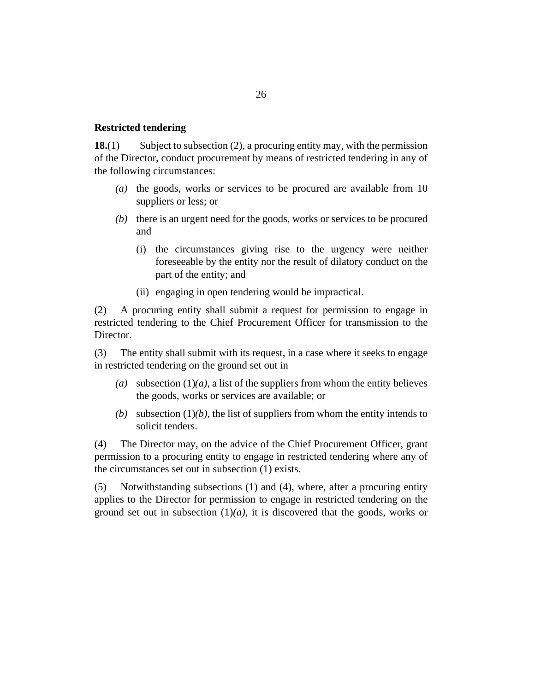#### <span id="page-25-0"></span>**Restricted tendering**

Subject to subsection (2), a procuring entity may, with the permission of the Director, conduct procurement by means of restricted tendering in any of the following circumstances: **18.**(1)

- (a) the goods, works or services to be procured are available from 10 suppliers or less; or
- (b) there is an urgent need for the goods, works or services to be procured and
	- (i) the circumstances giving rise to the urgency were neither foreseeable by the entity nor the result of dilatory conduct on the part of the entity; and
	- (ii) engaging in open tendering would be impractical.

A procuring entity shall submit a request for permission to engage in restricted tendering to the Chief Procurement Officer for transmission to the Director. (2)

The entity shall submit with its request, in a case where it seeks to engage in restricted tendering on the ground set out in (3)

- (a) subsection  $(1)(a)$ , a list of the suppliers from whom the entity believes the goods, works or services are available; or
- (b) subsection  $(1)(b)$ , the list of suppliers from whom the entity intends to solicit tenders.

The Director may, on the advice of the Chief Procurement Officer, grant permission to a procuring entity to engage in restricted tendering where any of the circumstances set out in subsection (1) exists. (4)

Notwithstanding subsections (1) and (4), where, after a procuring entity applies to the Director for permission to engage in restricted tendering on the ground set out in subsection  $(1)(a)$ , it is discovered that the goods, works or (5)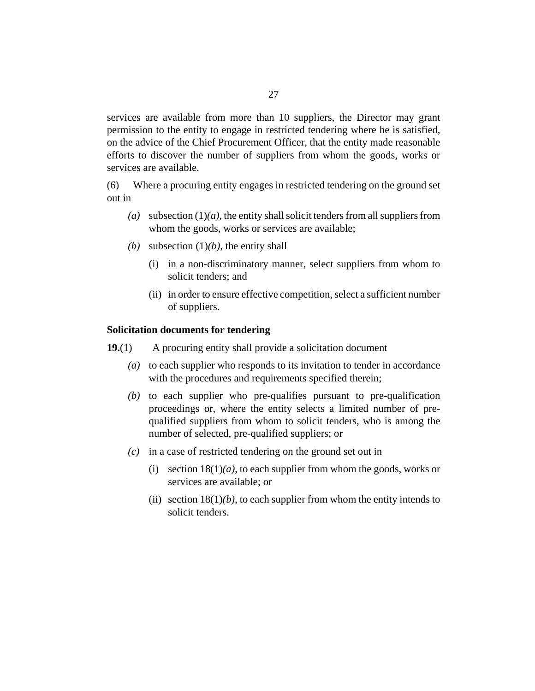<span id="page-26-0"></span>services are available from more than 10 suppliers, the Director may grant permission to the entity to engage in restricted tendering where he is satisfied, on the advice of the Chief Procurement Officer, that the entity made reasonable efforts to discover the number of suppliers from whom the goods, works or services are available.

Where a procuring entity engages in restricted tendering on the ground set out in (6)

- (a) subsection  $(1)(a)$ , the entity shall solicit tenders from all suppliers from whom the goods, works or services are available;
- (b) subsection  $(1)(b)$ , the entity shall
	- (i) in a non-discriminatory manner, select suppliers from whom to solicit tenders; and
	- (ii) in order to ensure effective competition, select a sufficient number of suppliers.

#### **Solicitation documents for tendering**

- A procuring entity shall provide a solicitation document **19.**(1)
	- to each supplier who responds to its invitation to tender in accordance *(a)* with the procedures and requirements specified therein;
	- $(b)$  to each supplier who pre-qualifies pursuant to pre-qualification proceedings or, where the entity selects a limited number of prequalified suppliers from whom to solicit tenders, who is among the number of selected, pre-qualified suppliers; or
	- in a case of restricted tendering on the ground set out in *(c)*
		- (i) section  $18(1)(a)$ , to each supplier from whom the goods, works or services are available; or
		- (ii) section  $18(1)(b)$ , to each supplier from whom the entity intends to solicit tenders.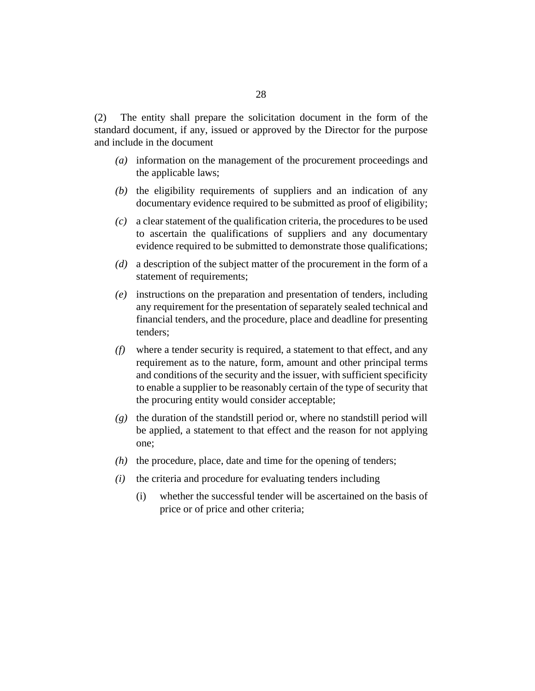The entity shall prepare the solicitation document in the form of the standard document, if any, issued or approved by the Director for the purpose and include in the document (2)

- information on the management of the procurement proceedings and *(a)* the applicable laws;
- $(t)$  the eligibility requirements of suppliers and an indication of any documentary evidence required to be submitted as proof of eligibility;
- a clear statement of the qualification criteria, the procedures to be used *(c)* to ascertain the qualifications of suppliers and any documentary evidence required to be submitted to demonstrate those qualifications;
- a description of the subject matter of the procurement in the form of a *(d)* statement of requirements;
- instructions on the preparation and presentation of tenders, including *(e)* any requirement for the presentation of separately sealed technical and financial tenders, and the procedure, place and deadline for presenting tenders;
- where a tender security is required, a statement to that effect, and any *(f)* requirement as to the nature, form, amount and other principal terms and conditions of the security and the issuer, with sufficient specificity to enable a supplier to be reasonably certain of the type of security that the procuring entity would consider acceptable;
- (g) the duration of the standstill period or, where no standstill period will be applied, a statement to that effect and the reason for not applying one;
- $(h)$  the procedure, place, date and time for the opening of tenders;
- $(i)$  the criteria and procedure for evaluating tenders including
	- whether the successful tender will be ascertained on the basis of price or of price and other criteria; (i)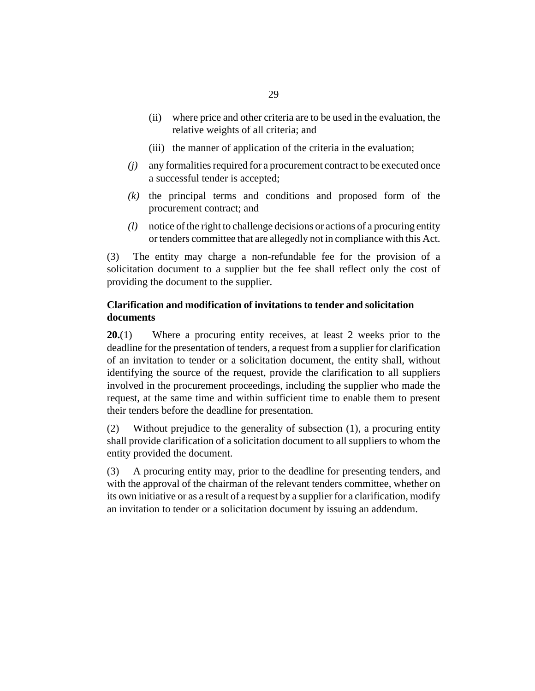- <span id="page-28-0"></span>where price and other criteria are to be used in the evaluation, the (ii) relative weights of all criteria; and
- (iii) the manner of application of the criteria in the evaluation;
- any formalities required for a procurement contract to be executed once *(j)* a successful tender is accepted;
- $(k)$  the principal terms and conditions and proposed form of the procurement contract; and
- notice of the right to challenge decisions or actions of a procuring entity *(l)* or tenders committee that are allegedly not in compliance with this Act.

The entity may charge a non-refundable fee for the provision of a solicitation document to a supplier but the fee shall reflect only the cost of providing the document to the supplier. (3)

# **Clarification and modification of invitations to tender and solicitation documents**

Where a procuring entity receives, at least 2 weeks prior to the deadline for the presentation of tenders, a request from a supplier for clarification of an invitation to tender or a solicitation document, the entity shall, without identifying the source of the request, provide the clarification to all suppliers involved in the procurement proceedings, including the supplier who made the request, at the same time and within sufficient time to enable them to present their tenders before the deadline for presentation. **20.**(1)

Without prejudice to the generality of subsection  $(1)$ , a procuring entity shall provide clarification of a solicitation document to all suppliers to whom the entity provided the document. (2)

A procuring entity may, prior to the deadline for presenting tenders, and with the approval of the chairman of the relevant tenders committee, whether on its own initiative or as a result of a request by a supplier for a clarification, modify an invitation to tender or a solicitation document by issuing an addendum. (3)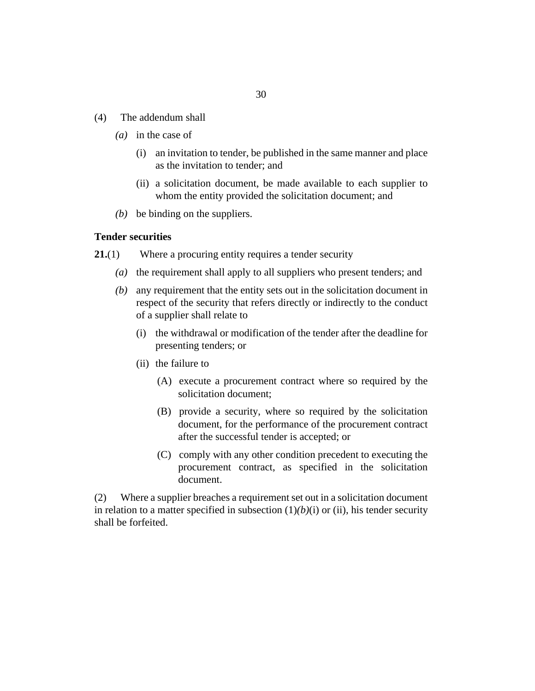- <span id="page-29-0"></span>The addendum shall (4)
	- (*a*) in the case of
		- an invitation to tender, be published in the same manner and place (i) as the invitation to tender; and
		- (ii) a solicitation document, be made available to each supplier to whom the entity provided the solicitation document; and
	- $(b)$  be binding on the suppliers.

#### **Tender securities**

- Where a procuring entity requires a tender security **21.**(1)
	- (a) the requirement shall apply to all suppliers who present tenders; and
	- any requirement that the entity sets out in the solicitation document in *(b)* respect of the security that refers directly or indirectly to the conduct of a supplier shall relate to
		- (i) the withdrawal or modification of the tender after the deadline for presenting tenders; or
		- (ii) the failure to
			- (A) execute a procurement contract where so required by the solicitation document;
			- (B) provide a security, where so required by the solicitation document, for the performance of the procurement contract after the successful tender is accepted; or
			- (C) comply with any other condition precedent to executing the procurement contract, as specified in the solicitation document.

Where a supplier breaches a requirement set out in a solicitation document in relation to a matter specified in subsection  $(1)(b)(i)$  or (ii), his tender security shall be forfeited. (2)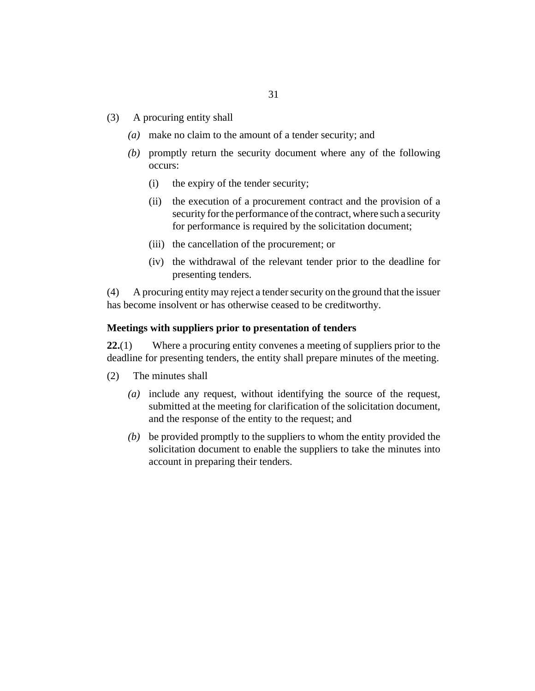- <span id="page-30-0"></span>A procuring entity shall (3)
	- make no claim to the amount of a tender security; and *(a)*
	- promptly return the security document where any of the following *(b)* occurs:
		- the expiry of the tender security; (i)
		- the execution of a procurement contract and the provision of a security for the performance of the contract, where such a security for performance is required by the solicitation document; (ii)
		- (iii) the cancellation of the procurement; or
		- (iv) the withdrawal of the relevant tender prior to the deadline for presenting tenders.

A procuring entity may reject a tender security on the ground that the issuer has become insolvent or has otherwise ceased to be creditworthy. (4)

#### **Meetings with suppliers prior to presentation of tenders**

Where a procuring entity convenes a meeting of suppliers prior to the deadline for presenting tenders, the entity shall prepare minutes of the meeting. **22.**(1)

- The minutes shall (2)
	- include any request, without identifying the source of the request, *(a)* submitted at the meeting for clarification of the solicitation document, and the response of the entity to the request; and
	- be provided promptly to the suppliers to whom the entity provided the *(b)* solicitation document to enable the suppliers to take the minutes into account in preparing their tenders.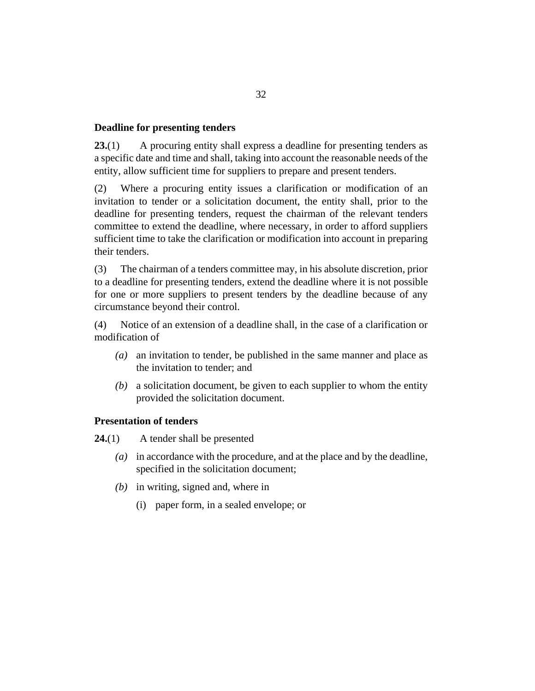## <span id="page-31-0"></span>**Deadline for presenting tenders**

A procuring entity shall express a deadline for presenting tenders as a specific date and time and shall, taking into account the reasonable needs of the entity, allow sufficient time for suppliers to prepare and present tenders. **23.**(1)

Where a procuring entity issues a clarification or modification of an invitation to tender or a solicitation document, the entity shall, prior to the deadline for presenting tenders, request the chairman of the relevant tenders committee to extend the deadline, where necessary, in order to afford suppliers sufficient time to take the clarification or modification into account in preparing their tenders. (2)

The chairman of a tenders committee may, in his absolute discretion, prior to a deadline for presenting tenders, extend the deadline where it is not possible for one or more suppliers to present tenders by the deadline because of any circumstance beyond their control. (3)

Notice of an extension of a deadline shall, in the case of a clarification or modification of (4)

- an invitation to tender, be published in the same manner and place as *(a)* the invitation to tender; and
- a solicitation document, be given to each supplier to whom the entity *(b)* provided the solicitation document.

#### **Presentation of tenders**

A tender shall be presented **24.**(1)

- in accordance with the procedure, and at the place and by the deadline, *(a)* specified in the solicitation document;
- (b) in writing, signed and, where in
	- (i) paper form, in a sealed envelope; or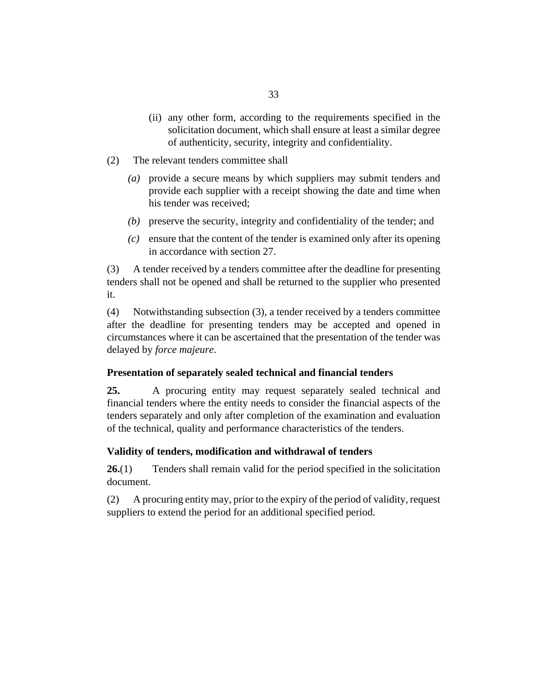- <span id="page-32-0"></span>(ii) any other form, according to the requirements specified in the solicitation document, which shall ensure at least a similar degree of authenticity, security, integrity and confidentiality.
- The relevant tenders committee shall (2)
	- provide a secure means by which suppliers may submit tenders and *(a)* provide each supplier with a receipt showing the date and time when his tender was received;
	- (b) preserve the security, integrity and confidentiality of the tender; and
	- ensure that the content of the tender is examined only after its opening *(c)* in accordance with [section 27](#page-33-0).

A tender received by a tenders committee after the deadline for presenting tenders shall not be opened and shall be returned to the supplier who presented it. (3)

Notwithstanding subsection (3), a tender received by a tenders committee after the deadline for presenting tenders may be accepted and opened in circumstances where it can be ascertained that the presentation of the tender was delayed by *force majeure*. (4)

#### **Presentation of separately sealed technical and financial tenders**

A procuring entity may request separately sealed technical and financial tenders where the entity needs to consider the financial aspects of the tenders separately and only after completion of the examination and evaluation of the technical, quality and performance characteristics of the tenders. **25.**

# **Validity of tenders, modification and withdrawal of tenders**

Tenders shall remain valid for the period specified in the solicitation document. **26.**(1)

A procuring entity may, prior to the expiry of the period of validity, request suppliers to extend the period for an additional specified period. (2)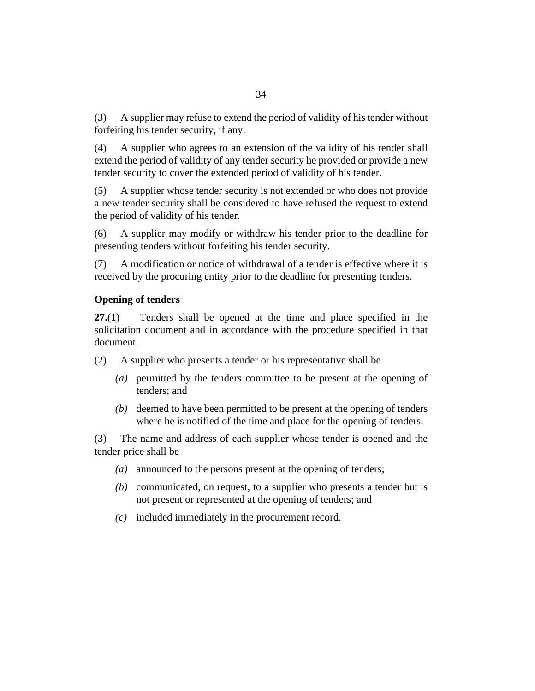<span id="page-33-0"></span>A supplier may refuse to extend the period of validity of his tender without forfeiting his tender security, if any. (3)

A supplier who agrees to an extension of the validity of his tender shall extend the period of validity of any tender security he provided or provide a new tender security to cover the extended period of validity of his tender. (4)

A supplier whose tender security is not extended or who does not provide a new tender security shall be considered to have refused the request to extend the period of validity of his tender. (5)

A supplier may modify or withdraw his tender prior to the deadline for presenting tenders without forfeiting his tender security. (6)

A modification or notice of withdrawal of a tender is effective where it is received by the procuring entity prior to the deadline for presenting tenders. (7)

# **Opening of tenders**

Tenders shall be opened at the time and place specified in the solicitation document and in accordance with the procedure specified in that document. **27.**(1)

A supplier who presents a tender or his representative shall be (2)

- permitted by the tenders committee to be present at the opening of *(a)* tenders; and
- (b) deemed to have been permitted to be present at the opening of tenders where he is notified of the time and place for the opening of tenders.

The name and address of each supplier whose tender is opened and the tender price shall be (3)

- announced to the persons present at the opening of tenders; *(a)*
- (b) communicated, on request, to a supplier who presents a tender but is not present or represented at the opening of tenders; and
- included immediately in the procurement record. *(c)*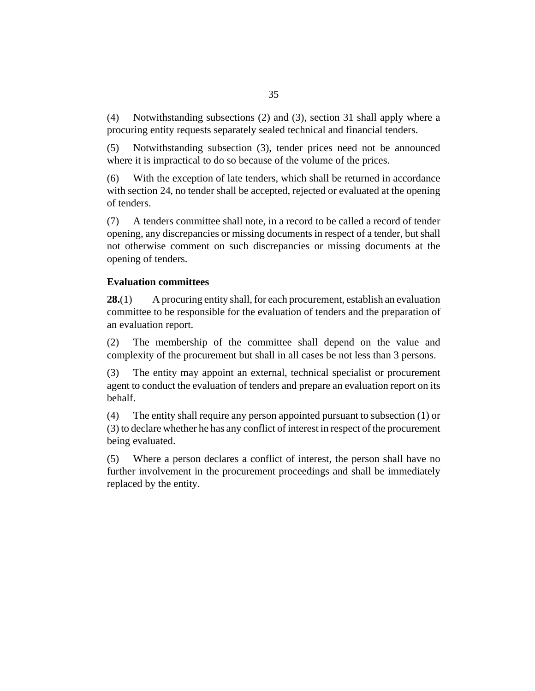<span id="page-34-0"></span>Notwithstanding subsections (2) and (3), [section 31](#page-39-0) shall apply where a procuring entity requests separately sealed technical and financial tenders. (4)

Notwithstanding subsection (3), tender prices need not be announced where it is impractical to do so because of the volume of the prices. (5)

With the exception of late tenders, which shall be returned in accordance with [section 24](#page-31-0), no tender shall be accepted, rejected or evaluated at the opening of tenders. (6)

A tenders committee shall note, in a record to be called a record of tender opening, any discrepancies or missing documents in respect of a tender, but shall not otherwise comment on such discrepancies or missing documents at the opening of tenders. (7)

# **Evaluation committees**

A procuring entity shall, for each procurement, establish an evaluation committee to be responsible for the evaluation of tenders and the preparation of an evaluation report. **28.**(1)

The membership of the committee shall depend on the value and complexity of the procurement but shall in all cases be not less than 3 persons. (2)

The entity may appoint an external, technical specialist or procurement agent to conduct the evaluation of tenders and prepare an evaluation report on its behalf. (3)

The entity shall require any person appointed pursuant to subsection (1) or (3) to declare whether he has any conflict of interest in respect of the procurement being evaluated. (4)

Where a person declares a conflict of interest, the person shall have no further involvement in the procurement proceedings and shall be immediately replaced by the entity. (5)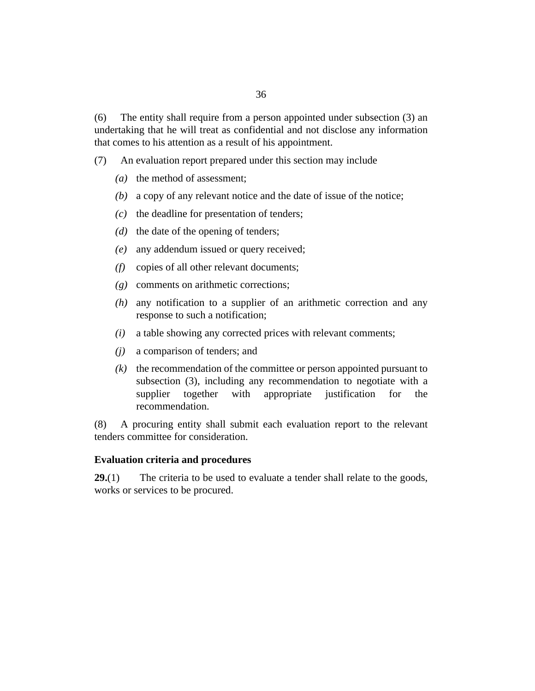<span id="page-35-0"></span>The entity shall require from a person appointed under subsection (3) an undertaking that he will treat as confidential and not disclose any information that comes to his attention as a result of his appointment. (6)

An evaluation report prepared under this section may include (7)

- (a) the method of assessment;
- a copy of any relevant notice and the date of issue of the notice; *(b)*
- $(c)$  the deadline for presentation of tenders;
- $(d)$  the date of the opening of tenders;
- any addendum issued or query received; *(e)*
- copies of all other relevant documents; *(f)*
- comments on arithmetic corrections; *(g)*
- any notification to a supplier of an arithmetic correction and any *(h)* response to such a notification;
- a table showing any corrected prices with relevant comments; *(i)*
- a comparison of tenders; and *(j)*
- $(k)$  the recommendation of the committee or person appointed pursuant to subsection (3), including any recommendation to negotiate with a supplier together with appropriate justification for the recommendation.

A procuring entity shall submit each evaluation report to the relevant tenders committee for consideration. (8)

#### **Evaluation criteria and procedures**

The criteria to be used to evaluate a tender shall relate to the goods, works or services to be procured. **29.**(1)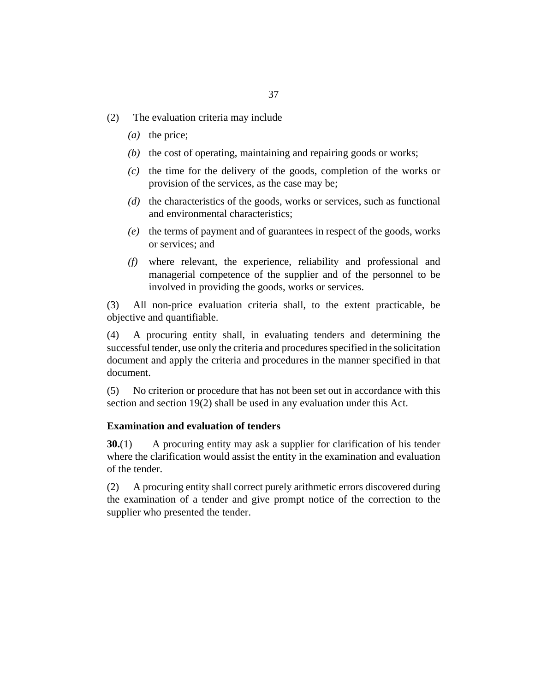- <span id="page-36-0"></span>The evaluation criteria may include (2)
	- (a) the price;
	- $(b)$  the cost of operating, maintaining and repairing goods or works;
	- $\alpha$  the time for the delivery of the goods, completion of the works or provision of the services, as the case may be;
	- (d) the characteristics of the goods, works or services, such as functional and environmental characteristics;
	- (e) the terms of payment and of guarantees in respect of the goods, works or services; and
	- where relevant, the experience, reliability and professional and *(f)* managerial competence of the supplier and of the personnel to be involved in providing the goods, works or services.

All non-price evaluation criteria shall, to the extent practicable, be objective and quantifiable. (3)

A procuring entity shall, in evaluating tenders and determining the successful tender, use only the criteria and procedures specified in the solicitation document and apply the criteria and procedures in the manner specified in that document. (4)

No criterion or procedure that has not been set out in accordance with this section and [section 19\(](#page-26-0)2) shall be used in any evaluation under this Act. (5)

### **Examination and evaluation of tenders**

A procuring entity may ask a supplier for clarification of his tender where the clarification would assist the entity in the examination and evaluation of the tender. **30.**(1)

A procuring entity shall correct purely arithmetic errors discovered during the examination of a tender and give prompt notice of the correction to the supplier who presented the tender. (2)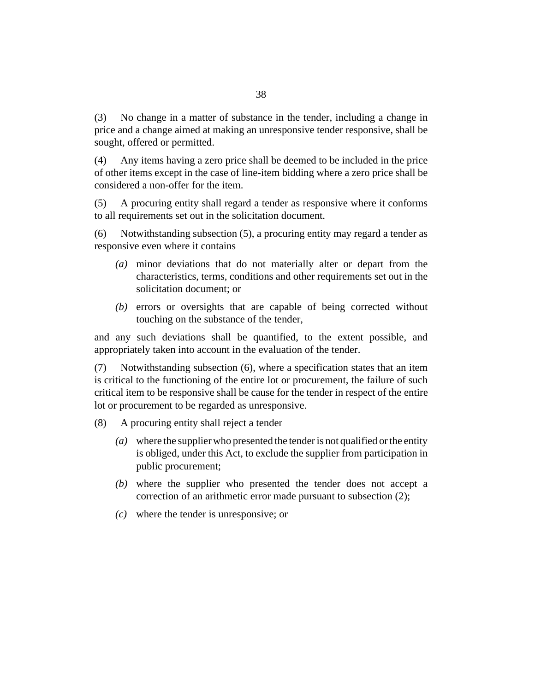No change in a matter of substance in the tender, including a change in price and a change aimed at making an unresponsive tender responsive, shall be sought, offered or permitted. (3)

Any items having a zero price shall be deemed to be included in the price of other items except in the case of line-item bidding where a zero price shall be considered a non-offer for the item. (4)

A procuring entity shall regard a tender as responsive where it conforms to all requirements set out in the solicitation document. (5)

Notwithstanding subsection (5), a procuring entity may regard a tender as responsive even where it contains (6)

- minor deviations that do not materially alter or depart from the *(a)* characteristics, terms, conditions and other requirements set out in the solicitation document; or
- (b) errors or oversights that are capable of being corrected without touching on the substance of the tender,

and any such deviations shall be quantified, to the extent possible, and appropriately taken into account in the evaluation of the tender.

Notwithstanding subsection (6), where a specification states that an item is critical to the functioning of the entire lot or procurement, the failure of such critical item to be responsive shall be cause for the tender in respect of the entire lot or procurement to be regarded as unresponsive. (7)

- A procuring entity shall reject a tender (8)
	- where the supplier who presented the tender is not qualified or the entity *(a)* is obliged, under this Act, to exclude the supplier from participation in public procurement;
	- where the supplier who presented the tender does not accept a *(b)* correction of an arithmetic error made pursuant to subsection (2);
	- where the tender is unresponsive; or *(c)*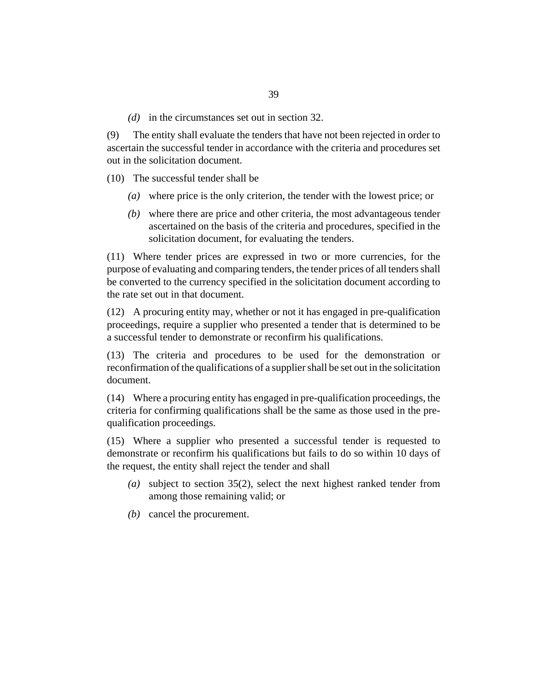( $d$ ) in the circumstances set out in [section 32](#page-40-0).

The entity shall evaluate the tenders that have not been rejected in order to ascertain the successful tender in accordance with the criteria and procedures set out in the solicitation document. (9)

(10) The successful tender shall be

- where price is the only criterion, the tender with the lowest price; or *(a)*
- where there are price and other criteria, the most advantageous tender *(b)* ascertained on the basis of the criteria and procedures, specified in the solicitation document, for evaluating the tenders.

Where tender prices are expressed in two or more currencies, for the (11) purpose of evaluating and comparing tenders, the tender prices of all tenders shall be converted to the currency specified in the solicitation document according to the rate set out in that document.

A procuring entity may, whether or not it has engaged in pre-qualification (12) proceedings, require a supplier who presented a tender that is determined to be a successful tender to demonstrate or reconfirm his qualifications.

(13) The criteria and procedures to be used for the demonstration or reconfirmation of the qualifications of a supplier shall be set out in the solicitation document.

Where a procuring entity has engaged in pre-qualification proceedings, the (14) criteria for confirming qualifications shall be the same as those used in the prequalification proceedings.

Where a supplier who presented a successful tender is requested to (15) demonstrate or reconfirm his qualifications but fails to do so within 10 days of the request, the entity shall reject the tender and shall

- subject to [section 35\(](#page-43-0)2), select the next highest ranked tender from *(a)* among those remaining valid; or
- (b) cancel the procurement.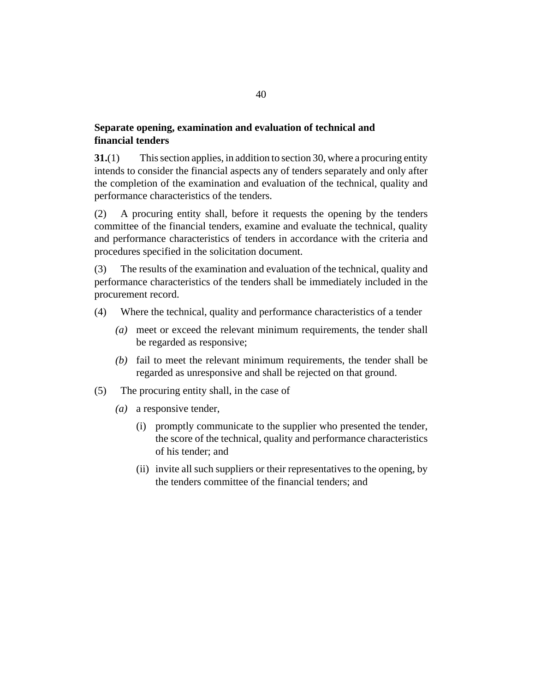## **Separate opening, examination and evaluation of technical and financial tenders**

This section applies, in addition to [section 30](#page-36-0), where a procuring entity intends to consider the financial aspects any of tenders separately and only after the completion of the examination and evaluation of the technical, quality and performance characteristics of the tenders. **31.**(1)

A procuring entity shall, before it requests the opening by the tenders committee of the financial tenders, examine and evaluate the technical, quality and performance characteristics of tenders in accordance with the criteria and procedures specified in the solicitation document. (2)

The results of the examination and evaluation of the technical, quality and performance characteristics of the tenders shall be immediately included in the procurement record. (3)

- Where the technical, quality and performance characteristics of a tender (4)
	- meet or exceed the relevant minimum requirements, the tender shall *(a)* be regarded as responsive;
	- $(b)$  fail to meet the relevant minimum requirements, the tender shall be regarded as unresponsive and shall be rejected on that ground.
- The procuring entity shall, in the case of (5)
	- (a) a responsive tender,
		- (i) promptly communicate to the supplier who presented the tender, the score of the technical, quality and performance characteristics of his tender; and
		- (ii) invite all such suppliers or their representatives to the opening, by the tenders committee of the financial tenders; and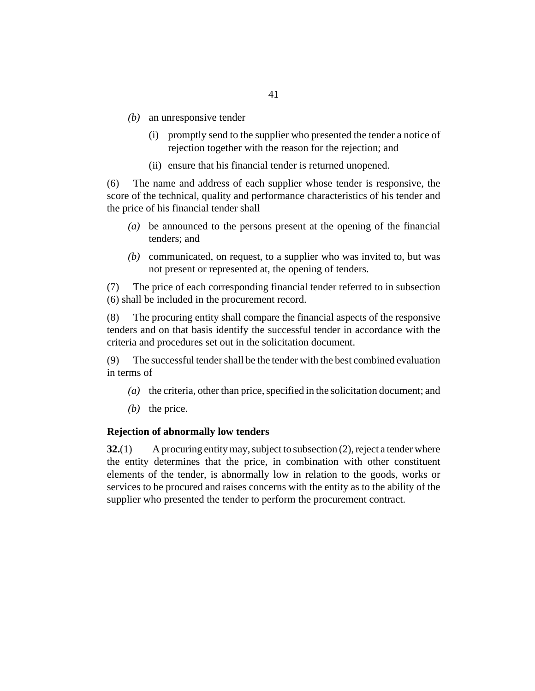- <span id="page-40-0"></span>(b) an unresponsive tender
	- (i) promptly send to the supplier who presented the tender a notice of rejection together with the reason for the rejection; and
	- (ii) ensure that his financial tender is returned unopened.

The name and address of each supplier whose tender is responsive, the score of the technical, quality and performance characteristics of his tender and the price of his financial tender shall (6)

- be announced to the persons present at the opening of the financial *(a)* tenders; and
- communicated, on request, to a supplier who was invited to, but was *(b)* not present or represented at, the opening of tenders.

The price of each corresponding financial tender referred to in subsection (6) shall be included in the procurement record. (7)

The procuring entity shall compare the financial aspects of the responsive tenders and on that basis identify the successful tender in accordance with the criteria and procedures set out in the solicitation document. (8)

The successful tender shall be the tender with the best combined evaluation in terms of (9)

- (a) the criteria, other than price, specified in the solicitation document; and
- $(b)$  the price.

#### **Rejection of abnormally low tenders**

A procuring entity may, subject to subsection (2), reject a tender where the entity determines that the price, in combination with other constituent elements of the tender, is abnormally low in relation to the goods, works or services to be procured and raises concerns with the entity as to the ability of the supplier who presented the tender to perform the procurement contract. **32.**(1)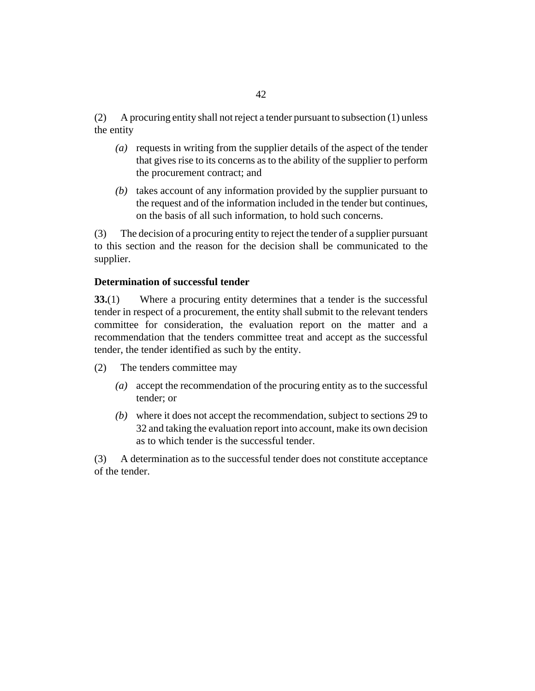A procuring entity shall not reject a tender pursuant to subsection (1) unless the entity (2)

- requests in writing from the supplier details of the aspect of the tender *(a)* that gives rise to its concerns as to the ability of the supplier to perform the procurement contract; and
- (b) takes account of any information provided by the supplier pursuant to the request and of the information included in the tender but continues, on the basis of all such information, to hold such concerns.

The decision of a procuring entity to reject the tender of a supplier pursuant to this section and the reason for the decision shall be communicated to the supplier. (3)

### **Determination of successful tender**

Where a procuring entity determines that a tender is the successful tender in respect of a procurement, the entity shall submit to the relevant tenders committee for consideration, the evaluation report on the matter and a recommendation that the tenders committee treat and accept as the successful tender, the tender identified as such by the entity. **33.**(1)

- The tenders committee may (2)
	- accept the recommendation of the procuring entity as to the successful *(a)* tender; or
	- where it does not accept the recommendation, subject to [sections 29](#page-35-0) to *(b)* [32](#page-40-0) and taking the evaluation report into account, make its own decision as to which tender is the successful tender.

A determination as to the successful tender does not constitute acceptance of the tender. (3)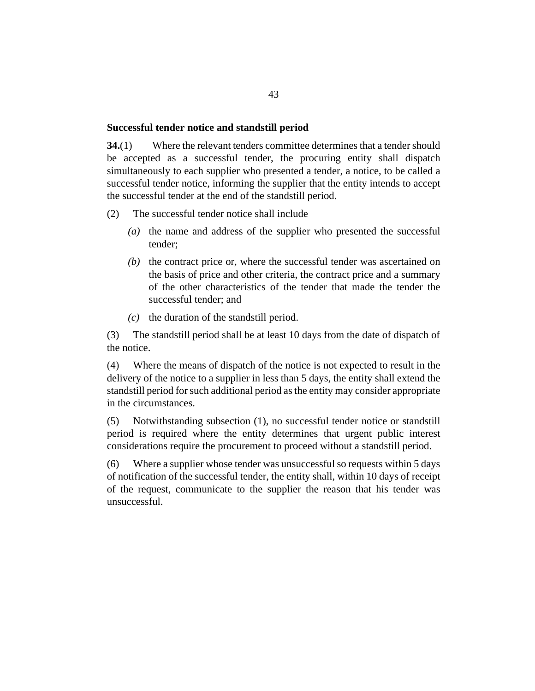#### <span id="page-42-0"></span>**Successful tender notice and standstill period**

Where the relevant tenders committee determines that a tender should be accepted as a successful tender, the procuring entity shall dispatch simultaneously to each supplier who presented a tender, a notice, to be called a successful tender notice, informing the supplier that the entity intends to accept the successful tender at the end of the standstill period. **34.**(1)

- The successful tender notice shall include (2)
	- (a) the name and address of the supplier who presented the successful tender;
	- $(b)$  the contract price or, where the successful tender was ascertained on the basis of price and other criteria, the contract price and a summary of the other characteristics of the tender that made the tender the successful tender; and
	- $(c)$  the duration of the standstill period.

The standstill period shall be at least 10 days from the date of dispatch of the notice. (3)

Where the means of dispatch of the notice is not expected to result in the delivery of the notice to a supplier in less than 5 days, the entity shall extend the standstill period for such additional period as the entity may consider appropriate in the circumstances. (4)

Notwithstanding subsection (1), no successful tender notice or standstill period is required where the entity determines that urgent public interest considerations require the procurement to proceed without a standstill period. (5)

Where a supplier whose tender was unsuccessful so requests within 5 days of notification of the successful tender, the entity shall, within 10 days of receipt of the request, communicate to the supplier the reason that his tender was unsuccessful. (6)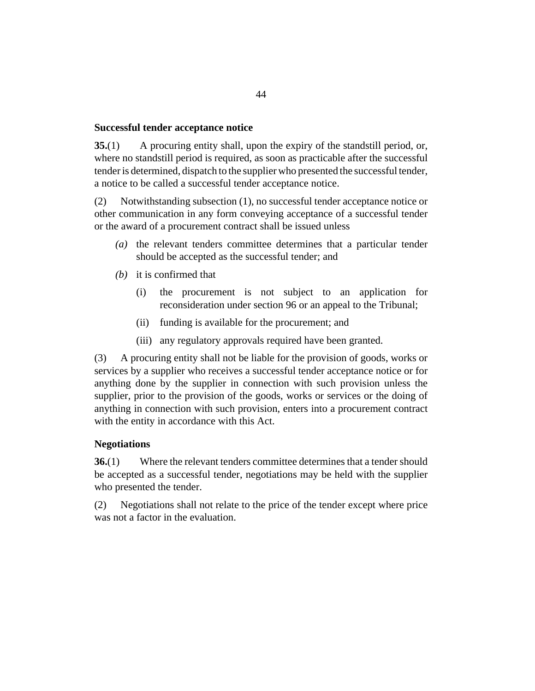### <span id="page-43-0"></span>**Successful tender acceptance notice**

A procuring entity shall, upon the expiry of the standstill period, or, where no standstill period is required, as soon as practicable after the successful tender is determined, dispatch to the supplier who presented the successful tender, a notice to be called a successful tender acceptance notice. **35.**(1)

Notwithstanding subsection (1), no successful tender acceptance notice or other communication in any form conveying acceptance of a successful tender or the award of a procurement contract shall be issued unless (2)

- (a) the relevant tenders committee determines that a particular tender should be accepted as the successful tender; and
- $(b)$  it is confirmed that
	- the procurement is not subject to an application for reconsideration under [section 96](#page-89-0) or an appeal to the Tribunal; (i)
	- funding is available for the procurement; and (ii)
	- (iii) any regulatory approvals required have been granted.

A procuring entity shall not be liable for the provision of goods, works or services by a supplier who receives a successful tender acceptance notice or for anything done by the supplier in connection with such provision unless the supplier, prior to the provision of the goods, works or services or the doing of anything in connection with such provision, enters into a procurement contract with the entity in accordance with this Act. (3)

## **Negotiations**

Where the relevant tenders committee determines that a tender should be accepted as a successful tender, negotiations may be held with the supplier who presented the tender. **36.**(1)

Negotiations shall not relate to the price of the tender except where price was not a factor in the evaluation. (2)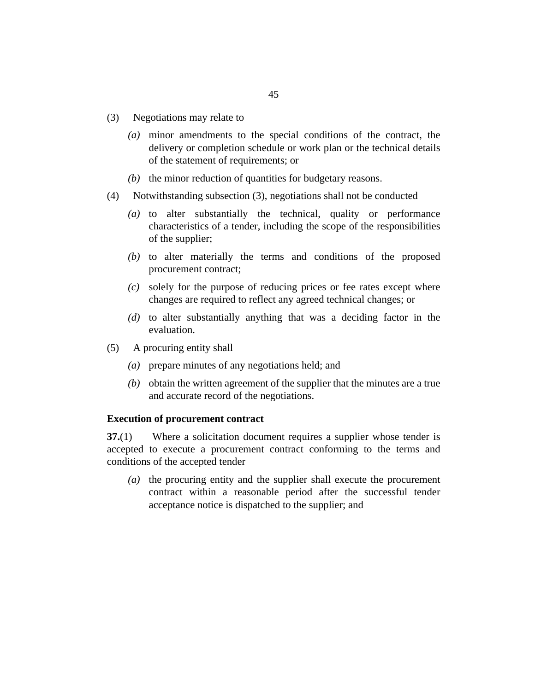- <span id="page-44-0"></span>Negotiations may relate to (3)
	- minor amendments to the special conditions of the contract, the *(a)* delivery or completion schedule or work plan or the technical details of the statement of requirements; or
	- $(t)$  the minor reduction of quantities for budgetary reasons.
- Notwithstanding subsection (3), negotiations shall not be conducted (4)
	- (a) to alter substantially the technical, quality or performance characteristics of a tender, including the scope of the responsibilities of the supplier;
	- (b) to alter materially the terms and conditions of the proposed procurement contract;
	- solely for the purpose of reducing prices or fee rates except where *(c)* changes are required to reflect any agreed technical changes; or
	- (d) to alter substantially anything that was a deciding factor in the evaluation.
- A procuring entity shall (5)
	- prepare minutes of any negotiations held; and *(a)*
	- $(b)$  obtain the written agreement of the supplier that the minutes are a true and accurate record of the negotiations.

#### **Execution of procurement contract**

Where a solicitation document requires a supplier whose tender is accepted to execute a procurement contract conforming to the terms and conditions of the accepted tender **37.**(1)

(a) the procuring entity and the supplier shall execute the procurement contract within a reasonable period after the successful tender acceptance notice is dispatched to the supplier; and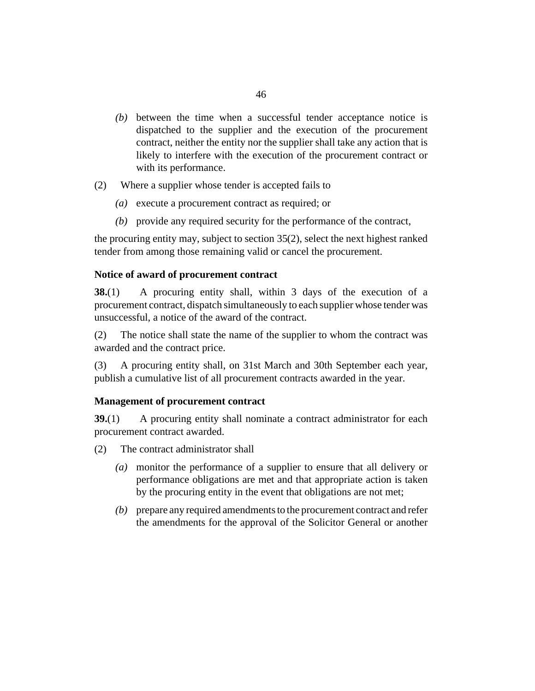- <span id="page-45-0"></span> $(b)$  between the time when a successful tender acceptance notice is dispatched to the supplier and the execution of the procurement contract, neither the entity nor the supplier shall take any action that is likely to interfere with the execution of the procurement contract or with its performance.
- Where a supplier whose tender is accepted fails to (2)
	- (a) execute a procurement contract as required; or
	- (b) provide any required security for the performance of the contract,

the procuring entity may, subject to [section 35\(](#page-43-0)2), select the next highest ranked tender from among those remaining valid or cancel the procurement.

#### **Notice of award of procurement contract**

A procuring entity shall, within 3 days of the execution of a procurement contract, dispatch simultaneously to each supplier whose tender was unsuccessful, a notice of the award of the contract. **38.**(1)

The notice shall state the name of the supplier to whom the contract was awarded and the contract price. (2)

A procuring entity shall, on 31st March and 30th September each year, publish a cumulative list of all procurement contracts awarded in the year. (3)

### **Management of procurement contract**

A procuring entity shall nominate a contract administrator for each procurement contract awarded. **39.**(1)

- The contract administrator shall (2)
	- monitor the performance of a supplier to ensure that all delivery or *(a)* performance obligations are met and that appropriate action is taken by the procuring entity in the event that obligations are not met;
	- prepare any required amendments to the procurement contract and refer *(b)* the amendments for the approval of the Solicitor General or another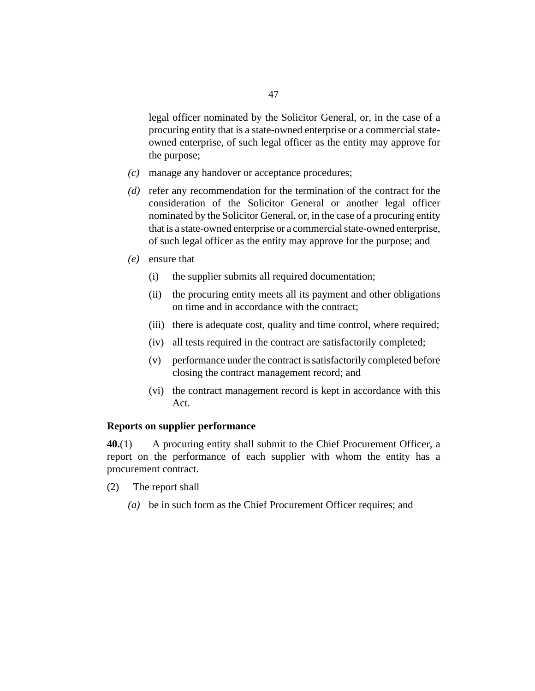<span id="page-46-0"></span>legal officer nominated by the Solicitor General, or, in the case of a procuring entity that is a state-owned enterprise or a commercial stateowned enterprise, of such legal officer as the entity may approve for the purpose;

- manage any handover or acceptance procedures; *(c)*
- (d) refer any recommendation for the termination of the contract for the consideration of the Solicitor General or another legal officer nominated by the Solicitor General, or, in the case of a procuring entity that is a state-owned enterprise or a commercial state-owned enterprise, of such legal officer as the entity may approve for the purpose; and
- ensure that *(e)*
	- the supplier submits all required documentation; (i)
	- the procuring entity meets all its payment and other obligations on time and in accordance with the contract; (ii)
	- (iii) there is adequate cost, quality and time control, where required;
	- (iv) all tests required in the contract are satisfactorily completed;
	- performance under the contract is satisfactorily completed before (v) closing the contract management record; and
	- (vi) the contract management record is kept in accordance with this Act.

### **Reports on supplier performance**

A procuring entity shall submit to the Chief Procurement Officer, a report on the performance of each supplier with whom the entity has a procurement contract. **40.**(1)

- The report shall (2)
	- be in such form as the Chief Procurement Officer requires; and *(a)*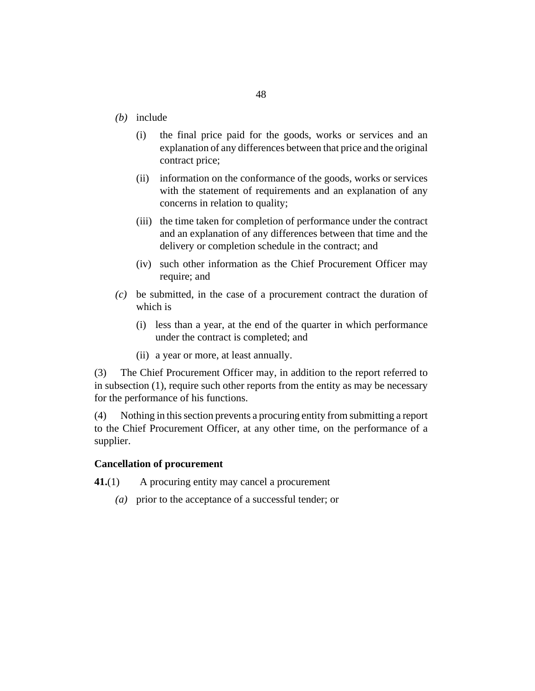- <span id="page-47-0"></span>(b) include
	- the final price paid for the goods, works or services and an explanation of any differences between that price and the original contract price; (i)
	- (ii) information on the conformance of the goods, works or services with the statement of requirements and an explanation of any concerns in relation to quality;
	- (iii) the time taken for completion of performance under the contract and an explanation of any differences between that time and the delivery or completion schedule in the contract; and
	- (iv) such other information as the Chief Procurement Officer may require; and
- be submitted, in the case of a procurement contract the duration of *(c)* which is
	- (i) less than a year, at the end of the quarter in which performance under the contract is completed; and
	- (ii) a year or more, at least annually.

The Chief Procurement Officer may, in addition to the report referred to in subsection (1), require such other reports from the entity as may be necessary for the performance of his functions. (3)

Nothing in this section prevents a procuring entity from submitting a report to the Chief Procurement Officer, at any other time, on the performance of a supplier. (4)

### **Cancellation of procurement**

- A procuring entity may cancel a procurement **41.**(1)
	- prior to the acceptance of a successful tender; or *(a)*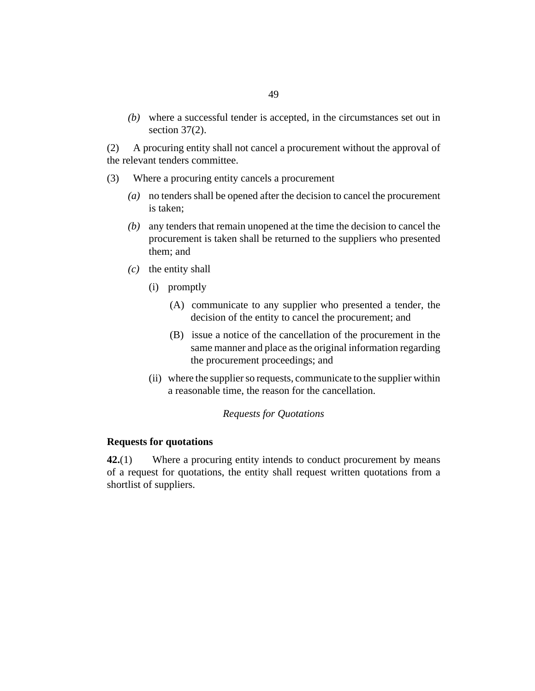where a successful tender is accepted, in the circumstances set out in *(b)* [section 37](#page-44-0)(2).

A procuring entity shall not cancel a procurement without the approval of the relevant tenders committee. (2)

- Where a procuring entity cancels a procurement (3)
	- no tenders shall be opened after the decision to cancel the procurement *(a)* is taken;
	- any tenders that remain unopened at the time the decision to cancel the *(b)* procurement is taken shall be returned to the suppliers who presented them; and
	- $(c)$  the entity shall
		- (i) promptly
			- (A) communicate to any supplier who presented a tender, the decision of the entity to cancel the procurement; and
			- (B) issue a notice of the cancellation of the procurement in the same manner and place as the original information regarding the procurement proceedings; and
		- (ii) where the supplier so requests, communicate to the supplier within a reasonable time, the reason for the cancellation.

### *Requests for Quotations*

#### **Requests for quotations**

Where a procuring entity intends to conduct procurement by means of a request for quotations, the entity shall request written quotations from a shortlist of suppliers. **42.**(1)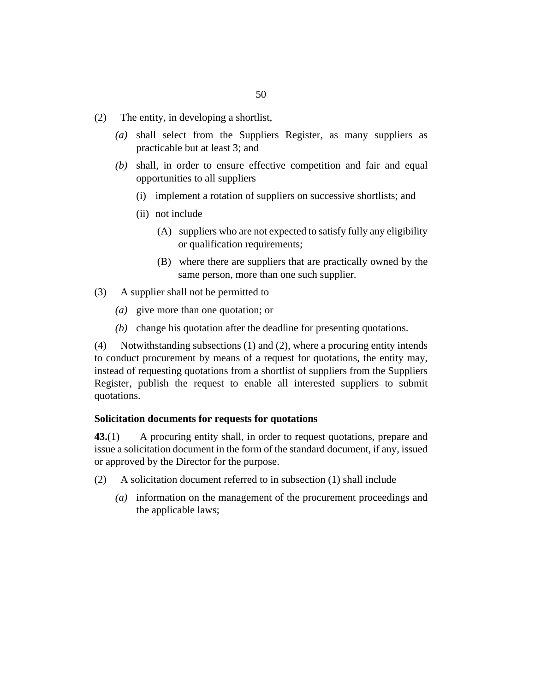- The entity, in developing a shortlist, (2)
	- shall select from the Suppliers Register, as many suppliers as *(a)* practicable but at least 3; and
	- shall, in order to ensure effective competition and fair and equal *(b)* opportunities to all suppliers
		- (i) implement a rotation of suppliers on successive shortlists; and
		- (ii) not include
			- (A) suppliers who are not expected to satisfy fully any eligibility or qualification requirements;
			- where there are suppliers that are practically owned by the (B) same person, more than one such supplier.
- A supplier shall not be permitted to (3)
	- give more than one quotation; or *(a)*
	- (b) change his quotation after the deadline for presenting quotations.

Notwithstanding subsections (1) and (2), where a procuring entity intends to conduct procurement by means of a request for quotations, the entity may, instead of requesting quotations from a shortlist of suppliers from the Suppliers Register, publish the request to enable all interested suppliers to submit quotations. (4)

#### **Solicitation documents for requests for quotations**

A procuring entity shall, in order to request quotations, prepare and issue a solicitation document in the form of the standard document, if any, issued or approved by the Director for the purpose. **43.**(1)

- A solicitation document referred to in subsection (1) shall include (2)
	- information on the management of the procurement proceedings and *(a)* the applicable laws;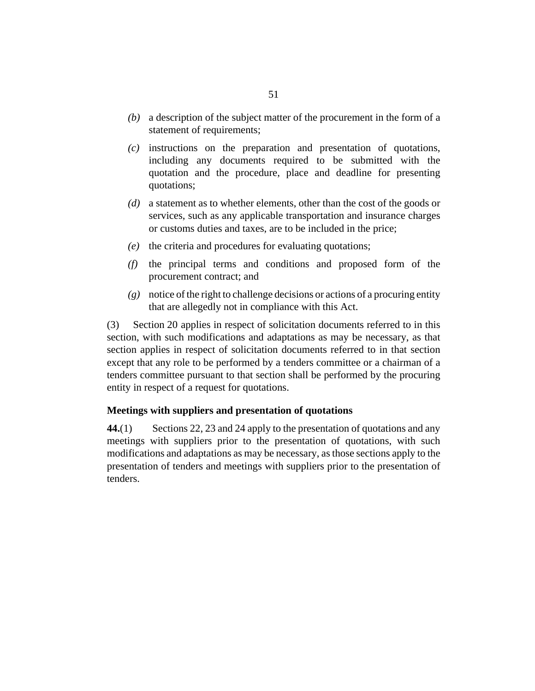- a description of the subject matter of the procurement in the form of a *(b)* statement of requirements;
- $(c)$  instructions on the preparation and presentation of quotations, including any documents required to be submitted with the quotation and the procedure, place and deadline for presenting quotations;
- a statement as to whether elements, other than the cost of the goods or *(d)* services, such as any applicable transportation and insurance charges or customs duties and taxes, are to be included in the price;
- (e) the criteria and procedures for evaluating quotations;
- $(f)$  the principal terms and conditions and proposed form of the procurement contract; and
- notice of the right to challenge decisions or actions of a procuring entity *(g)* that are allegedly not in compliance with this Act.

[Section 20](#page-28-0) applies in respect of solicitation documents referred to in this section, with such modifications and adaptations as may be necessary, as that section applies in respect of solicitation documents referred to in that section except that any role to be performed by a tenders committee or a chairman of a tenders committee pursuant to that section shall be performed by the procuring entity in respect of a request for quotations. (3)

## **Meetings with suppliers and presentation of quotations**

[Sections 22](#page-30-0), [23](#page-31-0) and [24](#page-31-0) apply to the presentation of quotations and any meetings with suppliers prior to the presentation of quotations, with such modifications and adaptations as may be necessary, as those sections apply to the presentation of tenders and meetings with suppliers prior to the presentation of tenders. **44.**(1)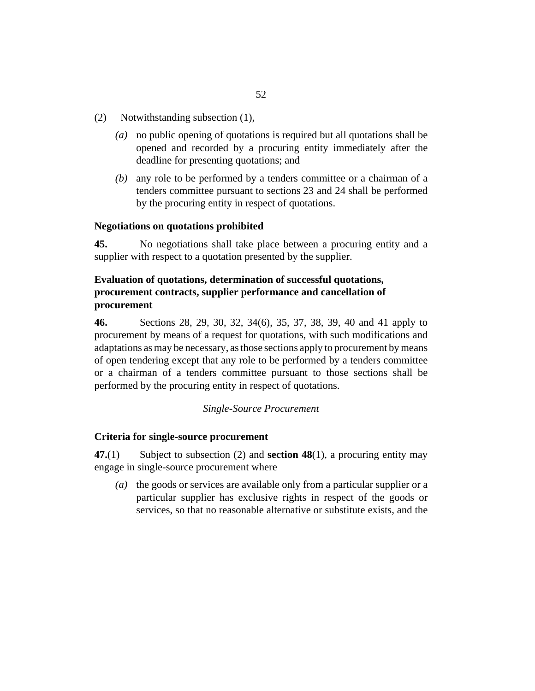- <span id="page-51-0"></span>Notwithstanding subsection (1), (2)
	- no public opening of quotations is required but all quotations shall be *(a)* opened and recorded by a procuring entity immediately after the deadline for presenting quotations; and
	- any role to be performed by a tenders committee or a chairman of a *(b)* tenders committee pursuant to [sections 23](#page-31-0) and [24](#page-31-0) shall be performed by the procuring entity in respect of quotations.

#### **Negotiations on quotations prohibited**

No negotiations shall take place between a procuring entity and a supplier with respect to a quotation presented by the supplier. **45.**

# **Evaluation of quotations, determination of successful quotations, procurement contracts, supplier performance and cancellation of procurement**

[Sections 28](#page-34-0), [29,](#page-35-0) [30](#page-36-0), [32,](#page-40-0) [34](#page-42-0)(6), [35](#page-43-0), [37,](#page-44-0) [38](#page-45-0), [39,](#page-45-0) [40](#page-46-0) and [41](#page-47-0) apply to procurement by means of a request for quotations, with such modifications and adaptations as may be necessary, as those sections apply to procurement by means of open tendering except that any role to be performed by a tenders committee or a chairman of a tenders committee pursuant to those sections shall be performed by the procuring entity in respect of quotations. **46.**

### *Single-Source Procurement*

### **Criteria for single-source procurement**

Subject to subsection (2) and **[section 48](#page-52-0)**(1), a procuring entity may engage in single-source procurement where **47.**(1)

(a) the goods or services are available only from a particular supplier or a particular supplier has exclusive rights in respect of the goods or services, so that no reasonable alternative or substitute exists, and the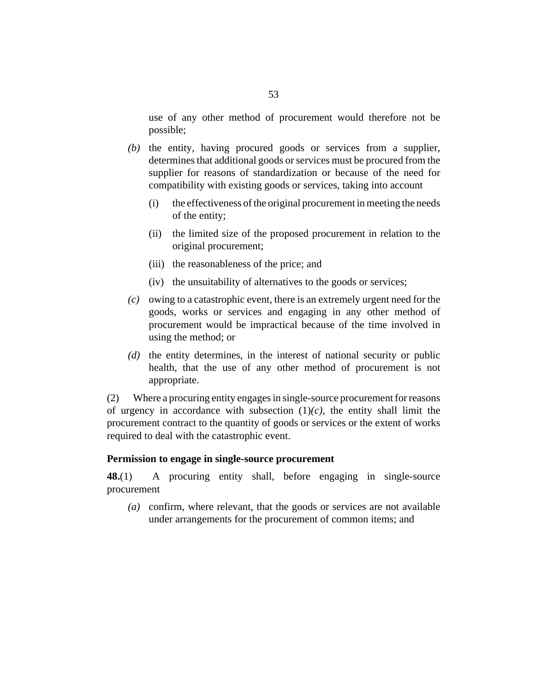<span id="page-52-0"></span>use of any other method of procurement would therefore not be possible;

- $(t)$  the entity, having procured goods or services from a supplier, determines that additional goods or services must be procured from the supplier for reasons of standardization or because of the need for compatibility with existing goods or services, taking into account
	- the effectiveness of the original procurement in meeting the needs of the entity; (i)
	- (ii) the limited size of the proposed procurement in relation to the original procurement;
	- (iii) the reasonableness of the price; and
	- (iv) the unsuitability of alternatives to the goods or services;
- $(c)$  owing to a catastrophic event, there is an extremely urgent need for the goods, works or services and engaging in any other method of procurement would be impractical because of the time involved in using the method; or
- (d) the entity determines, in the interest of national security or public health, that the use of any other method of procurement is not appropriate.

Where a procuring entity engages in single-source procurement for reasons of urgency in accordance with subsection  $(1)(c)$ , the entity shall limit the procurement contract to the quantity of goods or services or the extent of works required to deal with the catastrophic event. (2)

#### **Permission to engage in single-source procurement**

A procuring entity shall, before engaging in single-source procurement **48.**(1)

confirm, where relevant, that the goods or services are not available *(a)* under arrangements for the procurement of common items; and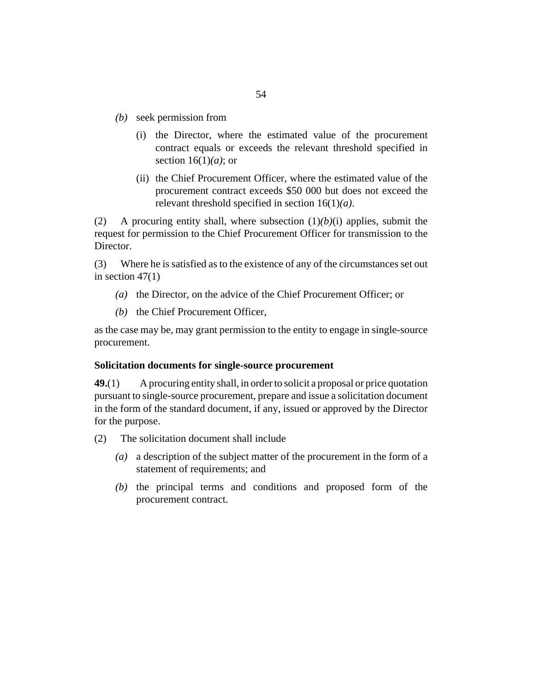- (b) seek permission from
	- (i) the Director, where the estimated value of the procurement contract equals or exceeds the relevant threshold specified in [section 16\(](#page-23-0)1)*(a)*; or
	- (ii) the Chief Procurement Officer, where the estimated value of the procurement contract exceeds \$50 000 but does not exceed the relevant threshold specified in [section 16\(](#page-23-0)1)*(a)*.

A procuring entity shall, where subsection (1)*(b)*(i) applies, submit the request for permission to the Chief Procurement Officer for transmission to the Director. (2)

Where he is satisfied as to the existence of any of the circumstances set out in section  $47(1)$ (3)

- (a) the Director, on the advice of the Chief Procurement Officer; or
- (b) the Chief Procurement Officer,

as the case may be, may grant permission to the entity to engage in single-source procurement.

#### **Solicitation documents for single-source procurement**

A procuring entity shall, in order to solicit a proposal or price quotation pursuant to single-source procurement, prepare and issue a solicitation document in the form of the standard document, if any, issued or approved by the Director for the purpose. **49.**(1)

- The solicitation document shall include (2)
	- a description of the subject matter of the procurement in the form of a *(a)* statement of requirements; and
	- $(b)$  the principal terms and conditions and proposed form of the procurement contract.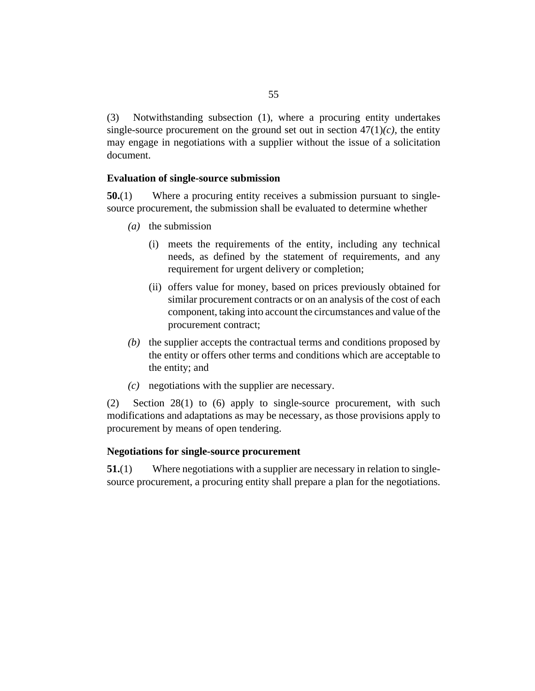<span id="page-54-0"></span>Notwithstanding subsection (1), where a procuring entity undertakes single-source procurement on the ground set out in section  $47(1)(c)$ , the entity may engage in negotiations with a supplier without the issue of a solicitation document. (3)

### **Evaluation of single-source submission**

Where a procuring entity receives a submission pursuant to singlesource procurement, the submission shall be evaluated to determine whether **50.**(1)

- (*a*) the submission
	- meets the requirements of the entity, including any technical (i) needs, as defined by the statement of requirements, and any requirement for urgent delivery or completion;
	- (ii) offers value for money, based on prices previously obtained for similar procurement contracts or on an analysis of the cost of each component, taking into account the circumstances and value of the procurement contract;
- (b) the supplier accepts the contractual terms and conditions proposed by the entity or offers other terms and conditions which are acceptable to the entity; and
- negotiations with the supplier are necessary. *(c)*

[Section 28\(](#page-34-0)1) to (6) apply to single-source procurement, with such modifications and adaptations as may be necessary, as those provisions apply to procurement by means of open tendering. (2)

### **Negotiations for single-source procurement**

Where negotiations with a supplier are necessary in relation to singlesource procurement, a procuring entity shall prepare a plan for the negotiations. **51.**(1)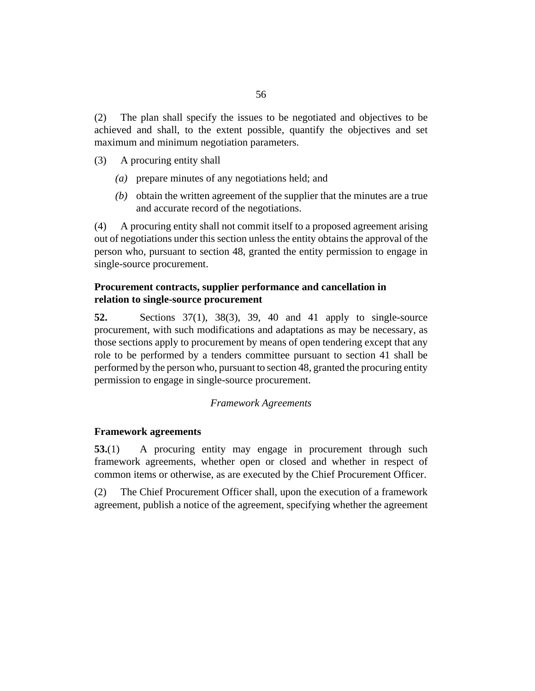The plan shall specify the issues to be negotiated and objectives to be achieved and shall, to the extent possible, quantify the objectives and set maximum and minimum negotiation parameters. (2)

- A procuring entity shall (3)
	- prepare minutes of any negotiations held; and *(a)*
	- $(b)$  obtain the written agreement of the supplier that the minutes are a true and accurate record of the negotiations.

A procuring entity shall not commit itself to a proposed agreement arising out of negotiations under this section unless the entity obtains the approval of the person who, pursuant to [section 48](#page-52-0), granted the entity permission to engage in single-source procurement. (4)

## **Procurement contracts, supplier performance and cancellation in relation to single-source procurement**

Sections  $37(1)$ ,  $38(3)$  $38(3)$ ,  $39$ ,  $40$  and  $41$  apply to single-source procurement, with such modifications and adaptations as may be necessary, as those sections apply to procurement by means of open tendering except that any role to be performed by a tenders committee pursuant to [section 41](#page-47-0) shall be performed by the person who, pursuant to [section 48,](#page-52-0) granted the procuring entity permission to engage in single-source procurement. **52.**

### *Framework Agreements*

### **Framework agreements**

A procuring entity may engage in procurement through such framework agreements, whether open or closed and whether in respect of common items or otherwise, as are executed by the Chief Procurement Officer. **53.**(1)

The Chief Procurement Officer shall, upon the execution of a framework agreement, publish a notice of the agreement, specifying whether the agreement (2)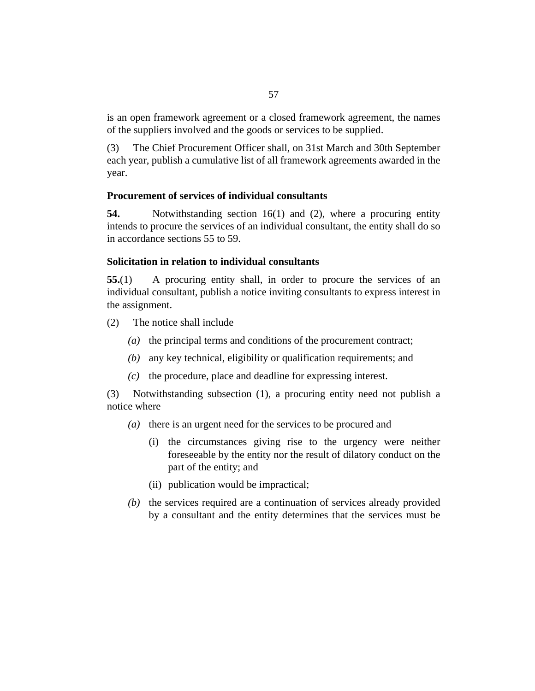is an open framework agreement or a closed framework agreement, the names of the suppliers involved and the goods or services to be supplied.

The Chief Procurement Officer shall, on 31st March and 30th September each year, publish a cumulative list of all framework agreements awarded in the year. (3)

### **Procurement of services of individual consultants**

Notwithstanding [section 16](#page-23-0)(1) and (2), where a procuring entity intends to procure the services of an individual consultant, the entity shall do so in accordance sections 55 to [59.](#page-58-0) **54.**

### **Solicitation in relation to individual consultants**

A procuring entity shall, in order to procure the services of an individual consultant, publish a notice inviting consultants to express interest in the assignment. **55.**(1)

- The notice shall include (2)
	- (a) the principal terms and conditions of the procurement contract;
	- any key technical, eligibility or qualification requirements; and *(b)*
	- $(c)$  the procedure, place and deadline for expressing interest.

Notwithstanding subsection (1), a procuring entity need not publish a (3) notice where

- (a) there is an urgent need for the services to be procured and
	- (i) the circumstances giving rise to the urgency were neither foreseeable by the entity nor the result of dilatory conduct on the part of the entity; and
	- (ii) publication would be impractical;
- (b) the services required are a continuation of services already provided by a consultant and the entity determines that the services must be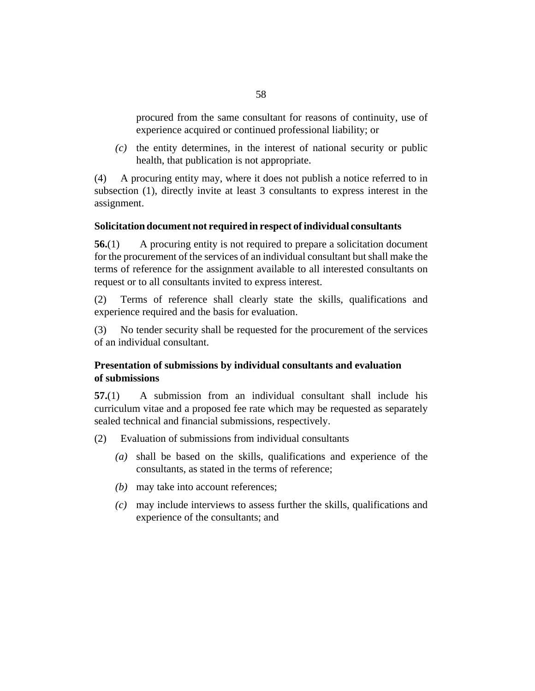procured from the same consultant for reasons of continuity, use of experience acquired or continued professional liability; or

 $\alpha$  the entity determines, in the interest of national security or public health, that publication is not appropriate.

A procuring entity may, where it does not publish a notice referred to in subsection (1), directly invite at least 3 consultants to express interest in the assignment. (4)

## **Solicitation document not required in respect of individual consultants**

A procuring entity is not required to prepare a solicitation document for the procurement of the services of an individual consultant but shall make the terms of reference for the assignment available to all interested consultants on request or to all consultants invited to express interest. **56.**(1)

Terms of reference shall clearly state the skills, qualifications and experience required and the basis for evaluation. (2)

No tender security shall be requested for the procurement of the services of an individual consultant. (3)

# **Presentation of submissions by individual consultants and evaluation of submissions**

A submission from an individual consultant shall include his curriculum vitae and a proposed fee rate which may be requested as separately sealed technical and financial submissions, respectively. **57.**(1)

- Evaluation of submissions from individual consultants (2)
	- shall be based on the skills, qualifications and experience of the *(a)* consultants, as stated in the terms of reference;
	- may take into account references; *(b)*
	- may include interviews to assess further the skills, qualifications and *(c)* experience of the consultants; and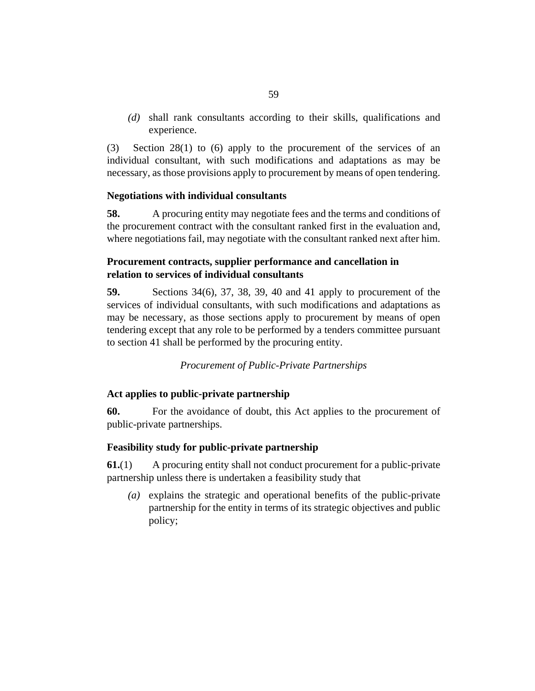<span id="page-58-0"></span>shall rank consultants according to their skills, qualifications and *(d)* experience.

[Section 28](#page-34-0)(1) to (6) apply to the procurement of the services of an individual consultant, with such modifications and adaptations as may be necessary, as those provisions apply to procurement by means of open tendering. (3)

### **Negotiations with individual consultants**

A procuring entity may negotiate fees and the terms and conditions of the procurement contract with the consultant ranked first in the evaluation and, where negotiations fail, may negotiate with the consultant ranked next after him. **58.**

# **Procurement contracts, supplier performance and cancellation in relation to services of individual consultants**

[Sections 34](#page-42-0)(6), [37,](#page-44-0) [38](#page-45-0), [39](#page-45-0), [40](#page-46-0) and [41](#page-47-0) apply to procurement of the services of individual consultants, with such modifications and adaptations as may be necessary, as those sections apply to procurement by means of open tendering except that any role to be performed by a tenders committee pursuant to [section 41](#page-47-0) shall be performed by the procuring entity. **59.**

## *Procurement of Public-Private Partnerships*

## **Act applies to public-private partnership**

For the avoidance of doubt, this Act applies to the procurement of public-private partnerships. **60.**

## **Feasibility study for public-private partnership**

A procuring entity shall not conduct procurement for a public-private partnership unless there is undertaken a feasibility study that **61.**(1)

explains the strategic and operational benefits of the public-private *(a)* partnership for the entity in terms of its strategic objectives and public policy;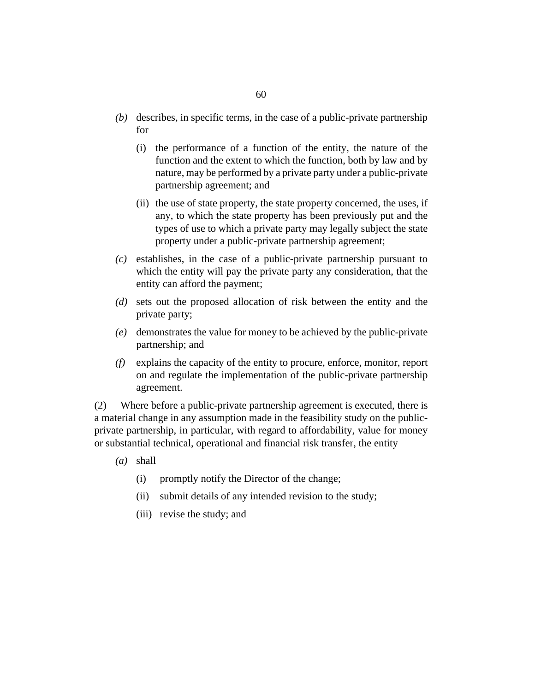- (b) describes, in specific terms, in the case of a public-private partnership for
	- (i) the performance of a function of the entity, the nature of the function and the extent to which the function, both by law and by nature, may be performed by a private party under a public-private partnership agreement; and
	- (ii) the use of state property, the state property concerned, the uses, if any, to which the state property has been previously put and the types of use to which a private party may legally subject the state property under a public-private partnership agreement;
- $(c)$  establishes, in the case of a public-private partnership pursuant to which the entity will pay the private party any consideration, that the entity can afford the payment;
- sets out the proposed allocation of risk between the entity and the *(d)* private party;
- demonstrates the value for money to be achieved by the public-private *(e)* partnership; and
- explains the capacity of the entity to procure, enforce, monitor, report *(f)* on and regulate the implementation of the public-private partnership agreement.

Where before a public-private partnership agreement is executed, there is a material change in any assumption made in the feasibility study on the publicprivate partnership, in particular, with regard to affordability, value for money or substantial technical, operational and financial risk transfer, the entity (2)

- shall *(a)*
	- promptly notify the Director of the change; (i)
	- (ii) submit details of any intended revision to the study;
	- (iii) revise the study; and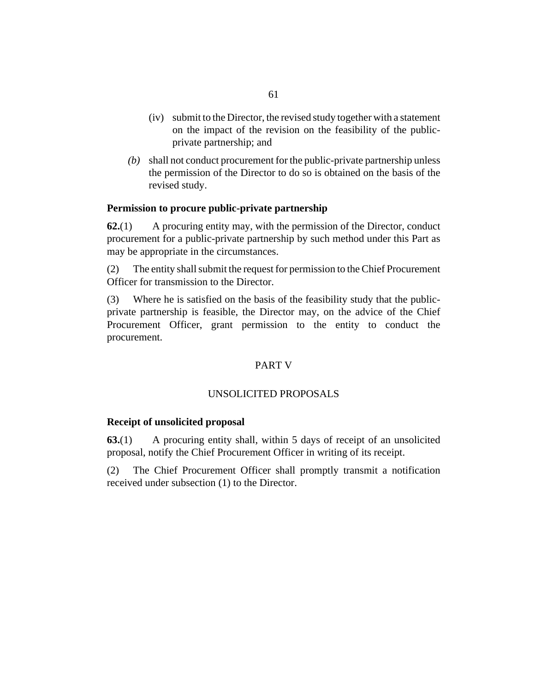- (iv) submit to the Director, the revised study together with a statement on the impact of the revision on the feasibility of the publicprivate partnership; and
- shall not conduct procurement for the public-private partnership unless *(b)* the permission of the Director to do so is obtained on the basis of the revised study.

### **Permission to procure public-private partnership**

A procuring entity may, with the permission of the Director, conduct procurement for a public-private partnership by such method under this Part as may be appropriate in the circumstances. **62.**(1)

The entity shall submit the request for permission to the Chief Procurement Officer for transmission to the Director. (2)

Where he is satisfied on the basis of the feasibility study that the publicprivate partnership is feasible, the Director may, on the advice of the Chief Procurement Officer, grant permission to the entity to conduct the procurement. (3)

### PART V

# UNSOLICITED PROPOSALS

#### **Receipt of unsolicited proposal**

A procuring entity shall, within 5 days of receipt of an unsolicited proposal, notify the Chief Procurement Officer in writing of its receipt. **63.**(1)

The Chief Procurement Officer shall promptly transmit a notification received under subsection (1) to the Director. (2)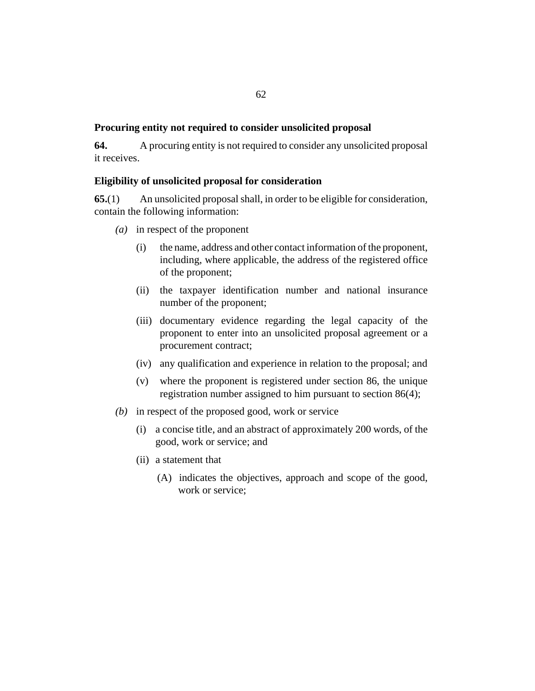### <span id="page-61-0"></span>**Procuring entity not required to consider unsolicited proposal**

A procuring entity is not required to consider any unsolicited proposal it receives. **64.**

### **Eligibility of unsolicited proposal for consideration**

An unsolicited proposal shall, in order to be eligible for consideration, contain the following information: **65.**(1)

- in respect of the proponent *(a)*
	- the name, address and other contact information of the proponent, including, where applicable, the address of the registered office of the proponent; (i)
	- (ii) the taxpayer identification number and national insurance number of the proponent;
	- (iii) documentary evidence regarding the legal capacity of the proponent to enter into an unsolicited proposal agreement or a procurement contract;
	- (iv) any qualification and experience in relation to the proposal; and
	- where the proponent is registered under [section 86](#page-78-0), the unique (v) registration number assigned to him pursuant to [section 86](#page-78-0)(4);
- (b) in respect of the proposed good, work or service
	- a concise title, and an abstract of approximately 200 words, of the (i) good, work or service; and
	- (ii) a statement that
		- (A) indicates the objectives, approach and scope of the good, work or service;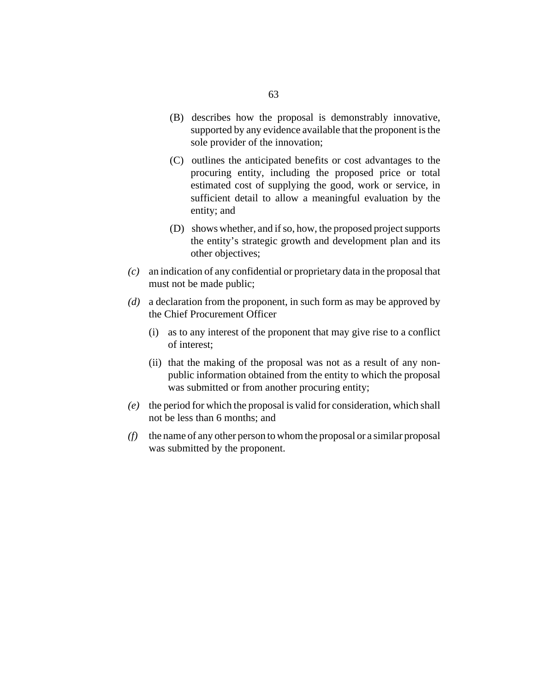- (B) describes how the proposal is demonstrably innovative, supported by any evidence available that the proponent is the sole provider of the innovation;
- (C) outlines the anticipated benefits or cost advantages to the procuring entity, including the proposed price or total estimated cost of supplying the good, work or service, in sufficient detail to allow a meaningful evaluation by the entity; and
- (D) shows whether, and if so, how, the proposed project supports the entity's strategic growth and development plan and its other objectives;
- an indication of any confidential or proprietary data in the proposal that *(c)* must not be made public;
- a declaration from the proponent, in such form as may be approved by *(d)* the Chief Procurement Officer
	- (i) as to any interest of the proponent that may give rise to a conflict of interest;
	- (ii) that the making of the proposal was not as a result of any nonpublic information obtained from the entity to which the proposal was submitted or from another procuring entity;
- the period for which the proposal is valid for consideration, which shall *(e)* not be less than 6 months; and
- the name of any other person to whom the proposal or a similar proposal *(f)* was submitted by the proponent.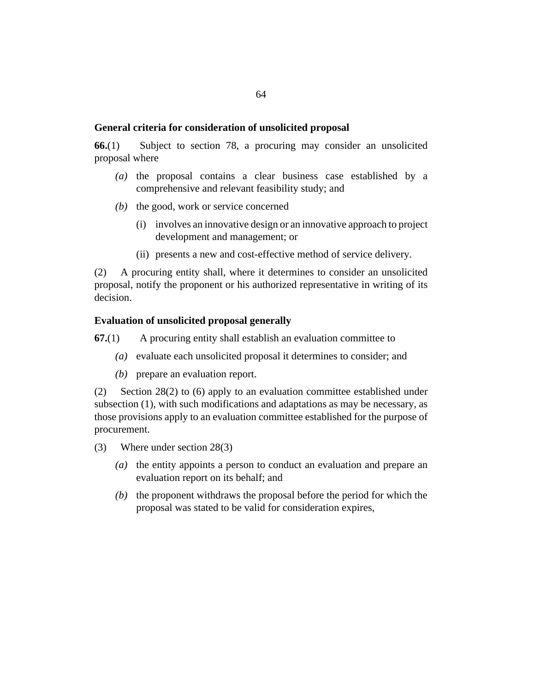### <span id="page-63-0"></span>**General criteria for consideration of unsolicited proposal**

Subject to [section 78,](#page-71-0) a procuring may consider an unsolicited proposal where **66.**(1)

- $(a)$  the proposal contains a clear business case established by a comprehensive and relevant feasibility study; and
- (b) the good, work or service concerned
	- (i) involves an innovative design or an innovative approach to project development and management; or
	- (ii) presents a new and cost-effective method of service delivery.

A procuring entity shall, where it determines to consider an unsolicited proposal, notify the proponent or his authorized representative in writing of its decision. (2)

#### **Evaluation of unsolicited proposal generally**

A procuring entity shall establish an evaluation committee to **67.**(1)

- evaluate each unsolicited proposal it determines to consider; and *(a)*
- (b) prepare an evaluation report.

[Section 28\(](#page-34-0)2) to (6) apply to an evaluation committee established under subsection (1), with such modifications and adaptations as may be necessary, as those provisions apply to an evaluation committee established for the purpose of procurement. (2)

- Where under [section 28](#page-34-0)(3) (3)
	- (a) the entity appoints a person to conduct an evaluation and prepare an evaluation report on its behalf; and
	- $(b)$  the proponent withdraws the proposal before the period for which the proposal was stated to be valid for consideration expires,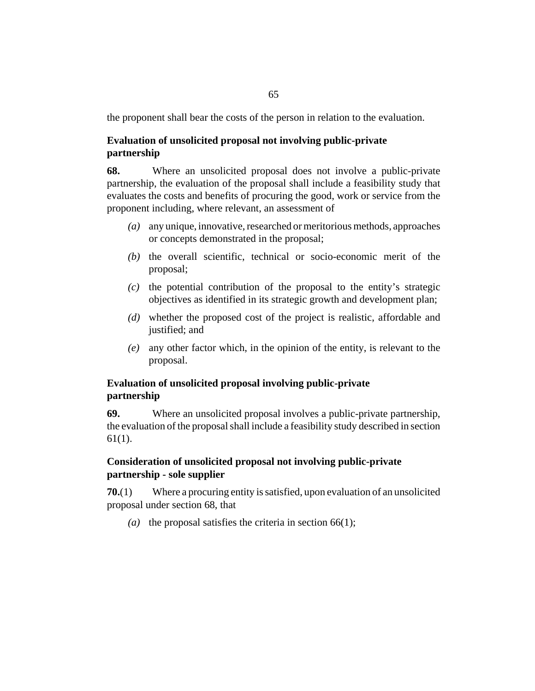<span id="page-64-0"></span>the proponent shall bear the costs of the person in relation to the evaluation.

# **Evaluation of unsolicited proposal not involving public-private partnership**

Where an unsolicited proposal does not involve a public-private partnership, the evaluation of the proposal shall include a feasibility study that evaluates the costs and benefits of procuring the good, work or service from the proponent including, where relevant, an assessment of **68.**

- any unique, innovative, researched or meritorious methods, approaches *(a)* or concepts demonstrated in the proposal;
- $(t)$  the overall scientific, technical or socio-economic merit of the proposal;
- $(c)$  the potential contribution of the proposal to the entity's strategic objectives as identified in its strategic growth and development plan;
- whether the proposed cost of the project is realistic, affordable and *(d)* justified; and
- any other factor which, in the opinion of the entity, is relevant to the *(e)* proposal.

# **Evaluation of unsolicited proposal involving public-private partnership**

Where an unsolicited proposal involves a public-private partnership, the evaluation of the proposal shall include a feasibility study described in [section](#page-58-0) [61](#page-58-0)(1). **69.**

# **Consideration of unsolicited proposal not involving public-private partnership - sole supplier**

Where a procuring entity is satisfied, upon evaluation of an unsolicited proposal under section 68, that **70.**(1)

(a) the proposal satisfies the criteria in section  $66(1)$ ;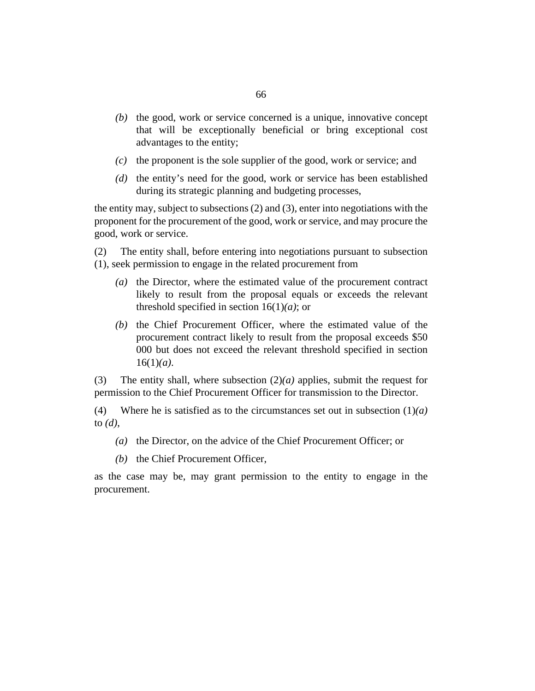- $(b)$  the good, work or service concerned is a unique, innovative concept that will be exceptionally beneficial or bring exceptional cost advantages to the entity;
- $(c)$  the proponent is the sole supplier of the good, work or service; and
- (d) the entity's need for the good, work or service has been established during its strategic planning and budgeting processes,

the entity may, subject to subsections (2) and (3), enter into negotiations with the proponent for the procurement of the good, work or service, and may procure the good, work or service.

The entity shall, before entering into negotiations pursuant to subsection (1), seek permission to engage in the related procurement from (2)

- (a) the Director, where the estimated value of the procurement contract likely to result from the proposal equals or exceeds the relevant threshold specified in [section 16](#page-23-0)(1)*(a)*; or
- $(b)$  the Chief Procurement Officer, where the estimated value of the procurement contract likely to result from the proposal exceeds \$50 000 but does not exceed the relevant threshold specified in [section](#page-23-0) [16](#page-23-0)(1)*(a)*.

The entity shall, where subsection  $(2)(a)$  applies, submit the request for permission to the Chief Procurement Officer for transmission to the Director. (3)

Where he is satisfied as to the circumstances set out in subsection (1)*(a)* to *(d)*, (4)

- (a) the Director, on the advice of the Chief Procurement Officer; or
- (b) the Chief Procurement Officer,

as the case may be, may grant permission to the entity to engage in the procurement.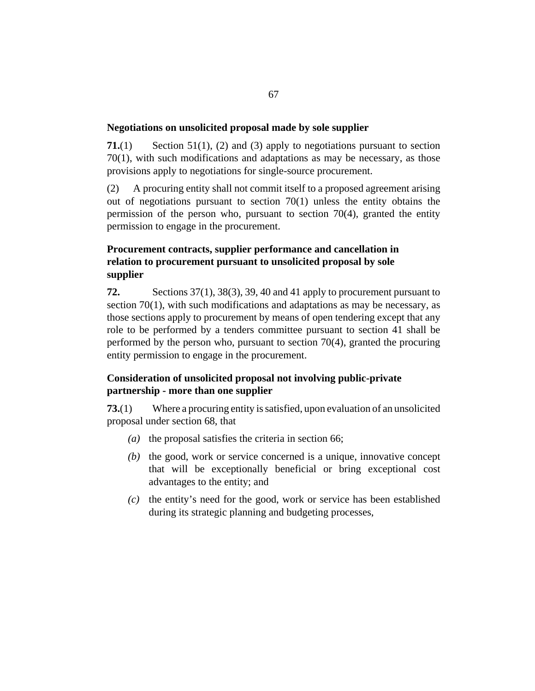### <span id="page-66-0"></span>**Negotiations on unsolicited proposal made by sole supplier**

[Section 51](#page-54-0)(1), (2) and (3) apply to negotiations pursuant to [section](#page-64-0) [70](#page-64-0)(1), with such modifications and adaptations as may be necessary, as those provisions apply to negotiations for single-source procurement. **71.**(1)

A procuring entity shall not commit itself to a proposed agreement arising out of negotiations pursuant to [section 70\(](#page-64-0)1) unless the entity obtains the permission of the person who, pursuant to [section 70](#page-64-0)(4), granted the entity permission to engage in the procurement. (2)

# **Procurement contracts, supplier performance and cancellation in relation to procurement pursuant to unsolicited proposal by sole supplier**

[Sections 37\(](#page-44-0)1), [38](#page-45-0)(3), [39,](#page-45-0) [40](#page-46-0) and [41](#page-47-0) apply to procurement pursuant to [section 70\(](#page-64-0)1), with such modifications and adaptations as may be necessary, as those sections apply to procurement by means of open tendering except that any role to be performed by a tenders committee pursuant to [section 41](#page-47-0) shall be performed by the person who, pursuant to [section 70](#page-64-0)(4), granted the procuring entity permission to engage in the procurement. **72.**

# **Consideration of unsolicited proposal not involving public-private partnership - more than one supplier**

Where a procuring entity is satisfied, upon evaluation of an unsolicited proposal under [section 68](#page-64-0), that **73.**(1)

- (a) the proposal satisfies the criteria in [section 66](#page-63-0);
- $(b)$  the good, work or service concerned is a unique, innovative concept that will be exceptionally beneficial or bring exceptional cost advantages to the entity; and
- (c) the entity's need for the good, work or service has been established during its strategic planning and budgeting processes,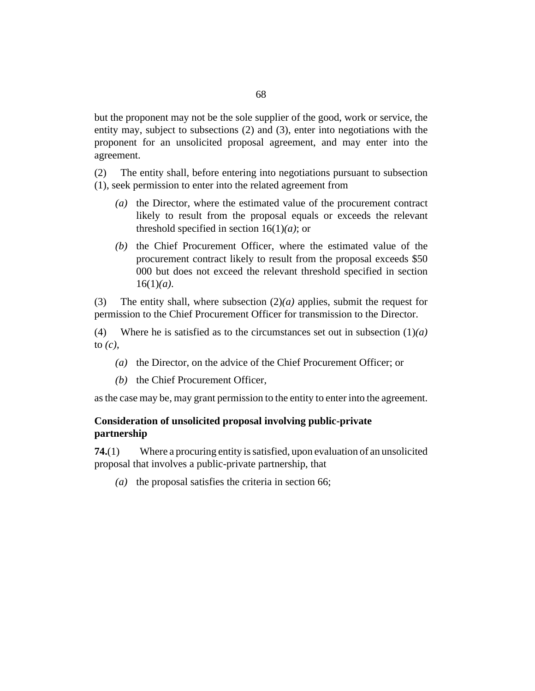<span id="page-67-0"></span>but the proponent may not be the sole supplier of the good, work or service, the entity may, subject to subsections (2) and (3), enter into negotiations with the proponent for an unsolicited proposal agreement, and may enter into the agreement.

The entity shall, before entering into negotiations pursuant to subsection (1), seek permission to enter into the related agreement from (2)

- (a) the Director, where the estimated value of the procurement contract likely to result from the proposal equals or exceeds the relevant threshold specified in [section 16](#page-23-0)(1)*(a)*; or
- $(b)$  the Chief Procurement Officer, where the estimated value of the procurement contract likely to result from the proposal exceeds \$50 000 but does not exceed the relevant threshold specified in [section](#page-23-0) [16](#page-23-0)(1)*(a)*.

The entity shall, where subsection  $(2)(a)$  applies, submit the request for permission to the Chief Procurement Officer for transmission to the Director. (3)

Where he is satisfied as to the circumstances set out in subsection (1)*(a)* to *(c)*, (4)

- (a) the Director, on the advice of the Chief Procurement Officer; or
- (b) the Chief Procurement Officer,

as the case may be, may grant permission to the entity to enter into the agreement.

## **Consideration of unsolicited proposal involving public-private partnership**

Where a procuring entity is satisfied, upon evaluation of an unsolicited proposal that involves a public-private partnership, that **74.**(1)

(a) the proposal satisfies the criteria in [section 66;](#page-63-0)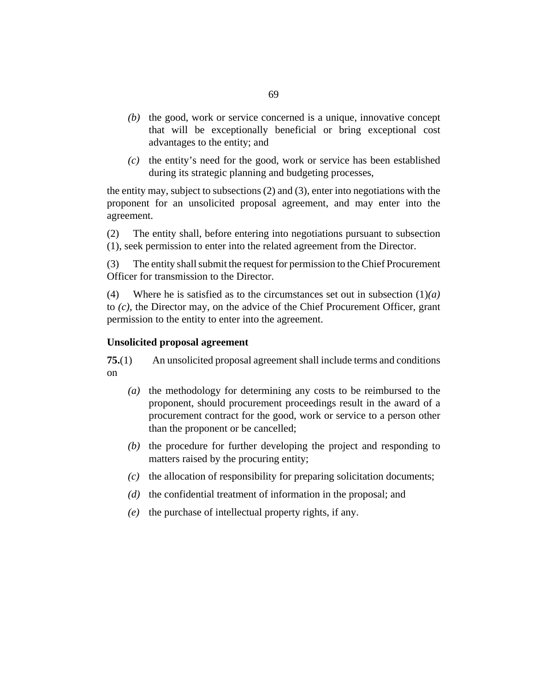- $(b)$  the good, work or service concerned is a unique, innovative concept that will be exceptionally beneficial or bring exceptional cost advantages to the entity; and
- (c) the entity's need for the good, work or service has been established during its strategic planning and budgeting processes,

the entity may, subject to subsections (2) and (3), enter into negotiations with the proponent for an unsolicited proposal agreement, and may enter into the agreement.

The entity shall, before entering into negotiations pursuant to subsection (1), seek permission to enter into the related agreement from the Director. (2)

The entity shall submit the request for permission to the Chief Procurement Officer for transmission to the Director. (3)

Where he is satisfied as to the circumstances set out in subsection (1)*(a)* to *(c)*, the Director may, on the advice of the Chief Procurement Officer, grant permission to the entity to enter into the agreement. (4)

### **Unsolicited proposal agreement**

An unsolicited proposal agreement shall include terms and conditions on **75.**(1)

- (a) the methodology for determining any costs to be reimbursed to the proponent, should procurement proceedings result in the award of a procurement contract for the good, work or service to a person other than the proponent or be cancelled;
- $(b)$  the procedure for further developing the project and responding to matters raised by the procuring entity;
- (c) the allocation of responsibility for preparing solicitation documents;
- (d) the confidential treatment of information in the proposal; and
- $(e)$  the purchase of intellectual property rights, if any.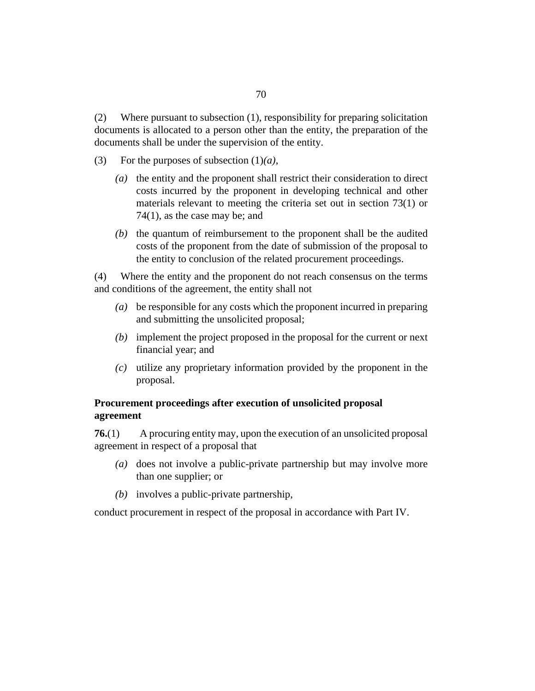Where pursuant to subsection (1), responsibility for preparing solicitation documents is allocated to a person other than the entity, the preparation of the documents shall be under the supervision of the entity. (2)

- For the purposes of subsection (1)*(a)*, (3)
	- (a) the entity and the proponent shall restrict their consideration to direct costs incurred by the proponent in developing technical and other materials relevant to meeting the criteria set out in [section 73](#page-66-0)(1) or [74](#page-67-0)(1), as the case may be; and
	- $(b)$  the quantum of reimbursement to the proponent shall be the audited costs of the proponent from the date of submission of the proposal to the entity to conclusion of the related procurement proceedings.

Where the entity and the proponent do not reach consensus on the terms and conditions of the agreement, the entity shall not (4)

- be responsible for any costs which the proponent incurred in preparing *(a)* and submitting the unsolicited proposal;
- (b) implement the project proposed in the proposal for the current or next financial year; and
- utilize any proprietary information provided by the proponent in the *(c)* proposal.

# **Procurement proceedings after execution of unsolicited proposal agreement**

A procuring entity may, upon the execution of an unsolicited proposal agreement in respect of a proposal that **76.**(1)

- (a) does not involve a public-private partnership but may involve more than one supplier; or
- (b) involves a public-private partnership,

conduct procurement in respect of the proposal in accordance with Part IV.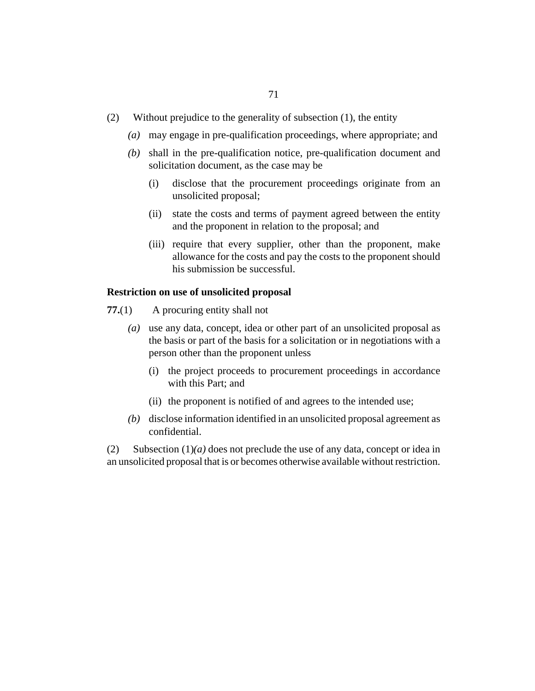- Without prejudice to the generality of subsection (1), the entity (2)
	- may engage in pre-qualification proceedings, where appropriate; and *(a)*
	- shall in the pre-qualification notice, pre-qualification document and *(b)* solicitation document, as the case may be
		- disclose that the procurement proceedings originate from an unsolicited proposal; (i)
		- (ii) state the costs and terms of payment agreed between the entity and the proponent in relation to the proposal; and
		- (iii) require that every supplier, other than the proponent, make allowance for the costs and pay the costs to the proponent should his submission be successful.

#### **Restriction on use of unsolicited proposal**

- A procuring entity shall not **77.**(1)
	- use any data, concept, idea or other part of an unsolicited proposal as *(a)* the basis or part of the basis for a solicitation or in negotiations with a person other than the proponent unless
		- (i) the project proceeds to procurement proceedings in accordance with this Part; and
		- (ii) the proponent is notified of and agrees to the intended use;
	- (b) disclose information identified in an unsolicited proposal agreement as confidential.

Subsection  $(1)(a)$  does not preclude the use of any data, concept or idea in an unsolicited proposal that is or becomes otherwise available without restriction. (2)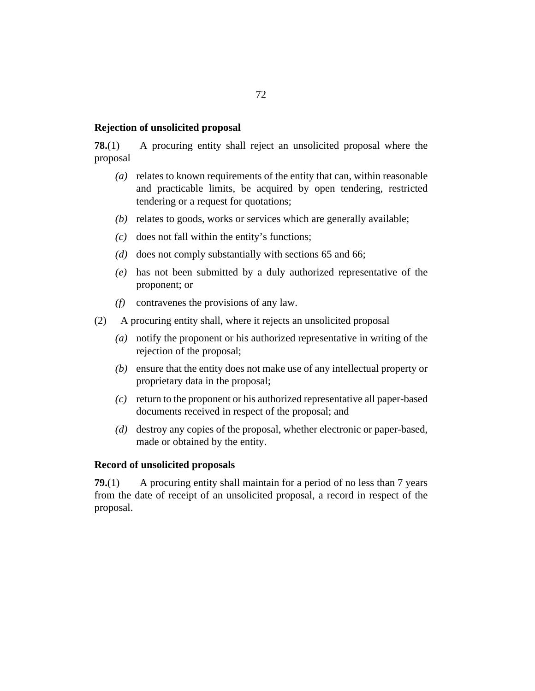### <span id="page-71-0"></span>**Rejection of unsolicited proposal**

A procuring entity shall reject an unsolicited proposal where the proposal **78.**(1)

- (a) relates to known requirements of the entity that can, within reasonable and practicable limits, be acquired by open tendering, restricted tendering or a request for quotations;
- (b) relates to goods, works or services which are generally available;
- $(c)$  does not fall within the entity's functions;
- (d) does not comply substantially with [sections 65](#page-61-0) and [66](#page-63-0);
- has not been submitted by a duly authorized representative of the *(e)* proponent; or
- contravenes the provisions of any law. *(f)*
- A procuring entity shall, where it rejects an unsolicited proposal (2)
	- notify the proponent or his authorized representative in writing of the *(a)* rejection of the proposal;
	- (b) ensure that the entity does not make use of any intellectual property or proprietary data in the proposal;
	- return to the proponent or his authorized representative all paper-based *(c)* documents received in respect of the proposal; and
	- (d) destroy any copies of the proposal, whether electronic or paper-based, made or obtained by the entity.

### **Record of unsolicited proposals**

A procuring entity shall maintain for a period of no less than 7 years from the date of receipt of an unsolicited proposal, a record in respect of the proposal. **79.**(1)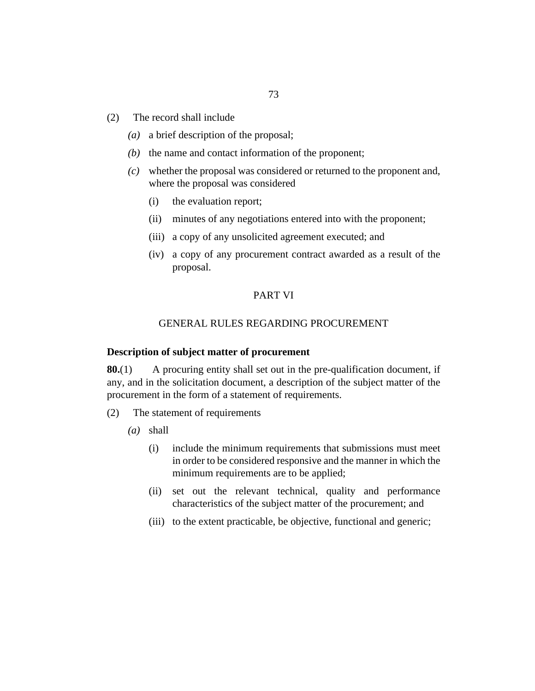- 
- The record shall include (2)
	- (a) a brief description of the proposal;
	- $(b)$  the name and contact information of the proponent;
	- whether the proposal was considered or returned to the proponent and, *(c)* where the proposal was considered

73

- the evaluation report; (i)
- minutes of any negotiations entered into with the proponent; (ii)
- (iii) a copy of any unsolicited agreement executed; and
- a copy of any procurement contract awarded as a result of the (iv) proposal.

### PART VI

# GENERAL RULES REGARDING PROCUREMENT

### **Description of subject matter of procurement**

A procuring entity shall set out in the pre-qualification document, if any, and in the solicitation document, a description of the subject matter of the procurement in the form of a statement of requirements. **80.**(1)

- The statement of requirements (2)
	- shall *(a)*
		- include the minimum requirements that submissions must meet in order to be considered responsive and the manner in which the minimum requirements are to be applied; (i)
		- (ii) set out the relevant technical, quality and performance characteristics of the subject matter of the procurement; and
		- (iii) to the extent practicable, be objective, functional and generic;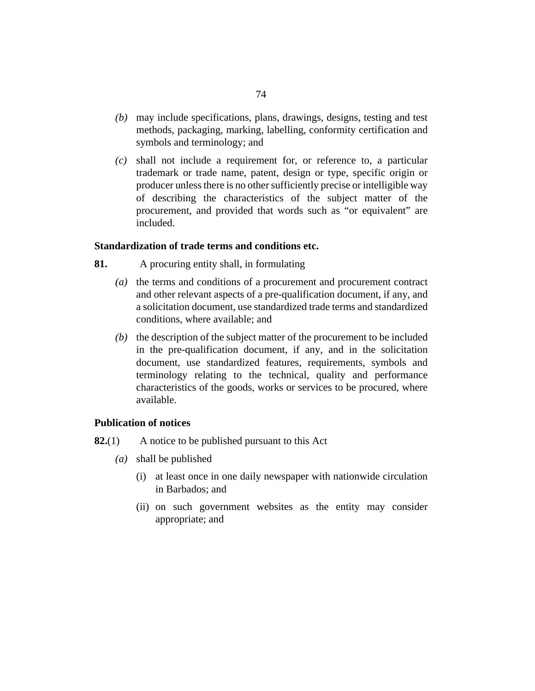- may include specifications, plans, drawings, designs, testing and test *(b)* methods, packaging, marking, labelling, conformity certification and symbols and terminology; and
- shall not include a requirement for, or reference to, a particular *(c)* trademark or trade name, patent, design or type, specific origin or producer unless there is no other sufficiently precise or intelligible way of describing the characteristics of the subject matter of the procurement, and provided that words such as "or equivalent" are included.

# **Standardization of trade terms and conditions etc.**

- A procuring entity shall, in formulating **81.**
	- (a) the terms and conditions of a procurement and procurement contract and other relevant aspects of a pre-qualification document, if any, and a solicitation document, use standardized trade terms and standardized conditions, where available; and
	- $(b)$  the description of the subject matter of the procurement to be included in the pre-qualification document, if any, and in the solicitation document, use standardized features, requirements, symbols and terminology relating to the technical, quality and performance characteristics of the goods, works or services to be procured, where available.

### **Publication of notices**

- A notice to be published pursuant to this Act **82.**(1)
	- shall be published *(a)*
		- (i) at least once in one daily newspaper with nationwide circulation in Barbados; and
		- (ii) on such government websites as the entity may consider appropriate; and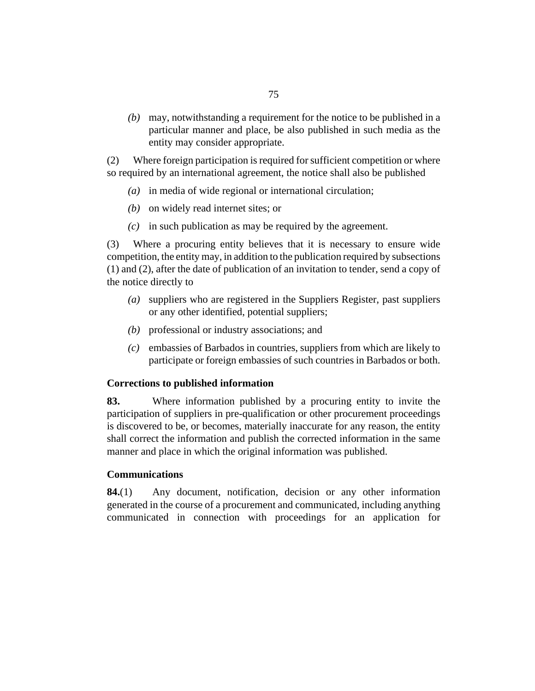may, notwithstanding a requirement for the notice to be published in a *(b)* particular manner and place, be also published in such media as the entity may consider appropriate.

Where foreign participation is required for sufficient competition or where so required by an international agreement, the notice shall also be published (2)

- (a) in media of wide regional or international circulation;
- (b) on widely read internet sites; or
- $(c)$  in such publication as may be required by the agreement.

Where a procuring entity believes that it is necessary to ensure wide competition, the entity may, in addition to the publication required by subsections (1) and (2), after the date of publication of an invitation to tender, send a copy of the notice directly to (3)

- suppliers who are registered in the Suppliers Register, past suppliers *(a)* or any other identified, potential suppliers;
- (b) professional or industry associations; and
- embassies of Barbados in countries, suppliers from which are likely to *(c)* participate or foreign embassies of such countries in Barbados or both.

### **Corrections to published information**

Where information published by a procuring entity to invite the participation of suppliers in pre-qualification or other procurement proceedings is discovered to be, or becomes, materially inaccurate for any reason, the entity shall correct the information and publish the corrected information in the same manner and place in which the original information was published. **83.**

### **Communications**

Any document, notification, decision or any other information generated in the course of a procurement and communicated, including anything communicated in connection with proceedings for an application for **84.**(1)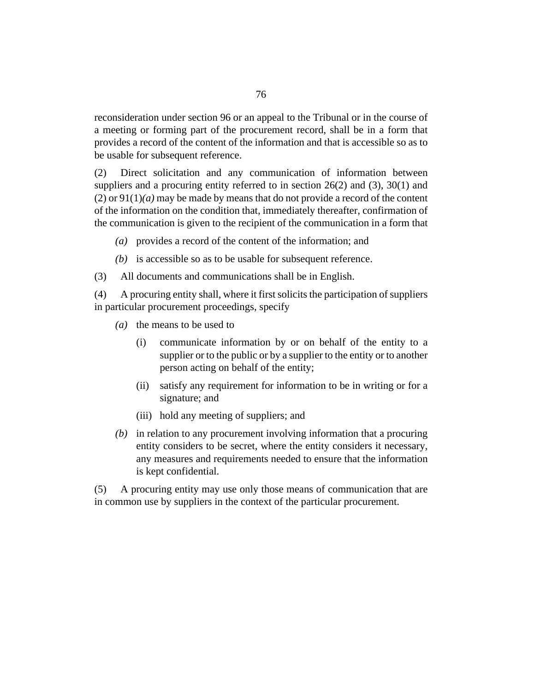reconsideration under [section 96](#page-89-0) or an appeal to the Tribunal or in the course of a meeting or forming part of the procurement record, shall be in a form that provides a record of the content of the information and that is accessible so as to be usable for subsequent reference.

Direct solicitation and any communication of information between suppliers and a procuring entity referred to in section  $26(2)$  and  $(3)$ ,  $30(1)$  $30(1)$  and (2) or  $91(1)(a)$  may be made by means that do not provide a record of the content of the information on the condition that, immediately thereafter, confirmation of the communication is given to the recipient of the communication in a form that (2)

- provides a record of the content of the information; and *(a)*
- $(b)$  is accessible so as to be usable for subsequent reference.
- All documents and communications shall be in English. (3)

A procuring entity shall, where it first solicits the participation of suppliers in particular procurement proceedings, specify (4)

- (a) the means to be used to
	- communicate information by or on behalf of the entity to a supplier or to the public or by a supplier to the entity or to another person acting on behalf of the entity; (i)
	- satisfy any requirement for information to be in writing or for a signature; and (ii)
	- (iii) hold any meeting of suppliers; and
- (b) in relation to any procurement involving information that a procuring entity considers to be secret, where the entity considers it necessary, any measures and requirements needed to ensure that the information is kept confidential.

A procuring entity may use only those means of communication that are in common use by suppliers in the context of the particular procurement. (5)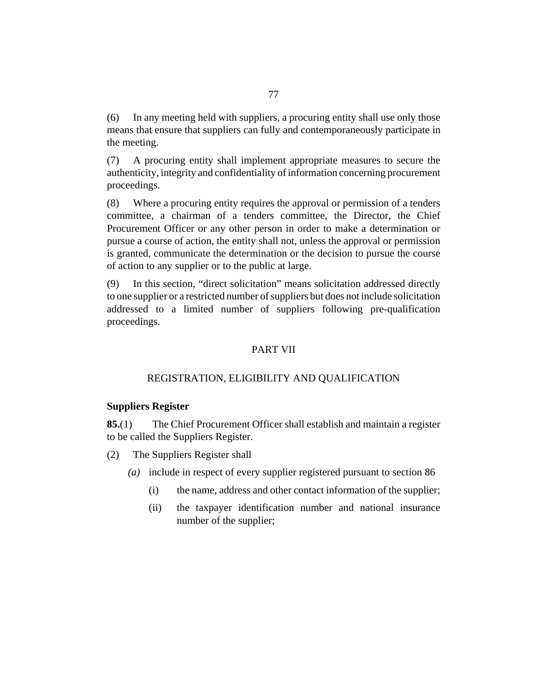In any meeting held with suppliers, a procuring entity shall use only those means that ensure that suppliers can fully and contemporaneously participate in the meeting. (6)

A procuring entity shall implement appropriate measures to secure the authenticity, integrity and confidentiality of information concerning procurement proceedings. (7)

Where a procuring entity requires the approval or permission of a tenders committee, a chairman of a tenders committee, the Director, the Chief Procurement Officer or any other person in order to make a determination or pursue a course of action, the entity shall not, unless the approval or permission is granted, communicate the determination or the decision to pursue the course of action to any supplier or to the public at large. (8)

In this section, "direct solicitation" means solicitation addressed directly to one supplier or a restricted number of suppliers but does not include solicitation addressed to a limited number of suppliers following pre-qualification proceedings. (9)

### PART VII

### REGISTRATION, ELIGIBILITY AND QUALIFICATION

### **Suppliers Register**

The Chief Procurement Officer shall establish and maintain a register to be called the Suppliers Register. **85.**(1)

The Suppliers Register shall (2)

- include in respect of every supplier registered pursuant to [section 86](#page-78-0) *(a)*
	- the name, address and other contact information of the supplier; (i)
	- the taxpayer identification number and national insurance number of the supplier;  $(ii)$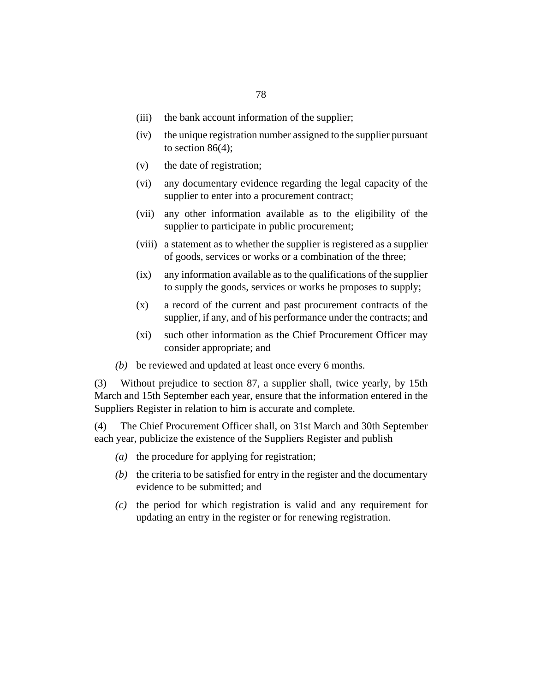- the bank account information of the supplier; (iii)
- the unique registration number assigned to the supplier pursuant to section  $86(4)$ ;  $(iv)$
- the date of registration; (v)
- any documentary evidence regarding the legal capacity of the supplier to enter into a procurement contract; (vi)
- any other information available as to the eligibility of the supplier to participate in public procurement; (vii)
- (viii) a statement as to whether the supplier is registered as a supplier of goods, services or works or a combination of the three;
- any information available as to the qualifications of the supplier to supply the goods, services or works he proposes to supply;  $(ix)$
- a record of the current and past procurement contracts of the supplier, if any, and of his performance under the contracts; and (x)
- such other information as the Chief Procurement Officer may consider appropriate; and  $(xi)$
- be reviewed and updated at least once every 6 months. *(b)*

Without prejudice to [section 87,](#page-79-0) a supplier shall, twice yearly, by 15th March and 15th September each year, ensure that the information entered in the Suppliers Register in relation to him is accurate and complete. (3)

The Chief Procurement Officer shall, on 31st March and 30th September each year, publicize the existence of the Suppliers Register and publish (4)

- (a) the procedure for applying for registration;
- $(b)$  the criteria to be satisfied for entry in the register and the documentary evidence to be submitted; and
- $\alpha$  the period for which registration is valid and any requirement for updating an entry in the register or for renewing registration.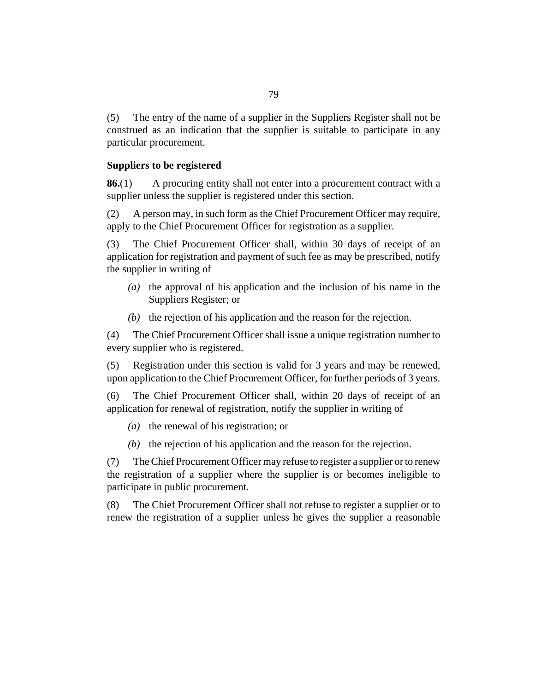<span id="page-78-0"></span>The entry of the name of a supplier in the Suppliers Register shall not be construed as an indication that the supplier is suitable to participate in any particular procurement. (5)

### **Suppliers to be registered**

A procuring entity shall not enter into a procurement contract with a supplier unless the supplier is registered under this section. **86.**(1)

A person may, in such form as the Chief Procurement Officer may require, apply to the Chief Procurement Officer for registration as a supplier. (2)

The Chief Procurement Officer shall, within 30 days of receipt of an application for registration and payment of such fee as may be prescribed, notify the supplier in writing of (3)

- (a) the approval of his application and the inclusion of his name in the Suppliers Register; or
- $(t)$  the rejection of his application and the reason for the rejection.

The Chief Procurement Officer shall issue a unique registration number to every supplier who is registered. (4)

Registration under this section is valid for 3 years and may be renewed, upon application to the Chief Procurement Officer, for further periods of 3 years. (5)

The Chief Procurement Officer shall, within 20 days of receipt of an application for renewal of registration, notify the supplier in writing of (6)

- (a) the renewal of his registration; or
- $(t)$  the rejection of his application and the reason for the rejection.

The Chief Procurement Officer may refuse to register a supplier or to renew the registration of a supplier where the supplier is or becomes ineligible to participate in public procurement. (7)

The Chief Procurement Officer shall not refuse to register a supplier or to renew the registration of a supplier unless he gives the supplier a reasonable (8)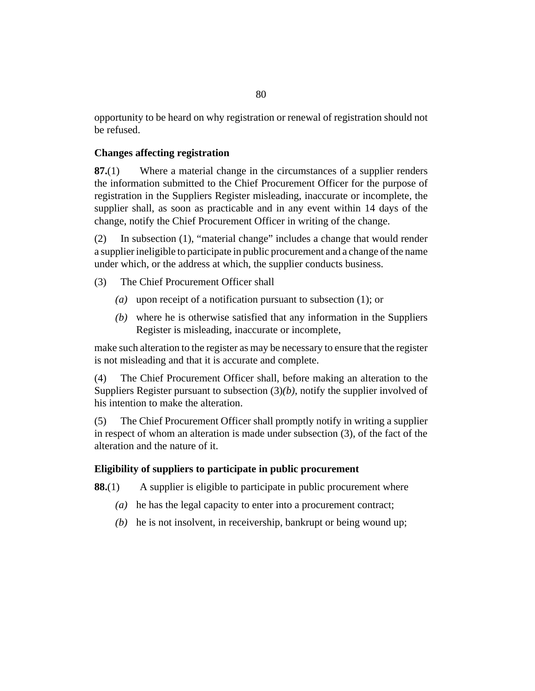<span id="page-79-0"></span>opportunity to be heard on why registration or renewal of registration should not be refused.

# **Changes affecting registration**

Where a material change in the circumstances of a supplier renders the information submitted to the Chief Procurement Officer for the purpose of registration in the Suppliers Register misleading, inaccurate or incomplete, the supplier shall, as soon as practicable and in any event within 14 days of the change, notify the Chief Procurement Officer in writing of the change. **87.**(1)

In subsection (1), "material change" includes a change that would render a supplier ineligible to participate in public procurement and a change of the name under which, or the address at which, the supplier conducts business. (2)

- The Chief Procurement Officer shall (3)
	- (a) upon receipt of a notification pursuant to subsection  $(1)$ ; or
	- where he is otherwise satisfied that any information in the Suppliers *(b)* Register is misleading, inaccurate or incomplete,

make such alteration to the register as may be necessary to ensure that the register is not misleading and that it is accurate and complete.

The Chief Procurement Officer shall, before making an alteration to the Suppliers Register pursuant to subsection (3)*(b)*, notify the supplier involved of his intention to make the alteration. (4)

The Chief Procurement Officer shall promptly notify in writing a supplier in respect of whom an alteration is made under subsection (3), of the fact of the alteration and the nature of it. (5)

# **Eligibility of suppliers to participate in public procurement**

A supplier is eligible to participate in public procurement where **88.**(1)

- (a) he has the legal capacity to enter into a procurement contract;
- (b) he is not insolvent, in receivership, bankrupt or being wound up;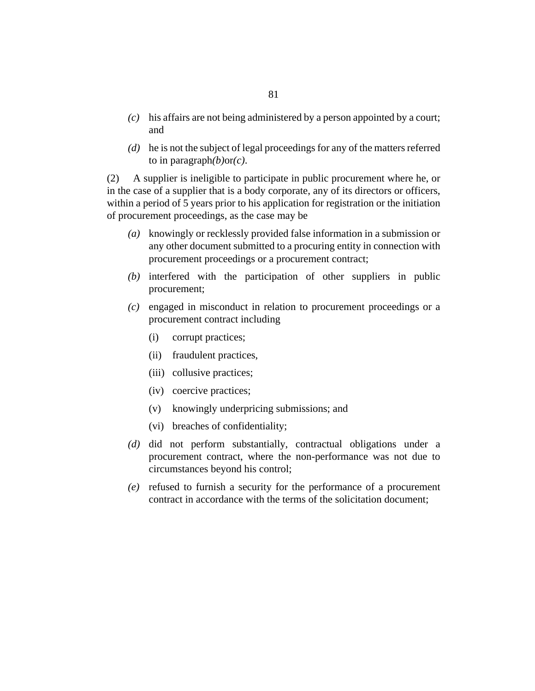- his affairs are not being administered by a person appointed by a court; *(c)* and
- he is not the subject of legal proceedings for any of the matters referred *(d)* to in paragraph*(b)*or*(c)*.

A supplier is ineligible to participate in public procurement where he, or in the case of a supplier that is a body corporate, any of its directors or officers, within a period of 5 years prior to his application for registration or the initiation of procurement proceedings, as the case may be (2)

- knowingly or recklessly provided false information in a submission or *(a)* any other document submitted to a procuring entity in connection with procurement proceedings or a procurement contract;
- (b) interfered with the participation of other suppliers in public procurement;
- engaged in misconduct in relation to procurement proceedings or a *(c)* procurement contract including
	- corrupt practices; (i)
	- (ii) fraudulent practices,
	- (iii) collusive practices;
	- (iv) coercive practices;
	- knowingly underpricing submissions; and (v)
	- breaches of confidentiality; (vi)
- (d) did not perform substantially, contractual obligations under a procurement contract, where the non-performance was not due to circumstances beyond his control;
- refused to furnish a security for the performance of a procurement *(e)* contract in accordance with the terms of the solicitation document;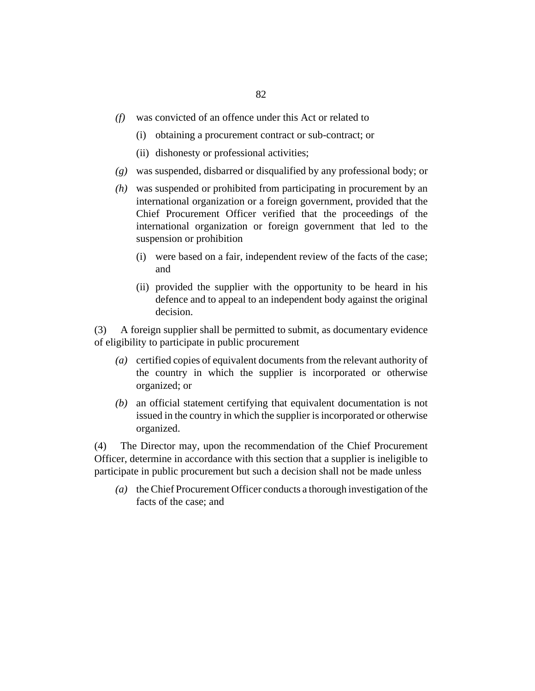- was convicted of an offence under this Act or related to *(f)*
	- (i) obtaining a procurement contract or sub-contract; or
	- (ii) dishonesty or professional activities;
- was suspended, disbarred or disqualified by any professional body; or *(g)*
- was suspended or prohibited from participating in procurement by an *(h)* international organization or a foreign government, provided that the Chief Procurement Officer verified that the proceedings of the international organization or foreign government that led to the suspension or prohibition
	- were based on a fair, independent review of the facts of the case; (i) and
	- (ii) provided the supplier with the opportunity to be heard in his defence and to appeal to an independent body against the original decision.

A foreign supplier shall be permitted to submit, as documentary evidence of eligibility to participate in public procurement (3)

- certified copies of equivalent documents from the relevant authority of *(a)* the country in which the supplier is incorporated or otherwise organized; or
- an official statement certifying that equivalent documentation is not *(b)* issued in the country in which the supplier is incorporated or otherwise organized.

The Director may, upon the recommendation of the Chief Procurement Officer, determine in accordance with this section that a supplier is ineligible to participate in public procurement but such a decision shall not be made unless (4)

(a) the Chief Procurement Officer conducts a thorough investigation of the facts of the case; and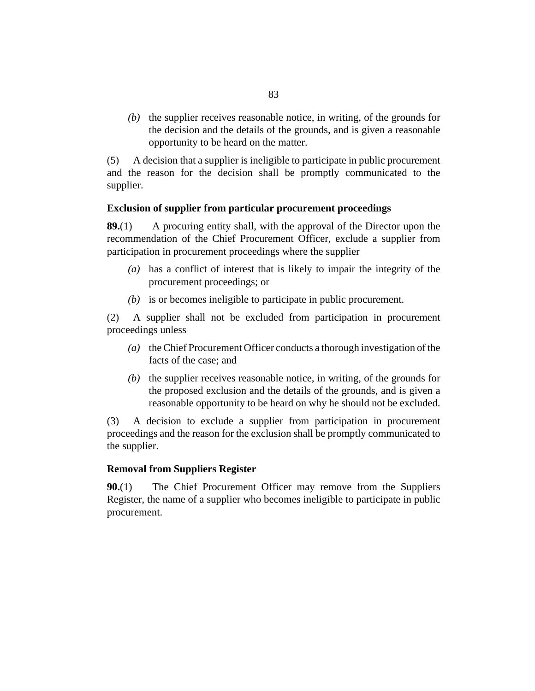$(b)$  the supplier receives reasonable notice, in writing, of the grounds for the decision and the details of the grounds, and is given a reasonable opportunity to be heard on the matter.

A decision that a supplier is ineligible to participate in public procurement and the reason for the decision shall be promptly communicated to the supplier. (5)

# **Exclusion of supplier from particular procurement proceedings**

A procuring entity shall, with the approval of the Director upon the recommendation of the Chief Procurement Officer, exclude a supplier from participation in procurement proceedings where the supplier **89.**(1)

- has a conflict of interest that is likely to impair the integrity of the *(a)* procurement proceedings; or
- $(b)$  is or becomes ineligible to participate in public procurement.

A supplier shall not be excluded from participation in procurement proceedings unless (2)

- (a) the Chief Procurement Officer conducts a thorough investigation of the facts of the case; and
- $(b)$  the supplier receives reasonable notice, in writing, of the grounds for the proposed exclusion and the details of the grounds, and is given a reasonable opportunity to be heard on why he should not be excluded.

A decision to exclude a supplier from participation in procurement proceedings and the reason for the exclusion shall be promptly communicated to the supplier. (3)

### **Removal from Suppliers Register**

The Chief Procurement Officer may remove from the Suppliers Register, the name of a supplier who becomes ineligible to participate in public procurement. **90.**(1)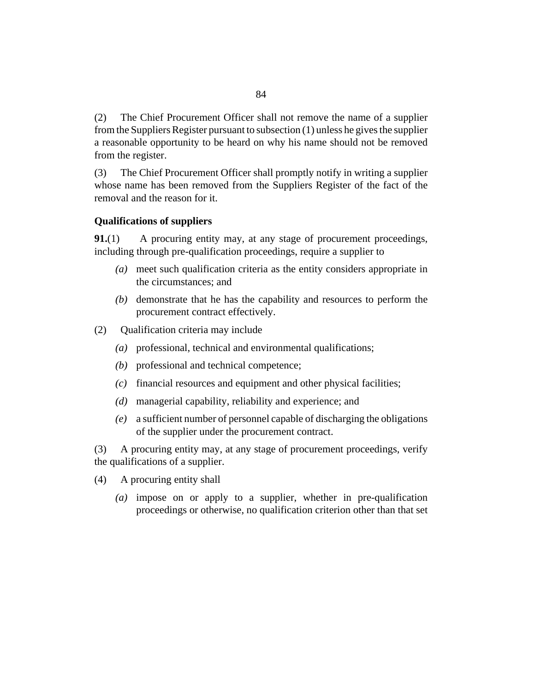<span id="page-83-0"></span>The Chief Procurement Officer shall not remove the name of a supplier from the Suppliers Register pursuant to subsection (1) unless he gives the supplier a reasonable opportunity to be heard on why his name should not be removed from the register. (2)

The Chief Procurement Officer shall promptly notify in writing a supplier whose name has been removed from the Suppliers Register of the fact of the removal and the reason for it. (3)

### **Qualifications of suppliers**

A procuring entity may, at any stage of procurement proceedings, including through pre-qualification proceedings, require a supplier to **91.**(1)

- meet such qualification criteria as the entity considers appropriate in *(a)* the circumstances; and
- (b) demonstrate that he has the capability and resources to perform the procurement contract effectively.
- Qualification criteria may include (2)
	- professional, technical and environmental qualifications; *(a)*
	- (b) professional and technical competence;
	- financial resources and equipment and other physical facilities; *(c)*
	- managerial capability, reliability and experience; and *(d)*
	- a sufficient number of personnel capable of discharging the obligations *(e)* of the supplier under the procurement contract.

A procuring entity may, at any stage of procurement proceedings, verify the qualifications of a supplier. (3)

- A procuring entity shall (4)
	- impose on or apply to a supplier, whether in pre-qualification *(a)* proceedings or otherwise, no qualification criterion other than that set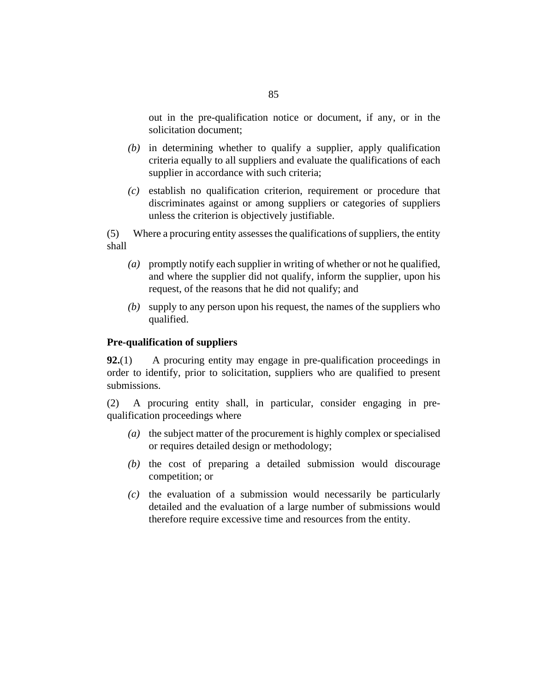out in the pre-qualification notice or document, if any, or in the solicitation document;

- in determining whether to qualify a supplier, apply qualification *(b)* criteria equally to all suppliers and evaluate the qualifications of each supplier in accordance with such criteria;
- establish no qualification criterion, requirement or procedure that *(c)* discriminates against or among suppliers or categories of suppliers unless the criterion is objectively justifiable.

Where a procuring entity assesses the qualifications of suppliers, the entity shall (5)

- promptly notify each supplier in writing of whether or not he qualified, *(a)* and where the supplier did not qualify, inform the supplier, upon his request, of the reasons that he did not qualify; and
- supply to any person upon his request, the names of the suppliers who *(b)* qualified.

### **Pre-qualification of suppliers**

A procuring entity may engage in pre-qualification proceedings in order to identify, prior to solicitation, suppliers who are qualified to present submissions. **92.**(1)

A procuring entity shall, in particular, consider engaging in prequalification proceedings where (2)

- (a) the subject matter of the procurement is highly complex or specialised or requires detailed design or methodology;
- $(t)$  the cost of preparing a detailed submission would discourage competition; or
- $\alpha$  the evaluation of a submission would necessarily be particularly detailed and the evaluation of a large number of submissions would therefore require excessive time and resources from the entity.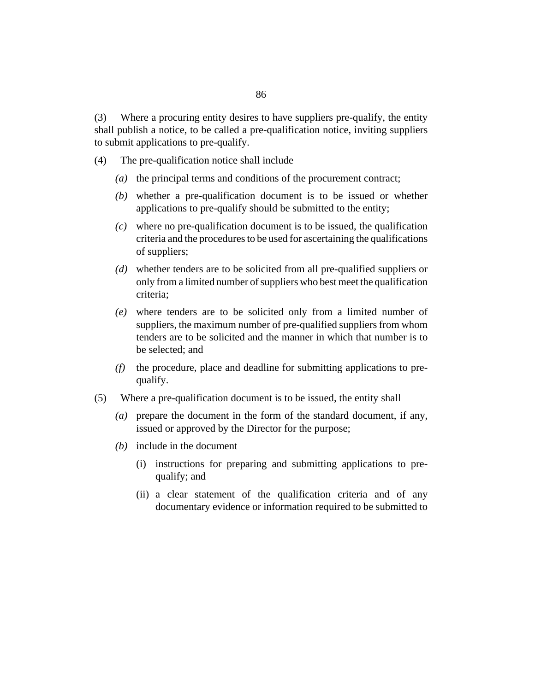Where a procuring entity desires to have suppliers pre-qualify, the entity shall publish a notice, to be called a pre-qualification notice, inviting suppliers to submit applications to pre-qualify. (3)

- The pre-qualification notice shall include (4)
	- (a) the principal terms and conditions of the procurement contract;
	- whether a pre-qualification document is to be issued or whether *(b)* applications to pre-qualify should be submitted to the entity;
	- where no pre-qualification document is to be issued, the qualification *(c)* criteria and the procedures to be used for ascertaining the qualifications of suppliers;
	- whether tenders are to be solicited from all pre-qualified suppliers or *(d)* only from a limited number of suppliers who best meet the qualification criteria;
	- where tenders are to be solicited only from a limited number of *(e)* suppliers, the maximum number of pre-qualified suppliers from whom tenders are to be solicited and the manner in which that number is to be selected; and
	- the procedure, place and deadline for submitting applications to pre-*(f)* qualify.
- Where a pre-qualification document is to be issued, the entity shall (5)
	- prepare the document in the form of the standard document, if any, *(a)* issued or approved by the Director for the purpose;
	- (b) include in the document
		- (i) instructions for preparing and submitting applications to prequalify; and
		- (ii) a clear statement of the qualification criteria and of any documentary evidence or information required to be submitted to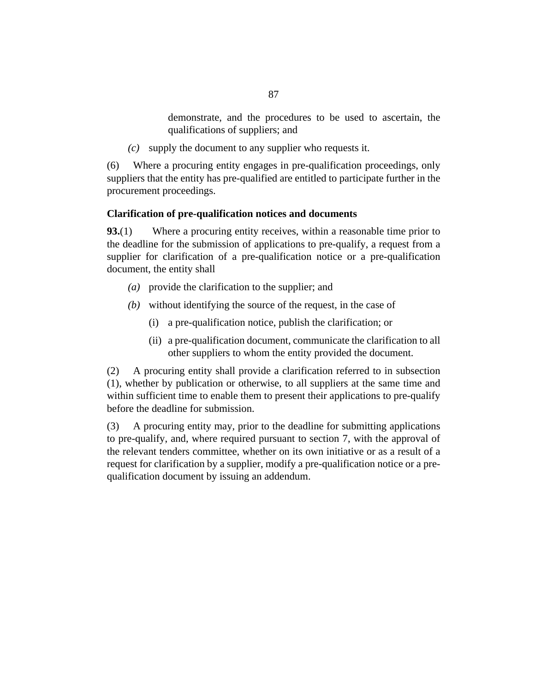demonstrate, and the procedures to be used to ascertain, the qualifications of suppliers; and

supply the document to any supplier who requests it. *(c)*

Where a procuring entity engages in pre-qualification proceedings, only suppliers that the entity has pre-qualified are entitled to participate further in the procurement proceedings. (6)

# **Clarification of pre-qualification notices and documents**

Where a procuring entity receives, within a reasonable time prior to the deadline for the submission of applications to pre-qualify, a request from a supplier for clarification of a pre-qualification notice or a pre-qualification document, the entity shall **93.**(1)

- provide the clarification to the supplier; and *(a)*
- without identifying the source of the request, in the case of *(b)*
	- a pre-qualification notice, publish the clarification; or (i)
	- (ii) a pre-qualification document, communicate the clarification to all other suppliers to whom the entity provided the document.

A procuring entity shall provide a clarification referred to in subsection (1), whether by publication or otherwise, to all suppliers at the same time and within sufficient time to enable them to present their applications to pre-qualify before the deadline for submission. (2)

A procuring entity may, prior to the deadline for submitting applications to pre-qualify, and, where required pursuant to [section 7](#page-18-0), with the approval of the relevant tenders committee, whether on its own initiative or as a result of a request for clarification by a supplier, modify a pre-qualification notice or a prequalification document by issuing an addendum. (3)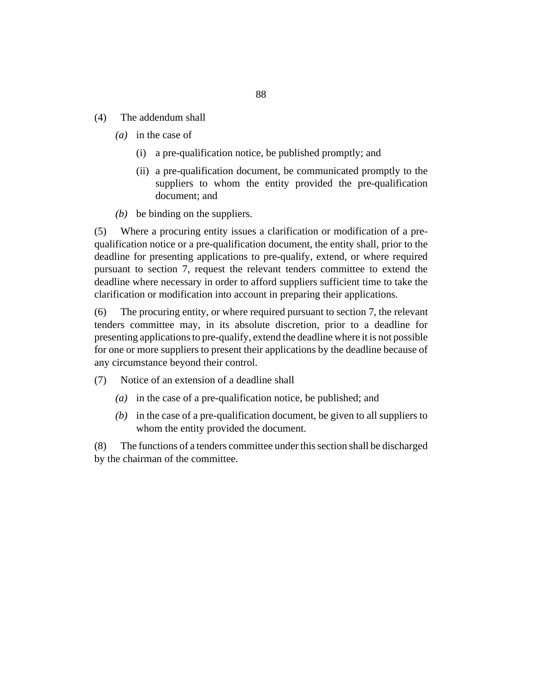- The addendum shall (4)
	- (*a*) in the case of
		- a pre-qualification notice, be published promptly; and (i)
		- (ii) a pre-qualification document, be communicated promptly to the suppliers to whom the entity provided the pre-qualification document; and
	- $(b)$  be binding on the suppliers.

Where a procuring entity issues a clarification or modification of a prequalification notice or a pre-qualification document, the entity shall, prior to the deadline for presenting applications to pre-qualify, extend, or where required pursuant to [section 7,](#page-18-0) request the relevant tenders committee to extend the deadline where necessary in order to afford suppliers sufficient time to take the clarification or modification into account in preparing their applications. (5)

The procuring entity, or where required pursuant to [section 7,](#page-18-0) the relevant tenders committee may, in its absolute discretion, prior to a deadline for presenting applications to pre-qualify, extend the deadline where it is not possible for one or more suppliers to present their applications by the deadline because of any circumstance beyond their control. (6)

- Notice of an extension of a deadline shall (7)
	- in the case of a pre-qualification notice, be published; and *(a)*
	- $(b)$  in the case of a pre-qualification document, be given to all suppliers to whom the entity provided the document.

The functions of a tenders committee under this section shall be discharged by the chairman of the committee. (8)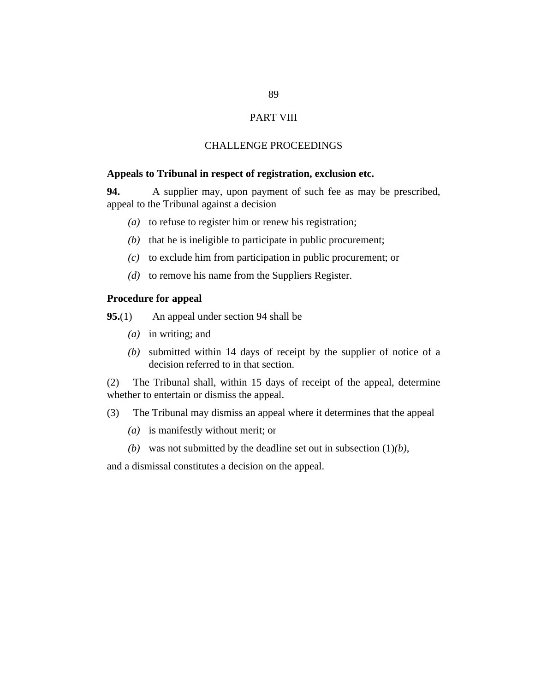# PART VIII

### CHALLENGE PROCEEDINGS

### <span id="page-88-0"></span>**Appeals to Tribunal in respect of registration, exclusion etc.**

A supplier may, upon payment of such fee as may be prescribed, appeal to the Tribunal against a decision **94.**

- (a) to refuse to register him or renew his registration;
- $(b)$  that he is ineligible to participate in public procurement;
- $(c)$  to exclude him from participation in public procurement; or
- $(d)$  to remove his name from the Suppliers Register.

# **Procedure for appeal**

An appeal under section 94 shall be **95.**(1)

- (*a*) in writing; and
- submitted within 14 days of receipt by the supplier of notice of a *(b)* decision referred to in that section.

The Tribunal shall, within 15 days of receipt of the appeal, determine whether to entertain or dismiss the appeal. (2)

- The Tribunal may dismiss an appeal where it determines that the appeal (3)
	- is manifestly without merit; or *(a)*
	- (b) was not submitted by the deadline set out in subsection  $(1)(b)$ ,

and a dismissal constitutes a decision on the appeal.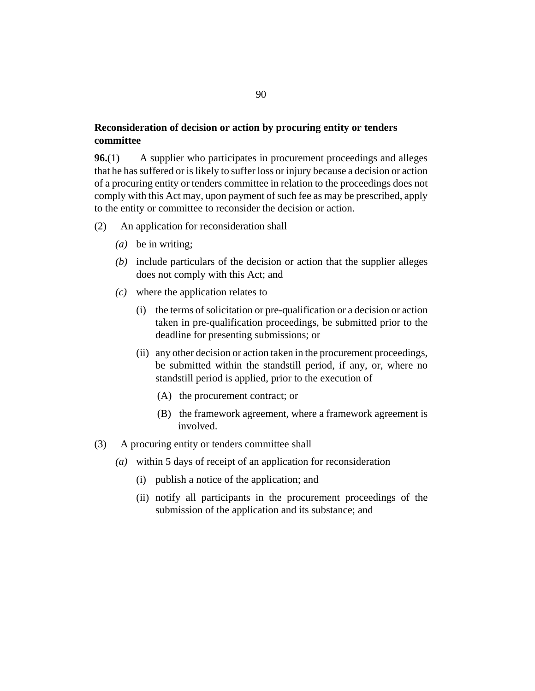# <span id="page-89-0"></span>**Reconsideration of decision or action by procuring entity or tenders committee**

A supplier who participates in procurement proceedings and alleges that he has suffered or is likely to suffer loss or injury because a decision or action of a procuring entity or tenders committee in relation to the proceedings does not comply with this Act may, upon payment of such fee as may be prescribed, apply to the entity or committee to reconsider the decision or action. **96.**(1)

- An application for reconsideration shall (2)
	- be in writing; *(a)*
	- (b) include particulars of the decision or action that the supplier alleges does not comply with this Act; and
	- where the application relates to *(c)*
		- (i) the terms of solicitation or pre-qualification or a decision or action taken in pre-qualification proceedings, be submitted prior to the deadline for presenting submissions; or
		- (ii) any other decision or action taken in the procurement proceedings, be submitted within the standstill period, if any, or, where no standstill period is applied, prior to the execution of
			- (A) the procurement contract; or
			- (B) the framework agreement, where a framework agreement is involved.
- A procuring entity or tenders committee shall (3)
	- within 5 days of receipt of an application for reconsideration *(a)*
		- publish a notice of the application; and (i)
		- (ii) notify all participants in the procurement proceedings of the submission of the application and its substance; and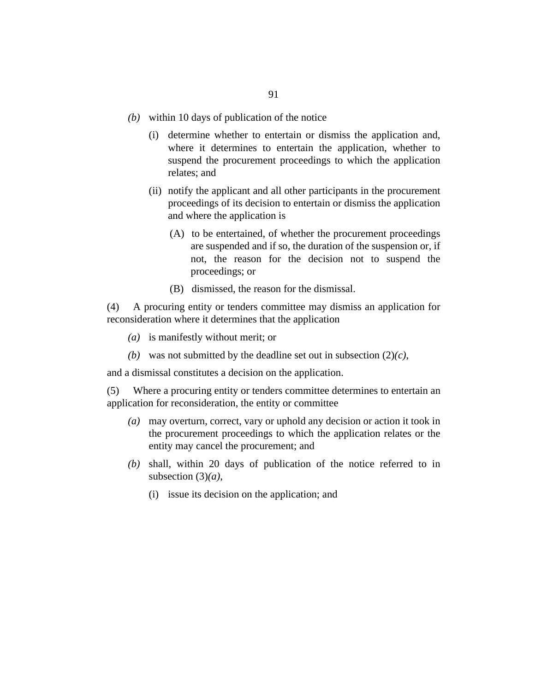- within 10 days of publication of the notice *(b)*
	- (i) determine whether to entertain or dismiss the application and, where it determines to entertain the application, whether to suspend the procurement proceedings to which the application relates; and
	- (ii) notify the applicant and all other participants in the procurement proceedings of its decision to entertain or dismiss the application and where the application is
		- (A) to be entertained, of whether the procurement proceedings are suspended and if so, the duration of the suspension or, if not, the reason for the decision not to suspend the proceedings; or
		- (B) dismissed, the reason for the dismissal.

A procuring entity or tenders committee may dismiss an application for reconsideration where it determines that the application (4)

- is manifestly without merit; or *(a)*
- (b) was not submitted by the deadline set out in subsection  $(2)(c)$ ,

and a dismissal constitutes a decision on the application.

Where a procuring entity or tenders committee determines to entertain an application for reconsideration, the entity or committee (5)

- may overturn, correct, vary or uphold any decision or action it took in *(a)* the procurement proceedings to which the application relates or the entity may cancel the procurement; and
- shall, within 20 days of publication of the notice referred to in *(b)* subsection (3)*(a)*,
	- (i) issue its decision on the application; and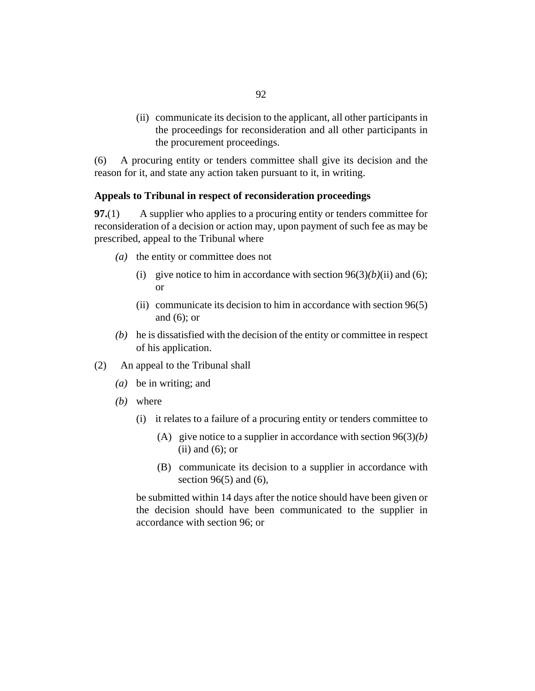<span id="page-91-0"></span>(ii) communicate its decision to the applicant, all other participants in the proceedings for reconsideration and all other participants in the procurement proceedings.

A procuring entity or tenders committee shall give its decision and the reason for it, and state any action taken pursuant to it, in writing. (6)

### **Appeals to Tribunal in respect of reconsideration proceedings**

A supplier who applies to a procuring entity or tenders committee for reconsideration of a decision or action may, upon payment of such fee as may be prescribed, appeal to the Tribunal where **97.**(1)

- (a) the entity or committee does not
	- (i) give notice to him in accordance with section  $96(3)(b)(ii)$  and (6); or
	- (ii) communicate its decision to him in accordance with section  $96(5)$ and (6); or
- $(b)$  he is dissatisfied with the decision of the entity or committee in respect of his application.
- An appeal to the Tribunal shall (2)
	- be in writing; and *(a)*
	- where *(b)*
		- (i) it relates to a failure of a procuring entity or tenders committee to
			- (A) give notice to a supplier in accordance with section  $96(3)(b)$  $(ii)$  and  $(6)$ ; or
			- (B) communicate its decision to a supplier in accordance with section  $96(5)$  and  $(6)$ ,

be submitted within 14 days after the notice should have been given or the decision should have been communicated to the supplier in accordance with [section 96](#page-89-0); or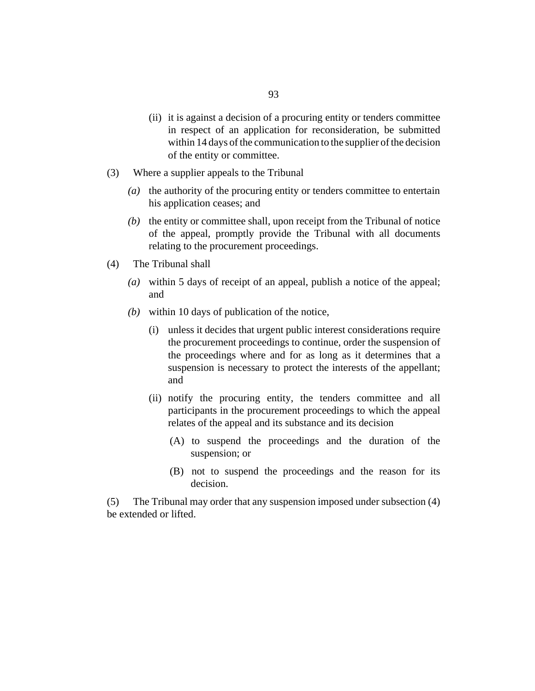- (ii) it is against a decision of a procuring entity or tenders committee in respect of an application for reconsideration, be submitted within 14 days of the communication to the supplier of the decision of the entity or committee.
- Where a supplier appeals to the Tribunal (3)
	- (a) the authority of the procuring entity or tenders committee to entertain his application ceases; and
	- $(b)$  the entity or committee shall, upon receipt from the Tribunal of notice of the appeal, promptly provide the Tribunal with all documents relating to the procurement proceedings.
- The Tribunal shall (4)
	- within 5 days of receipt of an appeal, publish a notice of the appeal; *(a)* and
	- within 10 days of publication of the notice, *(b)*
		- (i) unless it decides that urgent public interest considerations require the procurement proceedings to continue, order the suspension of the proceedings where and for as long as it determines that a suspension is necessary to protect the interests of the appellant; and
		- (ii) notify the procuring entity, the tenders committee and all participants in the procurement proceedings to which the appeal relates of the appeal and its substance and its decision
			- (A) to suspend the proceedings and the duration of the suspension; or
			- (B) not to suspend the proceedings and the reason for its decision.

The Tribunal may order that any suspension imposed under subsection (4) be extended or lifted. (5)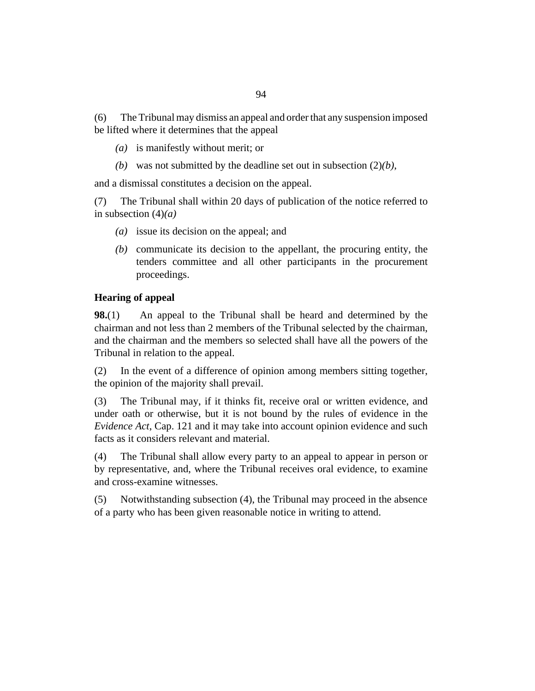<span id="page-93-0"></span>The Tribunal may dismiss an appeal and order that any suspension imposed be lifted where it determines that the appeal (6)

- is manifestly without merit; or *(a)*
- (b) was not submitted by the deadline set out in subsection  $(2)(b)$ ,

and a dismissal constitutes a decision on the appeal.

The Tribunal shall within 20 days of publication of the notice referred to in subsection (4)*(a)* (7)

- (a) issue its decision on the appeal; and
- $(b)$  communicate its decision to the appellant, the procuring entity, the tenders committee and all other participants in the procurement proceedings.

# **Hearing of appeal**

An appeal to the Tribunal shall be heard and determined by the chairman and not less than 2 members of the Tribunal selected by the chairman, and the chairman and the members so selected shall have all the powers of the Tribunal in relation to the appeal. **98.**(1)

In the event of a difference of opinion among members sitting together, the opinion of the majority shall prevail. (2)

The Tribunal may, if it thinks fit, receive oral or written evidence, and under oath or otherwise, but it is not bound by the rules of evidence in the *[Evidence Act](http://barbadosparliament-laws.com/en/showdoc/cs/121)*, Cap. 121 and it may take into account opinion evidence and such facts as it considers relevant and material. (3)

The Tribunal shall allow every party to an appeal to appear in person or by representative, and, where the Tribunal receives oral evidence, to examine and cross-examine witnesses. (4)

Notwithstanding subsection (4), the Tribunal may proceed in the absence of a party who has been given reasonable notice in writing to attend. (5)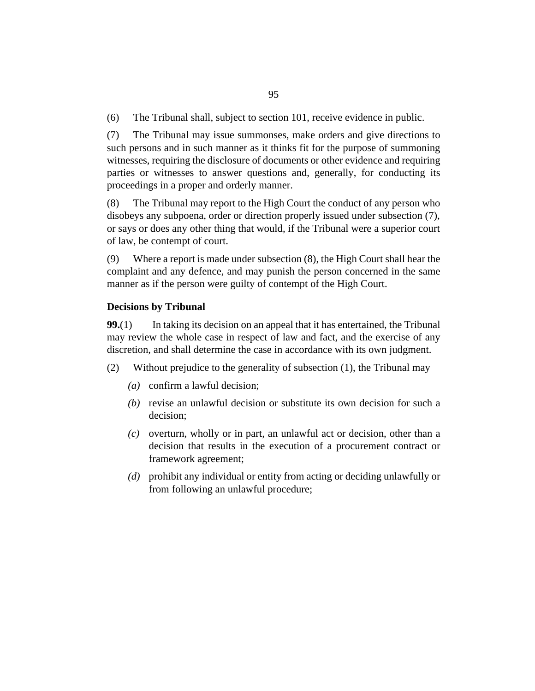<span id="page-94-0"></span>The Tribunal shall, subject to [section 101](#page-95-0), receive evidence in public. (6)

The Tribunal may issue summonses, make orders and give directions to such persons and in such manner as it thinks fit for the purpose of summoning witnesses, requiring the disclosure of documents or other evidence and requiring parties or witnesses to answer questions and, generally, for conducting its proceedings in a proper and orderly manner. (7)

The Tribunal may report to the High Court the conduct of any person who disobeys any subpoena, order or direction properly issued under subsection (7), or says or does any other thing that would, if the Tribunal were a superior court of law, be contempt of court. (8)

Where a report is made under subsection (8), the High Court shall hear the complaint and any defence, and may punish the person concerned in the same manner as if the person were guilty of contempt of the High Court. (9)

# **Decisions by Tribunal**

In taking its decision on an appeal that it has entertained, the Tribunal may review the whole case in respect of law and fact, and the exercise of any discretion, and shall determine the case in accordance with its own judgment. **99.**(1)

- Without prejudice to the generality of subsection (1), the Tribunal may (2)
	- confirm a lawful decision; *(a)*
	- (b) revise an unlawful decision or substitute its own decision for such a decision;
	- (c) overturn, wholly or in part, an unlawful act or decision, other than a decision that results in the execution of a procurement contract or framework agreement;
	- prohibit any individual or entity from acting or deciding unlawfully or *(d)* from following an unlawful procedure;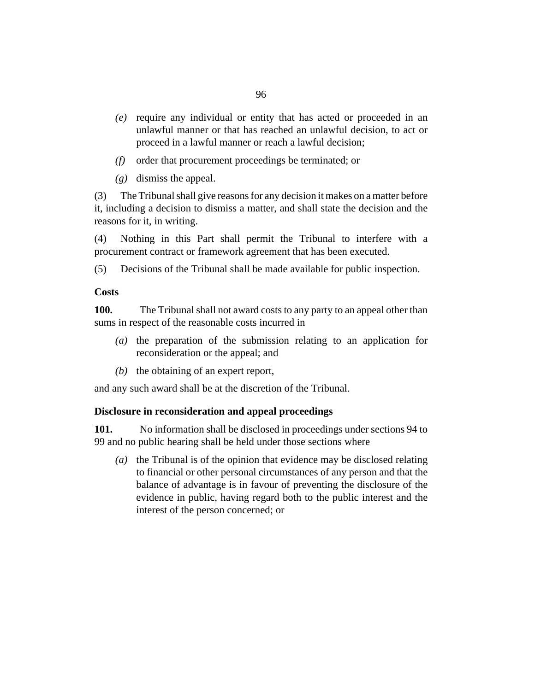- <span id="page-95-0"></span>require any individual or entity that has acted or proceeded in an *(e)* unlawful manner or that has reached an unlawful decision, to act or proceed in a lawful manner or reach a lawful decision;
- order that procurement proceedings be terminated; or *(f)*
- dismiss the appeal. *(g)*

The Tribunal shall give reasons for any decision it makes on a matter before it, including a decision to dismiss a matter, and shall state the decision and the reasons for it, in writing. (3)

Nothing in this Part shall permit the Tribunal to interfere with a procurement contract or framework agreement that has been executed. (4)

Decisions of the Tribunal shall be made available for public inspection. (5)

### **Costs**

The Tribunal shall not award costs to any party to an appeal other than sums in respect of the reasonable costs incurred in **100.**

- $(a)$  the preparation of the submission relating to an application for reconsideration or the appeal; and
- $(b)$  the obtaining of an expert report,

and any such award shall be at the discretion of the Tribunal.

### **Disclosure in reconsideration and appeal proceedings**

No information shall be disclosed in proceedings under [sections 94](#page-88-0) to [99](#page-94-0) and no public hearing shall be held under those sections where **101.**

(a) the Tribunal is of the opinion that evidence may be disclosed relating to financial or other personal circumstances of any person and that the balance of advantage is in favour of preventing the disclosure of the evidence in public, having regard both to the public interest and the interest of the person concerned; or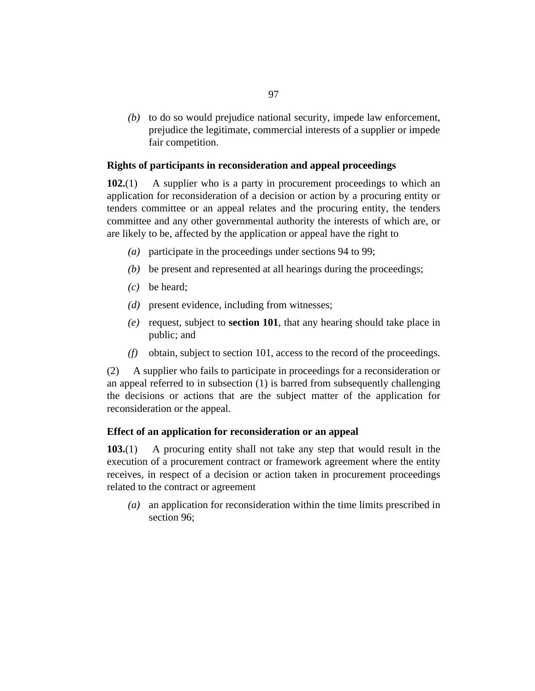(b) to do so would prejudice national security, impede law enforcement, prejudice the legitimate, commercial interests of a supplier or impede fair competition.

### **Rights of participants in reconsideration and appeal proceedings**

A supplier who is a party in procurement proceedings to which an application for reconsideration of a decision or action by a procuring entity or tenders committee or an appeal relates and the procuring entity, the tenders committee and any other governmental authority the interests of which are, or are likely to be, affected by the application or appeal have the right to **102.**(1)

- participate in the proceedings under [sections 94](#page-88-0) to [99](#page-94-0); *(a)*
- be present and represented at all hearings during the proceedings; *(b)*
- be heard; *(c)*
- (*d*) present evidence, including from witnesses;
- (e) request, subject to **[section 101](#page-95-0)**, that any hearing should take place in public; and
- obtain, subject to [section 101](#page-95-0), access to the record of the proceedings. *(f)*

A supplier who fails to participate in proceedings for a reconsideration or an appeal referred to in subsection (1) is barred from subsequently challenging the decisions or actions that are the subject matter of the application for reconsideration or the appeal. (2)

### **Effect of an application for reconsideration or an appeal**

A procuring entity shall not take any step that would result in the execution of a procurement contract or framework agreement where the entity receives, in respect of a decision or action taken in procurement proceedings related to the contract or agreement **103.**(1)

an application for reconsideration within the time limits prescribed in *(a)* [section 96](#page-89-0);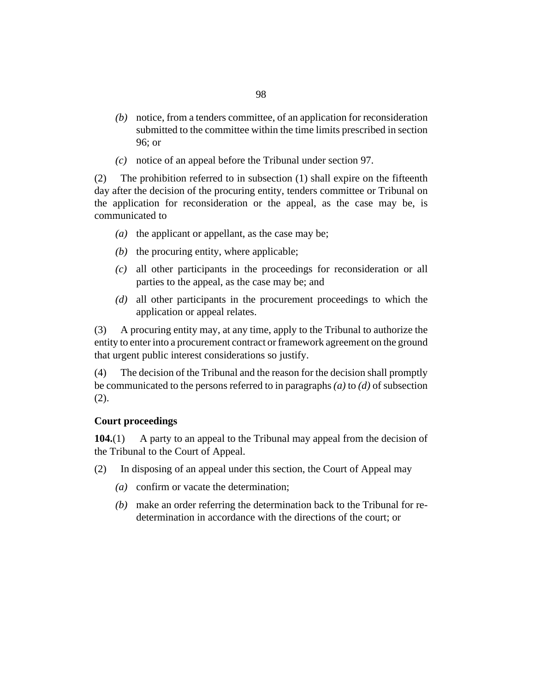- notice, from a tenders committee, of an application for reconsideration *(b)* submitted to the committee within the time limits prescribed in [section](#page-89-0) [96](#page-89-0); or
- notice of an appeal before the Tribunal under [section 97.](#page-91-0) *(c)*

The prohibition referred to in subsection (1) shall expire on the fifteenth day after the decision of the procuring entity, tenders committee or Tribunal on the application for reconsideration or the appeal, as the case may be, is communicated to (2)

- ( $a)$  the applicant or appellant, as the case may be;
- $(b)$  the procuring entity, where applicable;
- all other participants in the proceedings for reconsideration or all *(c)* parties to the appeal, as the case may be; and
- all other participants in the procurement proceedings to which the *(d)* application or appeal relates.

A procuring entity may, at any time, apply to the Tribunal to authorize the entity to enter into a procurement contract or framework agreement on the ground that urgent public interest considerations so justify. (3)

The decision of the Tribunal and the reason for the decision shall promptly be communicated to the persons referred to in paragraphs *(a)* to *(d)* of subsection  $(2).$ (4)

### **Court proceedings**

A party to an appeal to the Tribunal may appeal from the decision of the Tribunal to the Court of Appeal. **104.**(1)

- In disposing of an appeal under this section, the Court of Appeal may (2)
	- confirm or vacate the determination; *(a)*
	- make an order referring the determination back to the Tribunal for re-*(b)* determination in accordance with the directions of the court; or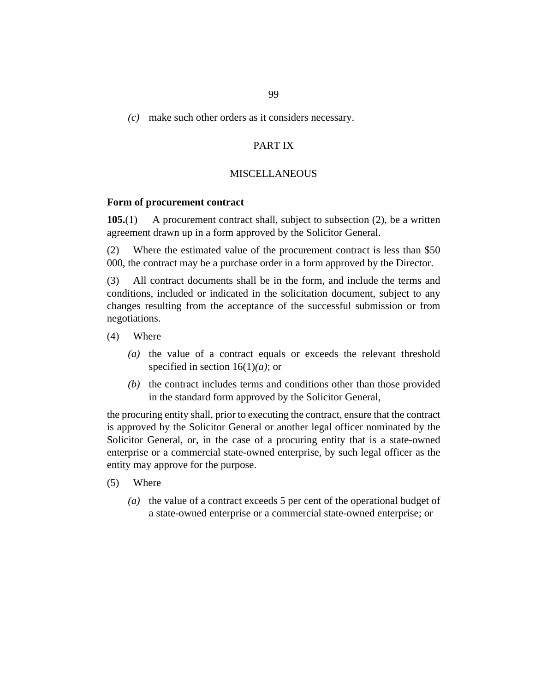# make such other orders as it considers necessary. *(c)*

# PART IX

### **MISCELLANEOUS**

#### **Form of procurement contract**

A procurement contract shall, subject to subsection (2), be a written agreement drawn up in a form approved by the Solicitor General. **105.**(1)

Where the estimated value of the procurement contract is less than \$50 000, the contract may be a purchase order in a form approved by the Director. (2)

All contract documents shall be in the form, and include the terms and conditions, included or indicated in the solicitation document, subject to any changes resulting from the acceptance of the successful submission or from negotiations. (3)

- Where (4)
	- (a) the value of a contract equals or exceeds the relevant threshold specified in [section 16](#page-23-0)(1)*(a)*; or
	- $(b)$  the contract includes terms and conditions other than those provided in the standard form approved by the Solicitor General,

the procuring entity shall, prior to executing the contract, ensure that the contract is approved by the Solicitor General or another legal officer nominated by the Solicitor General, or, in the case of a procuring entity that is a state-owned enterprise or a commercial state-owned enterprise, by such legal officer as the entity may approve for the purpose.

- Where (5)
	- (a) the value of a contract exceeds 5 per cent of the operational budget of a state-owned enterprise or a commercial state-owned enterprise; or

99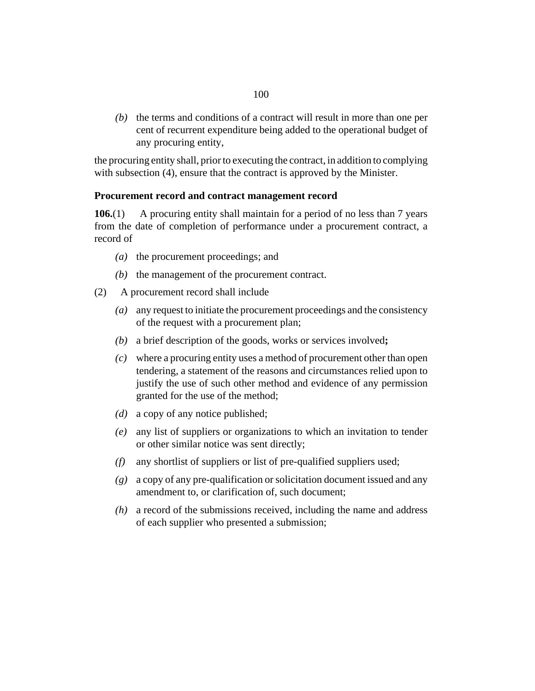$(b)$  the terms and conditions of a contract will result in more than one per cent of recurrent expenditure being added to the operational budget of any procuring entity,

the procuring entity shall, prior to executing the contract, in addition to complying with subsection (4), ensure that the contract is approved by the Minister.

# **Procurement record and contract management record**

A procuring entity shall maintain for a period of no less than 7 years from the date of completion of performance under a procurement contract, a record of **106.**(1)

- (a) the procurement proceedings; and
- $(b)$  the management of the procurement contract.
- A procurement record shall include (2)
	- any request to initiate the procurement proceedings and the consistency *(a)* of the request with a procurement plan;
	- a brief description of the goods, works or services involved**;** *(b)*
	- where a procuring entity uses a method of procurement other than open *(c)* tendering, a statement of the reasons and circumstances relied upon to justify the use of such other method and evidence of any permission granted for the use of the method;
	- a copy of any notice published; *(d)*
	- any list of suppliers or organizations to which an invitation to tender *(e)* or other similar notice was sent directly;
	- any shortlist of suppliers or list of pre-qualified suppliers used; *(f)*
	- a copy of any pre-qualification or solicitation document issued and any *(g)* amendment to, or clarification of, such document;
	- a record of the submissions received, including the name and address *(h)* of each supplier who presented a submission;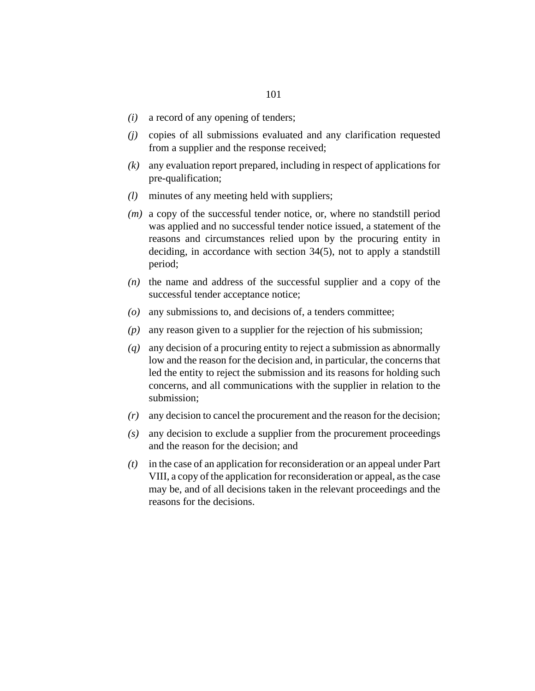- a record of any opening of tenders; *(i)*
- copies of all submissions evaluated and any clarification requested *(j)* from a supplier and the response received;
- any evaluation report prepared, including in respect of applications for *(k)* pre-qualification;
- minutes of any meeting held with suppliers; *(l)*
- (*m*) a copy of the successful tender notice, or, where no standstill period was applied and no successful tender notice issued, a statement of the reasons and circumstances relied upon by the procuring entity in deciding, in accordance with [section 34](#page-42-0)(5), not to apply a standstill period;
- $(n)$  the name and address of the successful supplier and a copy of the successful tender acceptance notice;
- any submissions to, and decisions of, a tenders committee; *(o)*
- any reason given to a supplier for the rejection of his submission; *(p)*
- any decision of a procuring entity to reject a submission as abnormally *(q)* low and the reason for the decision and, in particular, the concerns that led the entity to reject the submission and its reasons for holding such concerns, and all communications with the supplier in relation to the submission;
- any decision to cancel the procurement and the reason for the decision; *(r)*
- any decision to exclude a supplier from the procurement proceedings *(s)* and the reason for the decision; and
- in the case of an application for reconsideration or an appeal under Part *(t)* VIII, a copy of the application for reconsideration or appeal, as the case may be, and of all decisions taken in the relevant proceedings and the reasons for the decisions.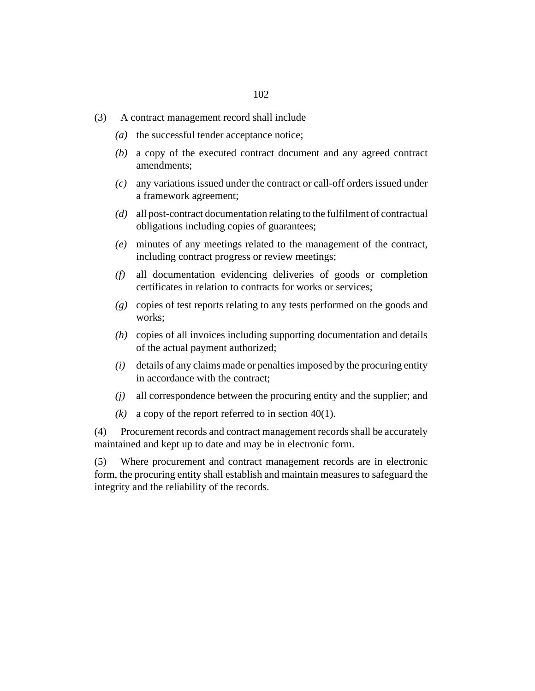- A contract management record shall include (3)
	- $(a)$  the successful tender acceptance notice;
	- a copy of the executed contract document and any agreed contract *(b)* amendments;
	- any variations issued under the contract or call-off orders issued under *(c)* a framework agreement;
	- all post-contract documentation relating to the fulfilment of contractual *(d)* obligations including copies of guarantees;
	- minutes of any meetings related to the management of the contract, *(e)* including contract progress or review meetings;
	- all documentation evidencing deliveries of goods or completion *(f)* certificates in relation to contracts for works or services;
	- copies of test reports relating to any tests performed on the goods and *(g)* works;
	- copies of all invoices including supporting documentation and details *(h)* of the actual payment authorized;
	- details of any claims made or penalties imposed by the procuring entity *(i)* in accordance with the contract;
	- all correspondence between the procuring entity and the supplier; and *(j)*
	- $(k)$  a copy of the report referred to in [section 40\(](#page-46-0)1).

Procurement records and contract management records shall be accurately maintained and kept up to date and may be in electronic form. (4)

Where procurement and contract management records are in electronic form, the procuring entity shall establish and maintain measures to safeguard the integrity and the reliability of the records. (5)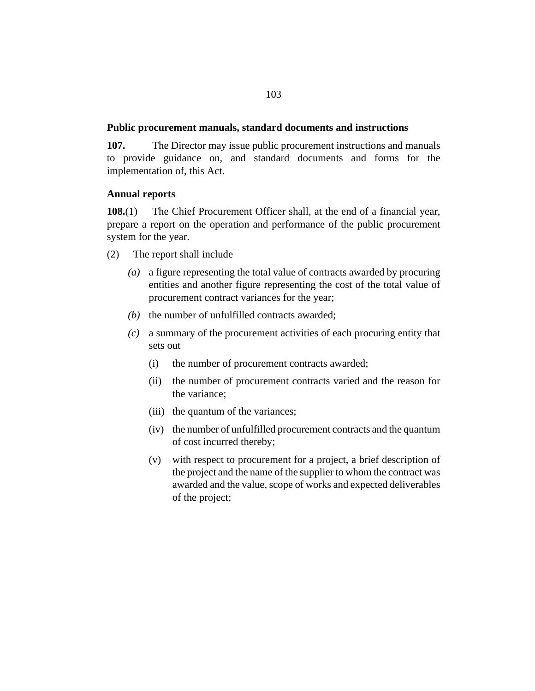### **Public procurement manuals, standard documents and instructions**

The Director may issue public procurement instructions and manuals to provide guidance on, and standard documents and forms for the implementation of, this Act. **107.**

### **Annual reports**

The Chief Procurement Officer shall, at the end of a financial year, prepare a report on the operation and performance of the public procurement system for the year. **108.**(1)

- The report shall include (2)
	- a figure representing the total value of contracts awarded by procuring *(a)* entities and another figure representing the cost of the total value of procurement contract variances for the year;
	- $(b)$  the number of unfulfilled contracts awarded;
	- a summary of the procurement activities of each procuring entity that *(c)* sets out
		- the number of procurement contracts awarded; (i)
		- the number of procurement contracts varied and the reason for the variance; (ii)
		- (iii) the quantum of the variances;
		- (iv) the number of unfulfilled procurement contracts and the quantum of cost incurred thereby;
		- with respect to procurement for a project, a brief description of the project and the name of the supplier to whom the contract was awarded and the value, scope of works and expected deliverables of the project; (v)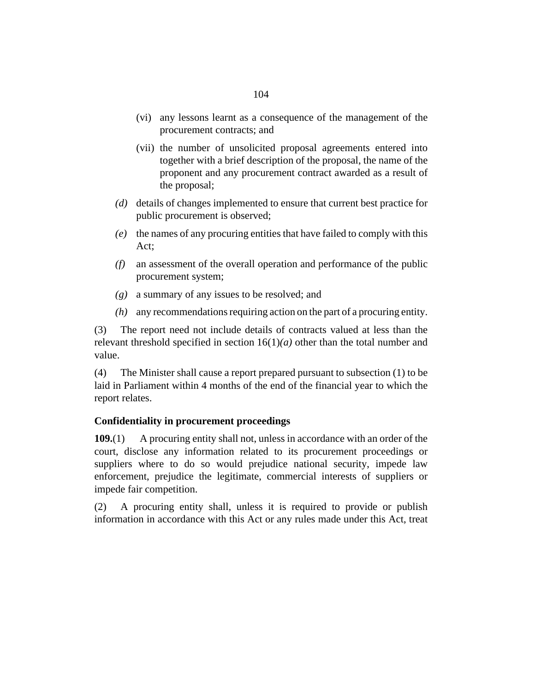- (vi) any lessons learnt as a consequence of the management of the procurement contracts; and
- (vii) the number of unsolicited proposal agreements entered into together with a brief description of the proposal, the name of the proponent and any procurement contract awarded as a result of the proposal;
- details of changes implemented to ensure that current best practice for *(d)* public procurement is observed;
- the names of any procuring entities that have failed to comply with this *(e)* Act;
- an assessment of the overall operation and performance of the public *(f)* procurement system;
- a summary of any issues to be resolved; and *(g)*
- any recommendations requiring action on the part of a procuring entity. *(h)*

The report need not include details of contracts valued at less than the relevant threshold specified in [section 16](#page-23-0)(1)*(a)* other than the total number and value. (3)

The Minister shall cause a report prepared pursuant to subsection (1) to be laid in Parliament within 4 months of the end of the financial year to which the report relates. (4)

### **Confidentiality in procurement proceedings**

A procuring entity shall not, unless in accordance with an order of the court, disclose any information related to its procurement proceedings or suppliers where to do so would prejudice national security, impede law enforcement, prejudice the legitimate, commercial interests of suppliers or impede fair competition. **109.**(1)

A procuring entity shall, unless it is required to provide or publish information in accordance with this Act or any rules made under this Act, treat (2)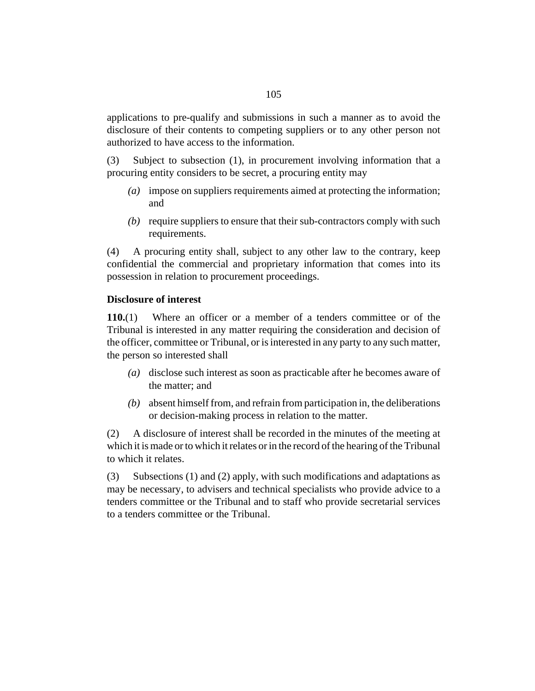applications to pre-qualify and submissions in such a manner as to avoid the disclosure of their contents to competing suppliers or to any other person not authorized to have access to the information.

Subject to subsection (1), in procurement involving information that a procuring entity considers to be secret, a procuring entity may (3)

- impose on suppliers requirements aimed at protecting the information; *(a)* and
- (b) require suppliers to ensure that their sub-contractors comply with such requirements.

A procuring entity shall, subject to any other law to the contrary, keep confidential the commercial and proprietary information that comes into its possession in relation to procurement proceedings. (4)

### **Disclosure of interest**

Where an officer or a member of a tenders committee or of the Tribunal is interested in any matter requiring the consideration and decision of the officer, committee or Tribunal, or is interested in any party to any such matter, the person so interested shall **110.**(1)

- (a) disclose such interest as soon as practicable after he becomes aware of the matter; and
- absent himself from, and refrain from participation in, the deliberations *(b)* or decision-making process in relation to the matter.

A disclosure of interest shall be recorded in the minutes of the meeting at which it is made or to which it relates or in the record of the hearing of the Tribunal to which it relates. (2)

Subsections (1) and (2) apply, with such modifications and adaptations as may be necessary, to advisers and technical specialists who provide advice to a tenders committee or the Tribunal and to staff who provide secretarial services to a tenders committee or the Tribunal. (3)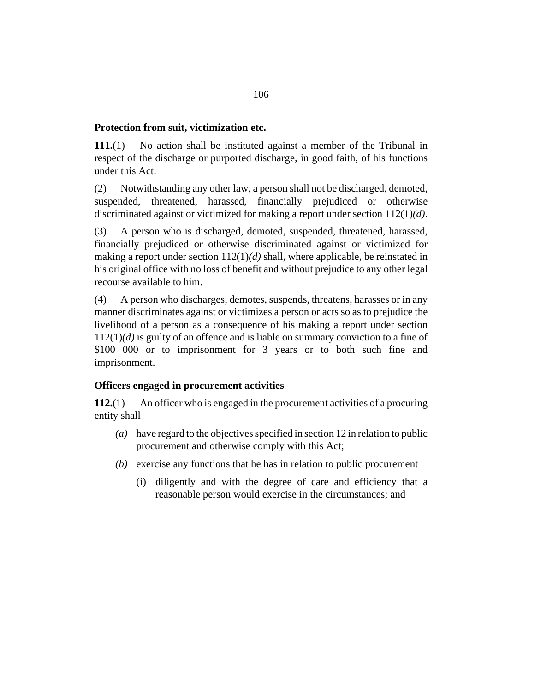### **Protection from suit, victimization etc.**

No action shall be instituted against a member of the Tribunal in respect of the discharge or purported discharge, in good faith, of his functions under this Act. **111.**(1)

Notwithstanding any other law, a person shall not be discharged, demoted, suspended, threatened, harassed, financially prejudiced or otherwise discriminated against or victimized for making a report under section 112(1)*(d)*. (2)

A person who is discharged, demoted, suspended, threatened, harassed, financially prejudiced or otherwise discriminated against or victimized for making a report under section 112(1)*(d)* shall, where applicable, be reinstated in his original office with no loss of benefit and without prejudice to any other legal recourse available to him. (3)

A person who discharges, demotes, suspends, threatens, harasses or in any manner discriminates against or victimizes a person or acts so as to prejudice the livelihood of a person as a consequence of his making a report under section 112(1)*(d)* is guilty of an offence and is liable on summary conviction to a fine of \$100 000 or to imprisonment for 3 years or to both such fine and imprisonment. (4)

# **Officers engaged in procurement activities**

An officer who is engaged in the procurement activities of a procuring entity shall **112.**(1)

- have regard to the objectives specified in [section 12](#page-21-0) in relation to public *(a)* procurement and otherwise comply with this Act;
- exercise any functions that he has in relation to public procurement *(b)*
	- (i) diligently and with the degree of care and efficiency that a reasonable person would exercise in the circumstances; and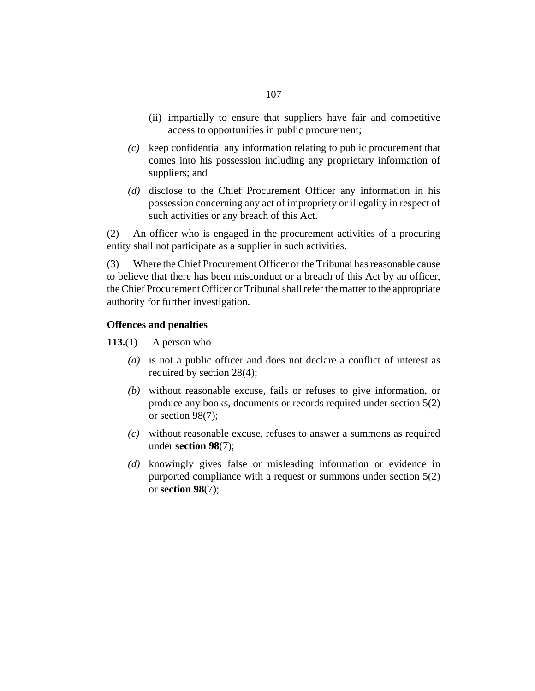- (ii) impartially to ensure that suppliers have fair and competitive access to opportunities in public procurement;
- keep confidential any information relating to public procurement that *(c)* comes into his possession including any proprietary information of suppliers; and
- (d) disclose to the Chief Procurement Officer any information in his possession concerning any act of impropriety or illegality in respect of such activities or any breach of this Act.

An officer who is engaged in the procurement activities of a procuring entity shall not participate as a supplier in such activities. (2)

Where the Chief Procurement Officer or the Tribunal has reasonable cause to believe that there has been misconduct or a breach of this Act by an officer, the Chief Procurement Officer or Tribunal shall refer the matter to the appropriate authority for further investigation. (3)

### **Offences and penalties**

A person who **113.**(1)

- is not a public officer and does not declare a conflict of interest as *(a)* required by [section 28](#page-34-0)(4);
- without reasonable excuse, fails or refuses to give information, or *(b)* produce any books, documents or records required under [section 5](#page-16-0)(2) or [section 98](#page-93-0)(7);
- without reasonable excuse, refuses to answer a summons as required *(c)* under **[section 98](#page-93-0)**(7);
- knowingly gives false or misleading information or evidence in *(d)* purported compliance with a request or summons under [section 5](#page-16-0)(2) or **[section 98](#page-93-0)**(7);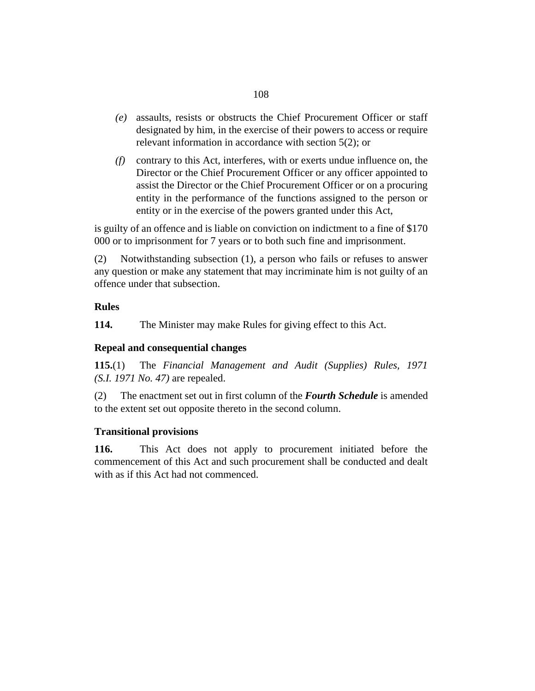- assaults, resists or obstructs the Chief Procurement Officer or staff *(e)* designated by him, in the exercise of their powers to access or require relevant information in accordance with [section 5\(](#page-16-0)2); or
- contrary to this Act, interferes, with or exerts undue influence on, the *(f)* Director or the Chief Procurement Officer or any officer appointed to assist the Director or the Chief Procurement Officer or on a procuring entity in the performance of the functions assigned to the person or entity or in the exercise of the powers granted under this Act,

is guilty of an offence and is liable on conviction on indictment to a fine of \$170 000 or to imprisonment for 7 years or to both such fine and imprisonment.

Notwithstanding subsection (1), a person who fails or refuses to answer any question or make any statement that may incriminate him is not guilty of an offence under that subsection. (2)

# **Rules**

The Minister may make Rules for giving effect to this Act. **114.**

# **Repeal and consequential changes**

The *[Financial Management and Audit \(Supplies\) Rules, 1971](http://barbadosparliament-laws.com/en/showdoc/cr/1971/47) [\(S.I. 1971 No. 47\)](http://barbadosparliament-laws.com/en/showdoc/cr/1971/47)* are repealed. **115.**(1)

The enactment set out in first column of the *Fourth Schedule* is amended to the extent set out opposite thereto in the second column. (2)

# **Transitional provisions**

This Act does not apply to procurement initiated before the commencement of this Act and such procurement shall be conducted and dealt with as if this Act had not commenced. **116.**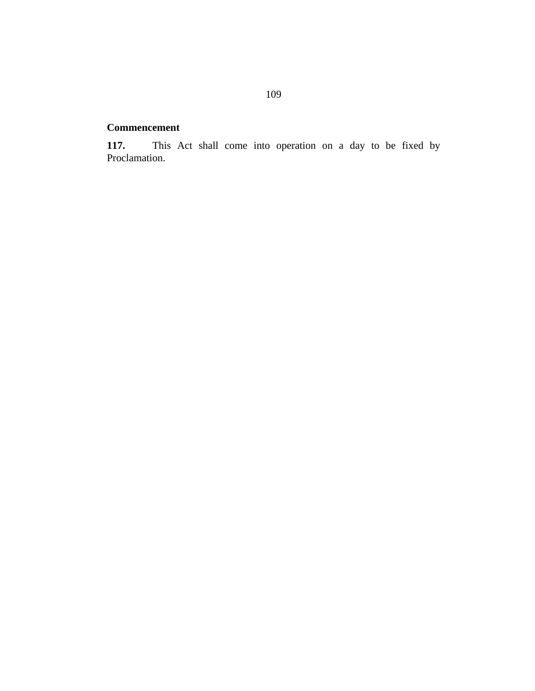# **Commencement**

This Act shall come into operation on a day to be fixed by Proclamation. **117.**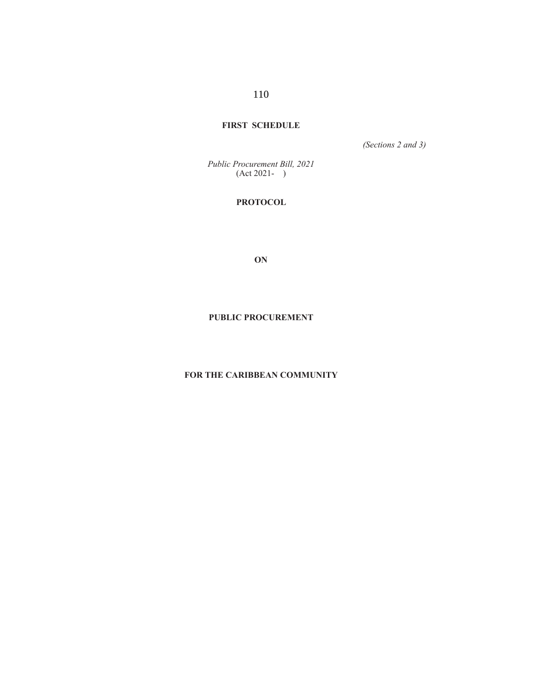# **FIRST SCHEDULE**

*(Sections 2 and 3)*

*Public Procurement Bill, 2021* (Act 2021- )

# **PROTOCOL**

**ON**

# **PUBLIC PROCUREMENT**

# **FOR THE CARIBBEAN COMMUNITY**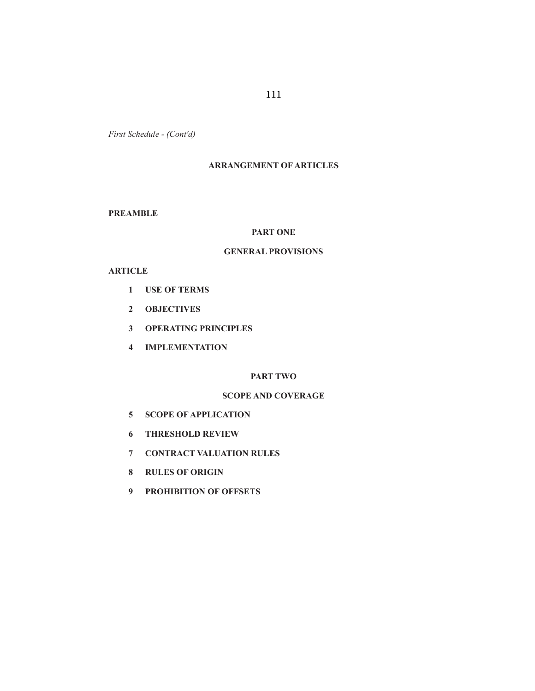111

*First Schedule - (Cont'd)*

# **ARRANGEMENT OF ARTICLES**

**PREAMBLE**

# **PART ONE**

# **GENERAL PROVISIONS**

# **ARTICLE**

- **1 USE OF TERMS**
- **2 OBJECTIVES**
- **3 OPERATING PRINCIPLES**
- **4 IMPLEMENTATION**

# **PART TWO**

# **SCOPE AND COVERAGE**

- **5 SCOPE OF APPLICATION**
- **6 THRESHOLD REVIEW**
- **7 CONTRACT VALUATION RULES**
- **8 RULES OF ORIGIN**
- **9 PROHIBITION OF OFFSETS**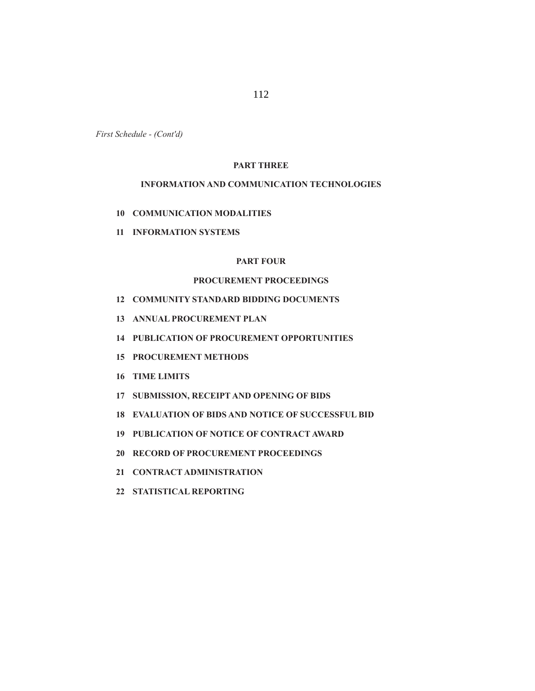# **PART THREE**

# **INFORMATION AND COMMUNICATION TECHNOLOGIES**

- **10 COMMUNICATION MODALITIES**
- **11 INFORMATION SYSTEMS**

# **PART FOUR**

# **PROCUREMENT PROCEEDINGS**

- **12 COMMUNITY STANDARD BIDDING DOCUMENTS**
- **13 ANNUAL PROCUREMENT PLAN**
- **14 PUBLICATION OF PROCUREMENT OPPORTUNITIES**
- **15 PROCUREMENT METHODS**
- **16 TIME LIMITS**
- **17 SUBMISSION, RECEIPT AND OPENING OF BIDS**
- **18 EVALUATION OF BIDS AND NOTICE OF SUCCESSFUL BID**
- **19 PUBLICATION OF NOTICE OF CONTRACT AWARD**
- **20 RECORD OF PROCUREMENT PROCEEDINGS**
- **21 CONTRACT ADMINISTRATION**
- **22 STATISTICAL REPORTING**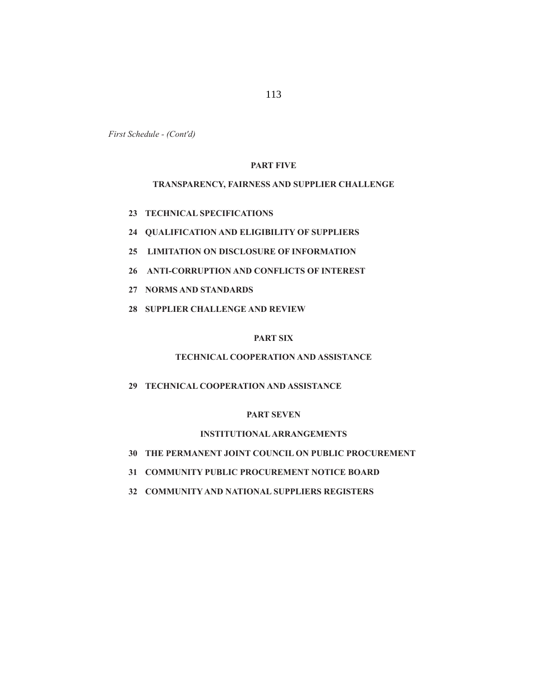113

*First Schedule - (Cont'd)*

# **PART FIVE**

# **TRANSPARENCY, FAIRNESS AND SUPPLIER CHALLENGE**

- **23 TECHNICAL SPECIFICATIONS**
- **24 QUALIFICATION AND ELIGIBILITY OF SUPPLIERS**
- **25 LIMITATION ON DISCLOSURE OF INFORMATION**
- **26 ANTI-CORRUPTION AND CONFLICTS OF INTEREST**
- **27 NORMS AND STANDARDS**
- **28 SUPPLIER CHALLENGE AND REVIEW**

# **PART SIX**

# **TECHNICAL COOPERATION AND ASSISTANCE**

 **29 TECHNICAL COOPERATION AND ASSISTANCE**

## **PART SEVEN**

# **INSTITUTIONAL ARRANGEMENTS**

- **30 THE PERMANENT JOINT COUNCIL ON PUBLIC PROCUREMENT**
- **31 COMMUNITY PUBLIC PROCUREMENT NOTICE BOARD**
- **32 COMMUNITY AND NATIONAL SUPPLIERS REGISTERS**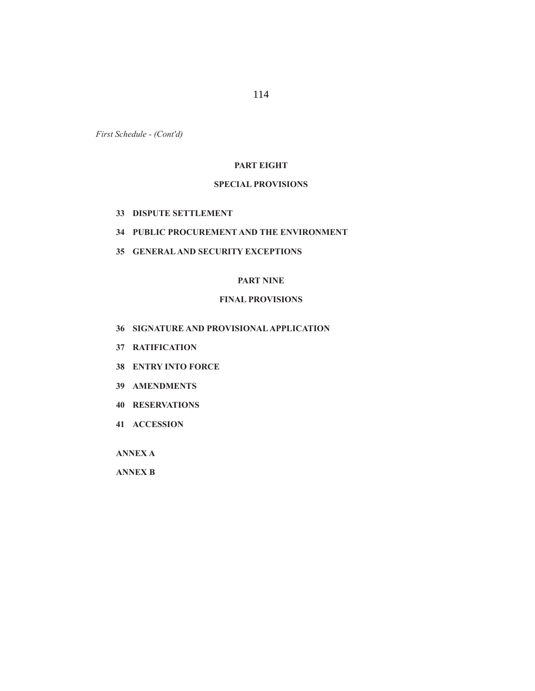114

*First Schedule - (Cont'd)*

# **PART EIGHT**

# **SPECIAL PROVISIONS**

- **33 DISPUTE SETTLEMENT**
- **34 PUBLIC PROCUREMENT AND THE ENVIRONMENT**
- **35 GENERAL AND SECURITY EXCEPTIONS**

# **PART NINE**

# **FINAL PROVISIONS**

- **36 SIGNATURE AND PROVISIONAL APPLICATION**
- **37 RATIFICATION**
- **38 ENTRY INTO FORCE**
- **39 AMENDMENTS**
- **40 RESERVATIONS**
- **41 ACCESSION**

 **ANNEX A**

 **ANNEX B**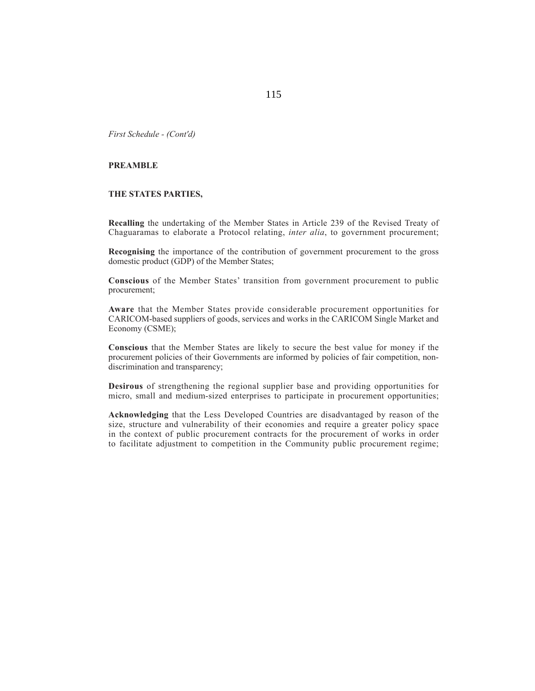# **PREAMBLE**

# **THE STATES PARTIES,**

**Recalling** the undertaking of the Member States in Article 239 of the Revised Treaty of Chaguaramas to elaborate a Protocol relating, *inter alia*, to government procurement;

**Recognising** the importance of the contribution of government procurement to the gross domestic product (GDP) of the Member States;

**Conscious** of the Member States' transition from government procurement to public procurement;

**Aware** that the Member States provide considerable procurement opportunities for CARICOM-based suppliers of goods, services and works in the CARICOM Single Market and Economy (CSME);

**Conscious** that the Member States are likely to secure the best value for money if the procurement policies of their Governments are informed by policies of fair competition, nondiscrimination and transparency;

**Desirous** of strengthening the regional supplier base and providing opportunities for micro, small and medium-sized enterprises to participate in procurement opportunities;

**Acknowledging** that the Less Developed Countries are disadvantaged by reason of the size, structure and vulnerability of their economies and require a greater policy space in the context of public procurement contracts for the procurement of works in order to facilitate adjustment to competition in the Community public procurement regime;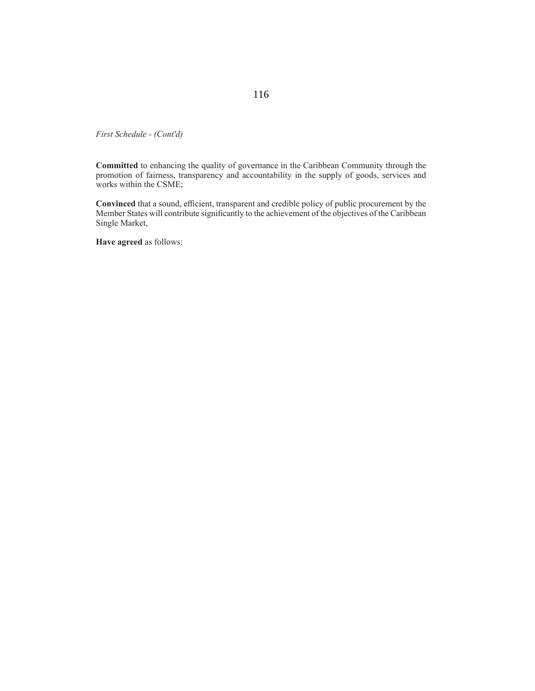**Committed** to enhancing the quality of governance in the Caribbean Community through the promotion of fairness, transparency and accountability in the supply of goods, services and works within the CSME;

Convinced that a sound, efficient, transparent and credible policy of public procurement by the Member States will contribute significantly to the achievement of the objectives of the Caribbean Single Market,

**Have agreed** as follows: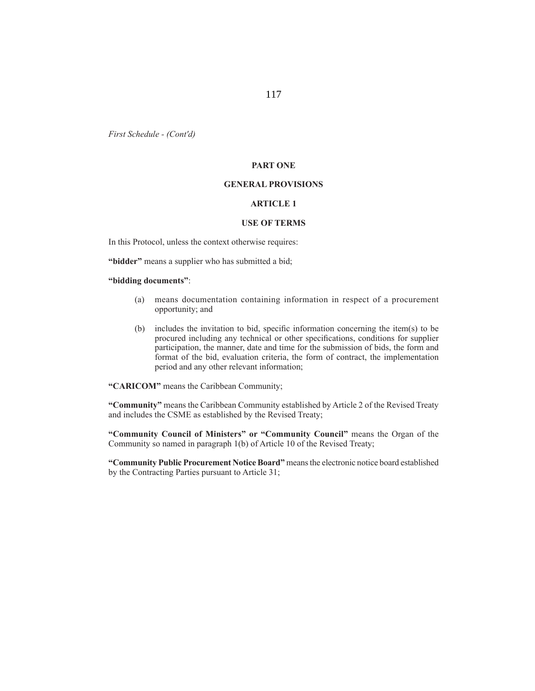# **PART ONE**

### **GENERAL PROVISIONS**

# **ARTICLE 1**

## **USE OF TERMS**

In this Protocol, unless the context otherwise requires:

**"bidder"** means a supplier who has submitted a bid;

**"bidding documents"**:

- (a) means documentation containing information in respect of a procurement opportunity; and
- (b) includes the invitation to bid, specific information concerning the item(s) to be procured including any technical or other specifications, conditions for supplier participation, the manner, date and time for the submission of bids, the form and format of the bid, evaluation criteria, the form of contract, the implementation period and any other relevant information;

**"CARICOM"** means the Caribbean Community;

**"Community"** means the Caribbean Community established by Article 2 of the Revised Treaty and includes the CSME as established by the Revised Treaty;

**"Community Council of Ministers" or "Community Council"** means the Organ of the Community so named in paragraph 1(b) of Article 10 of the Revised Treaty;

**"Community Public Procurement Notice Board"** means the electronic notice board established by the Contracting Parties pursuant to Article 31;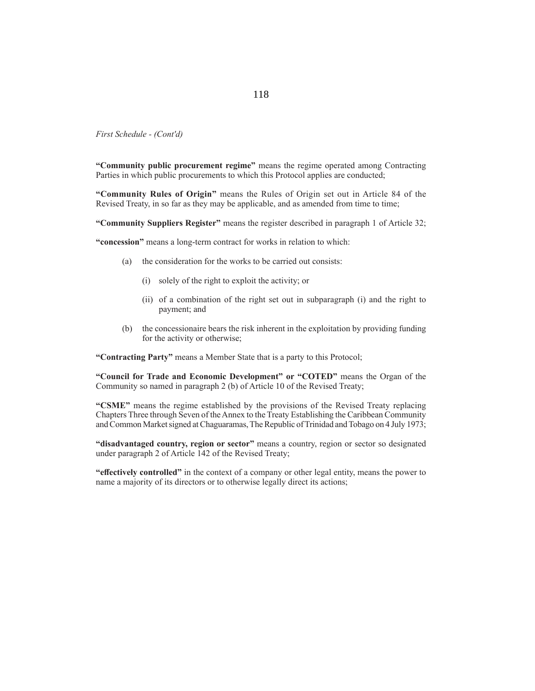**"Community public procurement regime"** means the regime operated among Contracting Parties in which public procurements to which this Protocol applies are conducted;

**"Community Rules of Origin"** means the Rules of Origin set out in Article 84 of the Revised Treaty, in so far as they may be applicable, and as amended from time to time;

**"Community Suppliers Register"** means the register described in paragraph 1 of Article 32;

**"concession"** means a long-term contract for works in relation to which:

- (a) the consideration for the works to be carried out consists:
	- (i) solely of the right to exploit the activity; or
	- (ii) of a combination of the right set out in subparagraph (i) and the right to payment; and
- (b) the concessionaire bears the risk inherent in the exploitation by providing funding for the activity or otherwise;

**"Contracting Party"** means a Member State that is a party to this Protocol;

**"Council for Trade and Economic Development" or "COTED"** means the Organ of the Community so named in paragraph 2 (b) of Article 10 of the Revised Treaty;

**"CSME"** means the regime established by the provisions of the Revised Treaty replacing Chapters Three through Seven of the Annex to the Treaty Establishing the Caribbean Community and Common Market signed at Chaguaramas, The Republic of Trinidad and Tobago on 4 July 1973;

**"disadvantaged country, region or sector"** means a country, region or sector so designated under paragraph 2 of Article 142 of the Revised Treaty;

**"eff ectively controlled"** in the context of a company or other legal entity, means the power to name a majority of its directors or to otherwise legally direct its actions;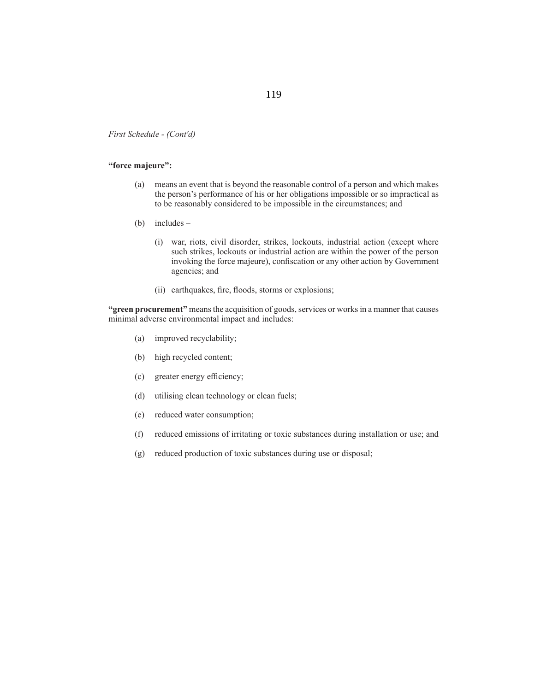# **"force majeure":**

- (a) means an event that is beyond the reasonable control of a person and which makes the person's performance of his or her obligations impossible or so impractical as to be reasonably considered to be impossible in the circumstances; and
- (b) includes
	- (i) war, riots, civil disorder, strikes, lockouts, industrial action (except where such strikes, lockouts or industrial action are within the power of the person invoking the force majeure), confiscation or any other action by Government agencies; and
	- (ii) earthquakes, fire, floods, storms or explosions;

**"green procurement"** means the acquisition of goods, services or works in a manner that causes minimal adverse environmental impact and includes:

- (a) improved recyclability;
- (b) high recycled content;
- (c) greater energy efficiency;
- (d) utilising clean technology or clean fuels;
- (e) reduced water consumption;
- (f) reduced emissions of irritating or toxic substances during installation or use; and
- (g) reduced production of toxic substances during use or disposal;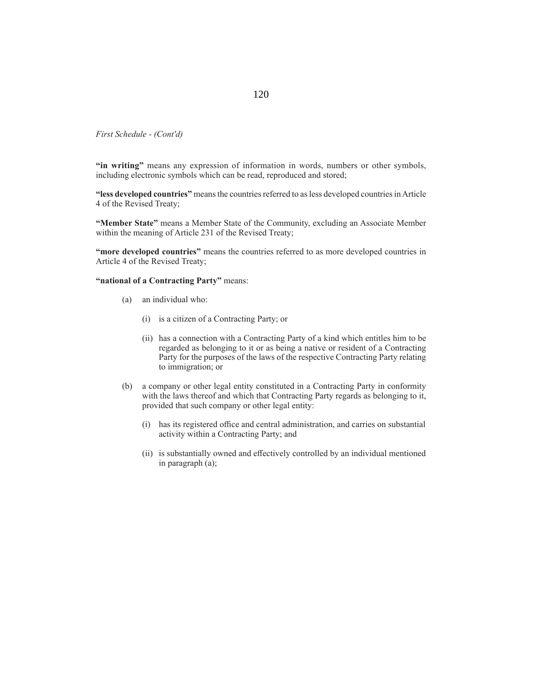**"in writing"** means any expression of information in words, numbers or other symbols, including electronic symbols which can be read, reproduced and stored;

**"less developed countries"** means the countries referred to as less developed countries in Article 4 of the Revised Treaty;

**"Member State"** means a Member State of the Community, excluding an Associate Member within the meaning of Article 231 of the Revised Treaty;

**"more developed countries"** means the countries referred to as more developed countries in Article 4 of the Revised Treaty;

**"national of a Contracting Party"** means:

- (a) an individual who:
	- (i) is a citizen of a Contracting Party; or
	- (ii) has a connection with a Contracting Party of a kind which entitles him to be regarded as belonging to it or as being a native or resident of a Contracting Party for the purposes of the laws of the respective Contracting Party relating to immigration; or
- (b) a company or other legal entity constituted in a Contracting Party in conformity with the laws thereof and which that Contracting Party regards as belonging to it, provided that such company or other legal entity:
	- (i) has its registered office and central administration, and carries on substantial activity within a Contracting Party; and
	- (ii) is substantially owned and effectively controlled by an individual mentioned in paragraph (a);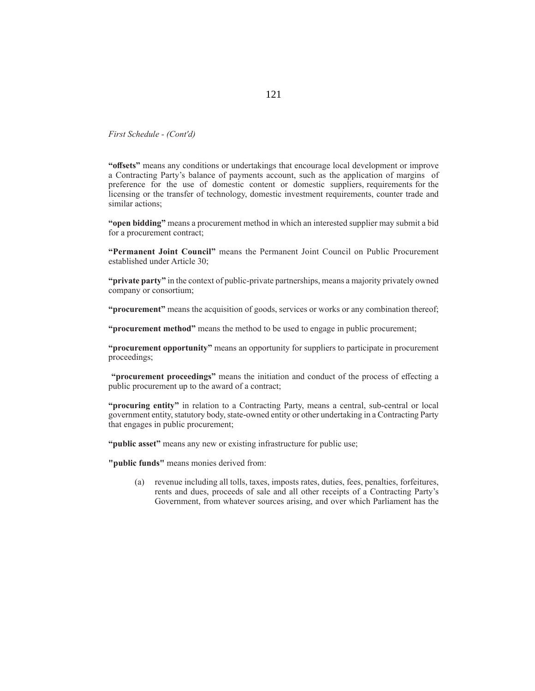**"off sets"** means any conditions or undertakings that encourage local development or improve a Contracting Party's balance of payments account, such as the application of margins of preference for the use of domestic content or domestic suppliers, requirements for the licensing or the transfer of technology, domestic investment requirements, counter trade and similar actions;

**"open bidding"** means a procurement method in which an interested supplier may submit a bid for a procurement contract;

**"Permanent Joint Council"** means the Permanent Joint Council on Public Procurement established under Article 30;

**"private party"** in the context of public-private partnerships, means a majority privately owned company or consortium;

**"procurement"** means the acquisition of goods, services or works or any combination thereof;

**"procurement method"** means the method to be used to engage in public procurement;

**"procurement opportunity"** means an opportunity for suppliers to participate in procurement proceedings;

"**procurement proceedings**" means the initiation and conduct of the process of effecting a public procurement up to the award of a contract;

**"procuring entity"** in relation to a Contracting Party, means a central, sub-central or local government entity, statutory body, state-owned entity or other undertaking in a Contracting Party that engages in public procurement;

**"public asset"** means any new or existing infrastructure for public use;

**"public funds"** means monies derived from:

 (a) revenue including all tolls, taxes, imposts rates, duties, fees, penalties, forfeitures, rents and dues, proceeds of sale and all other receipts of a Contracting Party's Government, from whatever sources arising, and over which Parliament has the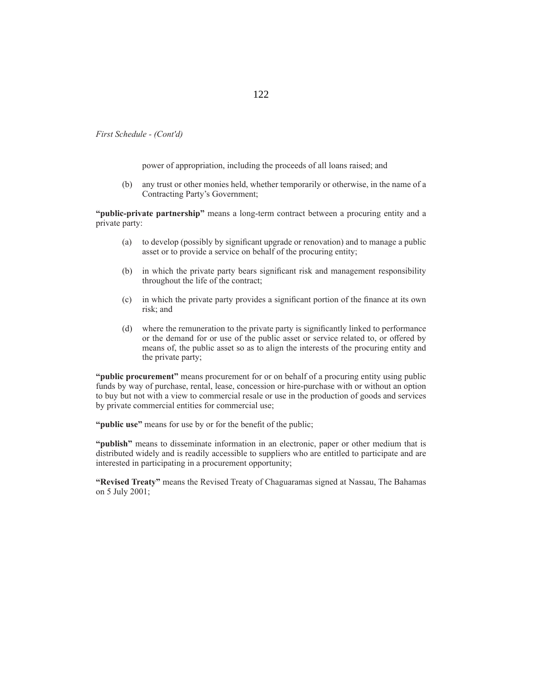power of appropriation, including the proceeds of all loans raised; and

 (b) any trust or other monies held, whether temporarily or otherwise, in the name of a Contracting Party's Government;

**"public-private partnership"** means a long-term contract between a procuring entity and a private party:

- (a) to develop (possibly by significant upgrade or renovation) and to manage a public asset or to provide a service on behalf of the procuring entity;
- (b) in which the private party bears significant risk and management responsibility throughout the life of the contract;
- (c) in which the private party provides a significant portion of the finance at its own risk; and
- (d) where the remuneration to the private party is significantly linked to performance or the demand for or use of the public asset or service related to, or offered by means of, the public asset so as to align the interests of the procuring entity and the private party;

**"public procurement"** means procurement for or on behalf of a procuring entity using public funds by way of purchase, rental, lease, concession or hire-purchase with or without an option to buy but not with a view to commercial resale or use in the production of goods and services by private commercial entities for commercial use;

"**public use**" means for use by or for the benefit of the public;

**"publish"** means to disseminate information in an electronic, paper or other medium that is distributed widely and is readily accessible to suppliers who are entitled to participate and are interested in participating in a procurement opportunity;

**"Revised Treaty"** means the Revised Treaty of Chaguaramas signed at Nassau, The Bahamas on 5 July 2001;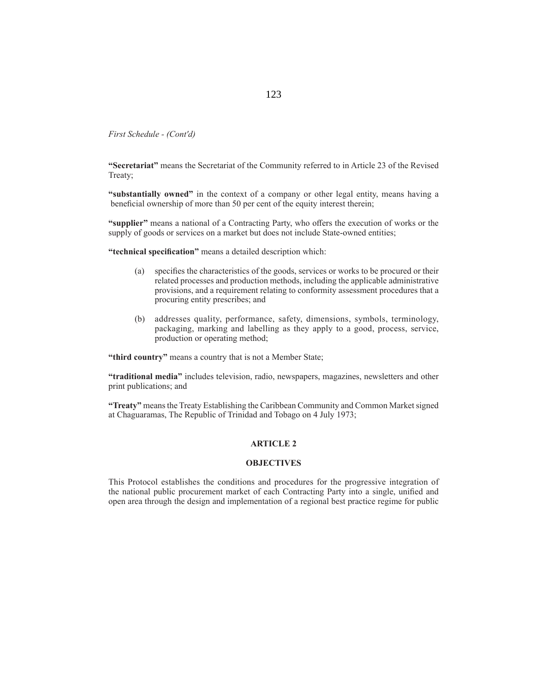**"Secretariat"** means the Secretariat of the Community referred to in Article 23 of the Revised Treaty;

**"substantially owned"** in the context of a company or other legal entity, means having a beneficial ownership of more than 50 per cent of the equity interest therein;

"supplier" means a national of a Contracting Party, who offers the execution of works or the supply of goods or services on a market but does not include State-owned entities;

"technical specification" means a detailed description which:

- (a) specifies the characteristics of the goods, services or works to be procured or their related processes and production methods, including the applicable administrative provisions, and a requirement relating to conformity assessment procedures that a procuring entity prescribes; and
- (b) addresses quality, performance, safety, dimensions, symbols, terminology, packaging, marking and labelling as they apply to a good, process, service, production or operating method;

**"third country"** means a country that is not a Member State;

**"traditional media"** includes television, radio, newspapers, magazines, newsletters and other print publications; and

**"Treaty"** means the Treaty Establishing the Caribbean Community and Common Market signed at Chaguaramas, The Republic of Trinidad and Tobago on 4 July 1973;

#### **ARTICLE 2**

#### **OBJECTIVES**

This Protocol establishes the conditions and procedures for the progressive integration of the national public procurement market of each Contracting Party into a single, unified and open area through the design and implementation of a regional best practice regime for public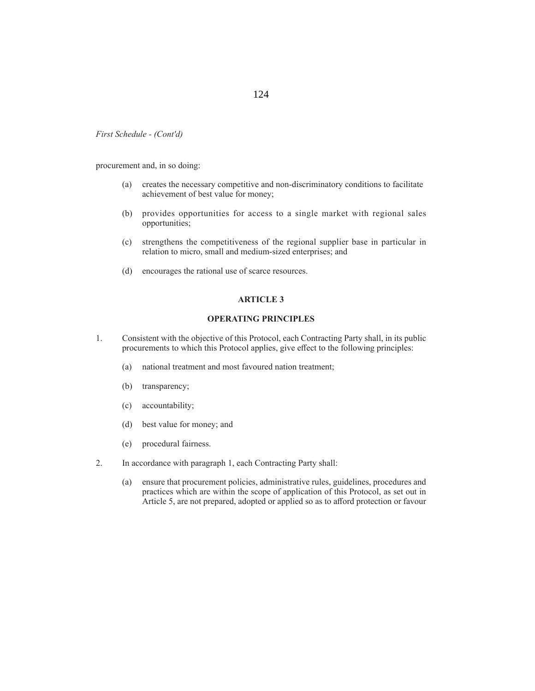procurement and, in so doing:

- (a) creates the necessary competitive and non-discriminatory conditions to facilitate achievement of best value for money;
- (b) provides opportunities for access to a single market with regional sales opportunities;
- (c) strengthens the competitiveness of the regional supplier base in particular in relation to micro, small and medium-sized enterprises; and
- (d) encourages the rational use of scarce resources.

# **ARTICLE 3**

### **OPERATING PRINCIPLES**

- 1. Consistent with the objective of this Protocol, each Contracting Party shall, in its public procurements to which this Protocol applies, give effect to the following principles:
	- (a) national treatment and most favoured nation treatment;
	- (b) transparency;
	- (c) accountability;
	- (d) best value for money; and
	- (e) procedural fairness.
- 2. In accordance with paragraph 1, each Contracting Party shall:
	- (a) ensure that procurement policies, administrative rules, guidelines, procedures and practices which are within the scope of application of this Protocol, as set out in Article 5, are not prepared, adopted or applied so as to afford protection or favour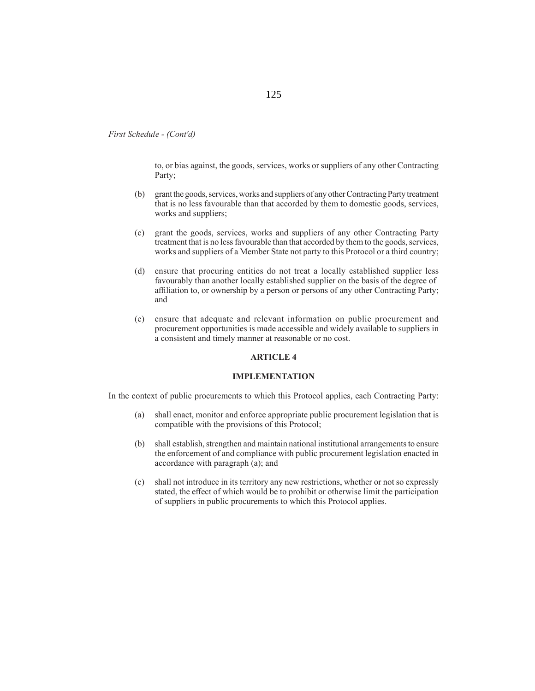to, or bias against, the goods, services, works or suppliers of any other Contracting Party;

- (b) grant the goods, services, works and suppliers of any other Contracting Party treatment that is no less favourable than that accorded by them to domestic goods, services, works and suppliers;
- (c) grant the goods, services, works and suppliers of any other Contracting Party treatment that is no less favourable than that accorded by them to the goods, services, works and suppliers of a Member State not party to this Protocol or a third country;
- (d) ensure that procuring entities do not treat a locally established supplier less favourably than another locally established supplier on the basis of the degree of affiliation to, or ownership by a person or persons of any other Contracting Party; and
- (e) ensure that adequate and relevant information on public procurement and procurement opportunities is made accessible and widely available to suppliers in a consistent and timely manner at reasonable or no cost.

#### **ARTICLE 4**

### **IMPLEMENTATION**

In the context of public procurements to which this Protocol applies, each Contracting Party:

- (a) shall enact, monitor and enforce appropriate public procurement legislation that is compatible with the provisions of this Protocol;
- (b) shall establish, strengthen and maintain national institutional arrangements to ensure the enforcement of and compliance with public procurement legislation enacted in accordance with paragraph (a); and
- (c) shall not introduce in its territory any new restrictions, whether or not so expressly stated, the effect of which would be to prohibit or otherwise limit the participation of suppliers in public procurements to which this Protocol applies.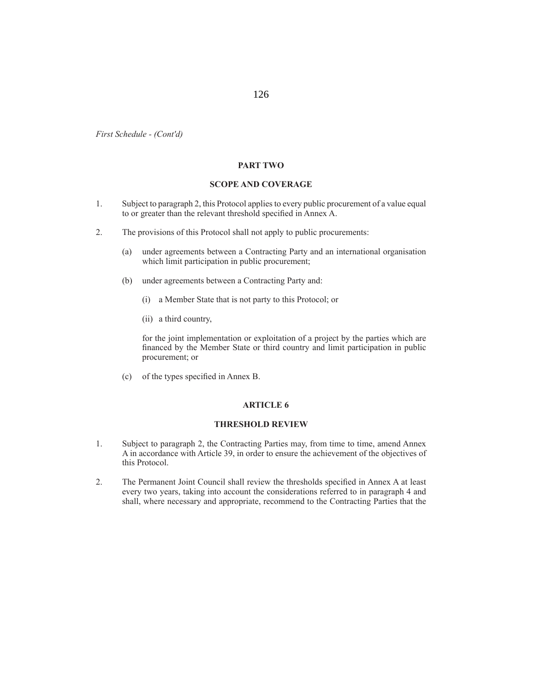## **PART TWO**

# **SCOPE AND COVERAGE**

- 1. Subject to paragraph 2, this Protocol applies to every public procurement of a value equal to or greater than the relevant threshold specified in Annex A.
- 2. The provisions of this Protocol shall not apply to public procurements:
	- (a) under agreements between a Contracting Party and an international organisation which limit participation in public procurement;
	- (b) under agreements between a Contracting Party and:
		- (i) a Member State that is not party to this Protocol; or
		- (ii) a third country,

 for the joint implementation or exploitation of a project by the parties which are financed by the Member State or third country and limit participation in public procurement; or

(c) of the types specified in Annex B.

## **ARTICLE 6**

### **THRESHOLD REVIEW**

- 1. Subject to paragraph 2, the Contracting Parties may, from time to time, amend Annex A in accordance with Article 39, in order to ensure the achievement of the objectives of this Protocol.
- 2. The Permanent Joint Council shall review the thresholds specified in Annex A at least every two years, taking into account the considerations referred to in paragraph 4 and shall, where necessary and appropriate, recommend to the Contracting Parties that the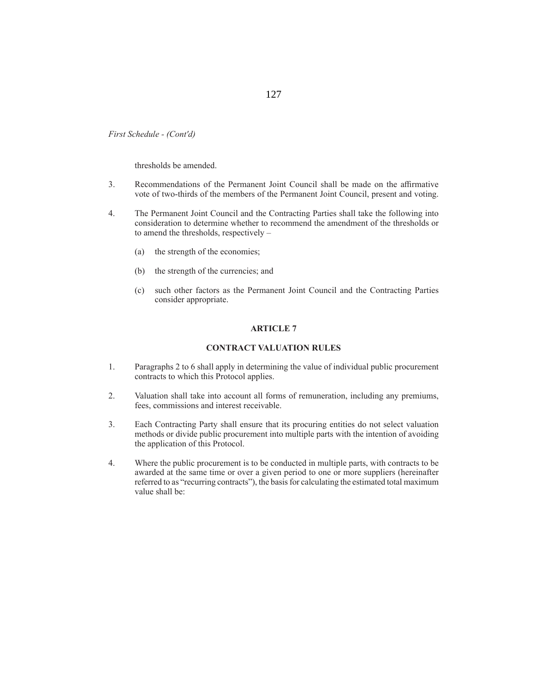thresholds be amended.

- 3. Recommendations of the Permanent Joint Council shall be made on the affirmative vote of two-thirds of the members of the Permanent Joint Council, present and voting.
- 4. The Permanent Joint Council and the Contracting Parties shall take the following into consideration to determine whether to recommend the amendment of the thresholds or to amend the thresholds, respectively –
	- (a) the strength of the economies;
	- (b) the strength of the currencies; and
	- (c) such other factors as the Permanent Joint Council and the Contracting Parties consider appropriate.

#### **ARTICLE 7**

### **CONTRACT VALUATION RULES**

- 1. Paragraphs 2 to 6 shall apply in determining the value of individual public procurement contracts to which this Protocol applies.
- 2. Valuation shall take into account all forms of remuneration, including any premiums, fees, commissions and interest receivable.
- 3. Each Contracting Party shall ensure that its procuring entities do not select valuation methods or divide public procurement into multiple parts with the intention of avoiding the application of this Protocol.
- 4. Where the public procurement is to be conducted in multiple parts, with contracts to be awarded at the same time or over a given period to one or more suppliers (hereinafter referred to as "recurring contracts"), the basis for calculating the estimated total maximum value shall be: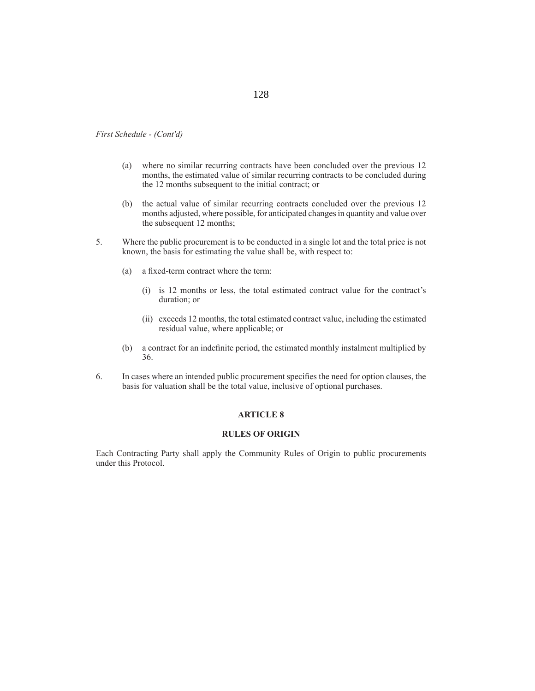- (a) where no similar recurring contracts have been concluded over the previous 12 months, the estimated value of similar recurring contracts to be concluded during the 12 months subsequent to the initial contract; or
- (b) the actual value of similar recurring contracts concluded over the previous 12 months adjusted, where possible, for anticipated changes in quantity and value over the subsequent 12 months;
- 5. Where the public procurement is to be conducted in a single lot and the total price is not known, the basis for estimating the value shall be, with respect to:
	- (a) a fixed-term contract where the term:
		- (i) is 12 months or less, the total estimated contract value for the contract's duration; or
		- (ii) exceeds 12 months, the total estimated contract value, including the estimated residual value, where applicable; or
	- (b) a contract for an indefinite period, the estimated monthly instalment multiplied by 36.
- 6. In cases where an intended public procurement specifies the need for option clauses, the basis for valuation shall be the total value, inclusive of optional purchases.

## **ARTICLE 8**

### **RULES OF ORIGIN**

Each Contracting Party shall apply the Community Rules of Origin to public procurements under this Protocol.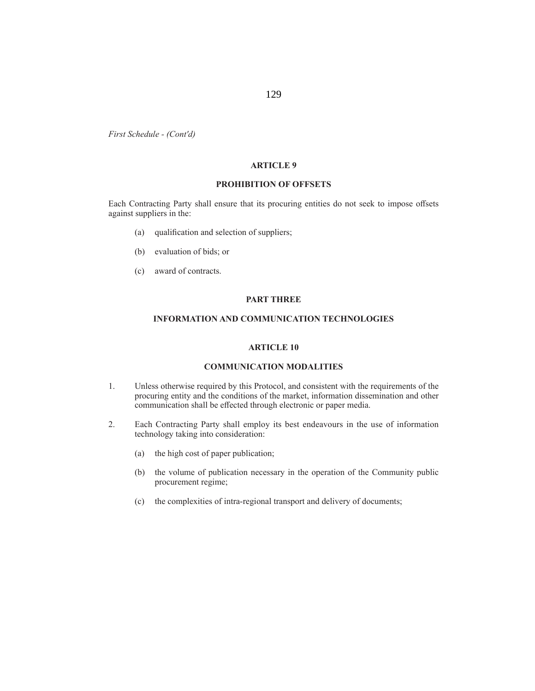### **ARTICLE 9**

### **PROHIBITION OF OFFSETS**

Each Contracting Party shall ensure that its procuring entities do not seek to impose offsets against suppliers in the:

- (a) qualification and selection of suppliers;
- (b) evaluation of bids; or
- (c) award of contracts.

### **PART THREE**

# **INFORMATION AND COMMUNICATION TECHNOLOGIES**

# **ARTICLE 10**

# **COMMUNICATION MODALITIES**

- 1. Unless otherwise required by this Protocol, and consistent with the requirements of the procuring entity and the conditions of the market, information dissemination and other communication shall be effected through electronic or paper media.
- 2. Each Contracting Party shall employ its best endeavours in the use of information technology taking into consideration:
	- (a) the high cost of paper publication;
	- (b) the volume of publication necessary in the operation of the Community public procurement regime;
	- (c) the complexities of intra-regional transport and delivery of documents;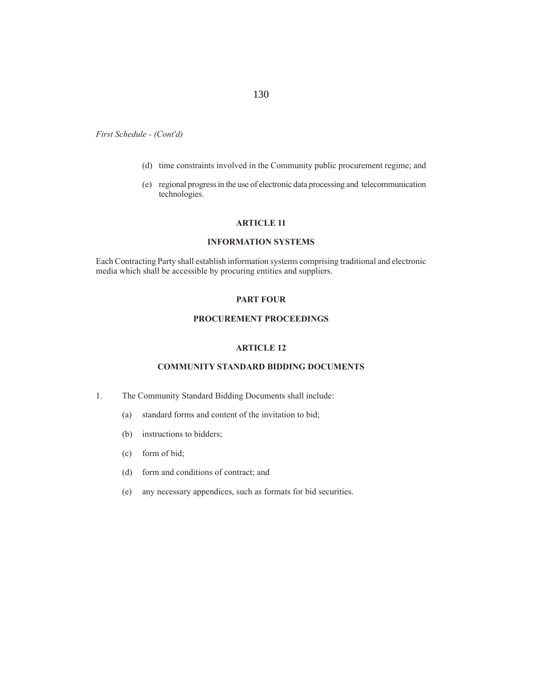# 130

*First Schedule - (Cont'd)*

- (d) time constraints involved in the Community public procurement regime; and
- (e) regional progress in the use of electronic data processing and telecommunication technologies.

## **ARTICLE 11**

# **INFORMATION SYSTEMS**

Each Contracting Party shall establish information systems comprising traditional and electronic media which shall be accessible by procuring entities and suppliers.

# **PART FOUR**

# **PROCUREMENT PROCEEDINGS**

# **ARTICLE 12**

# **COMMUNITY STANDARD BIDDING DOCUMENTS**

- 1. The Community Standard Bidding Documents shall include:
	- (a) standard forms and content of the invitation to bid;
	- (b) instructions to bidders;
	- (c) form of bid;
	- (d) form and conditions of contract; and
	- (e) any necessary appendices, such as formats for bid securities.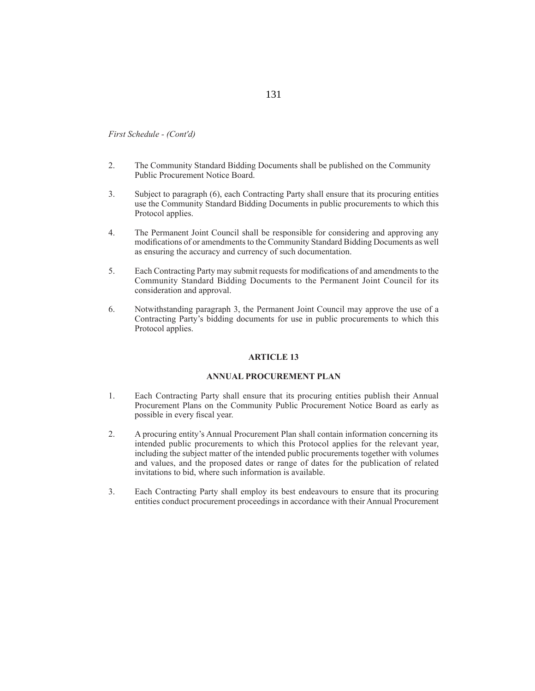- 2. The Community Standard Bidding Documents shall be published on the Community Public Procurement Notice Board.
- 3. Subject to paragraph (6), each Contracting Party shall ensure that its procuring entities use the Community Standard Bidding Documents in public procurements to which this Protocol applies.
- 4. The Permanent Joint Council shall be responsible for considering and approving any modifications of or amendments to the Community Standard Bidding Documents as well as ensuring the accuracy and currency of such documentation.
- 5. Each Contracting Party may submit requests for modifications of and amendments to the Community Standard Bidding Documents to the Permanent Joint Council for its consideration and approval.
- 6. Notwithstanding paragraph 3, the Permanent Joint Council may approve the use of a Contracting Party's bidding documents for use in public procurements to which this Protocol applies.

#### **ARTICLE 13**

# **ANNUAL PROCUREMENT PLAN**

- 1. Each Contracting Party shall ensure that its procuring entities publish their Annual Procurement Plans on the Community Public Procurement Notice Board as early as possible in every fiscal year.
- 2. A procuring entity's Annual Procurement Plan shall contain information concerning its intended public procurements to which this Protocol applies for the relevant year, including the subject matter of the intended public procurements together with volumes and values, and the proposed dates or range of dates for the publication of related invitations to bid, where such information is available.
- 3. Each Contracting Party shall employ its best endeavours to ensure that its procuring entities conduct procurement proceedings in accordance with their Annual Procurement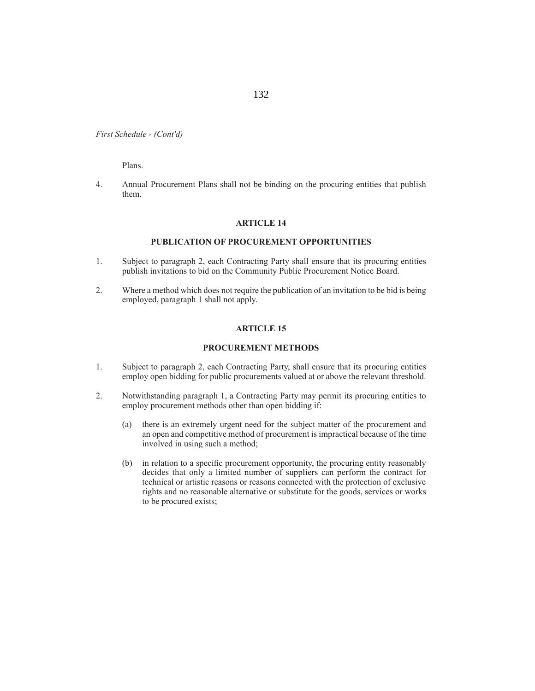Plans.

4. Annual Procurement Plans shall not be binding on the procuring entities that publish them.

#### **ARTICLE 14**

## **PUBLICATION OF PROCUREMENT OPPORTUNITIES**

- 1. Subject to paragraph 2, each Contracting Party shall ensure that its procuring entities publish invitations to bid on the Community Public Procurement Notice Board.
- 2. Where a method which does not require the publication of an invitation to be bid is being employed, paragraph 1 shall not apply.

#### **ARTICLE 15**

#### **PROCUREMENT METHODS**

- 1. Subject to paragraph 2, each Contracting Party, shall ensure that its procuring entities employ open bidding for public procurements valued at or above the relevant threshold.
- 2. Notwithstanding paragraph 1, a Contracting Party may permit its procuring entities to employ procurement methods other than open bidding if:
	- (a) there is an extremely urgent need for the subject matter of the procurement and an open and competitive method of procurement is impractical because of the time involved in using such a method;
	- (b) in relation to a specific procurement opportunity, the procuring entity reasonably decides that only a limited number of suppliers can perform the contract for technical or artistic reasons or reasons connected with the protection of exclusive rights and no reasonable alternative or substitute for the goods, services or works to be procured exists;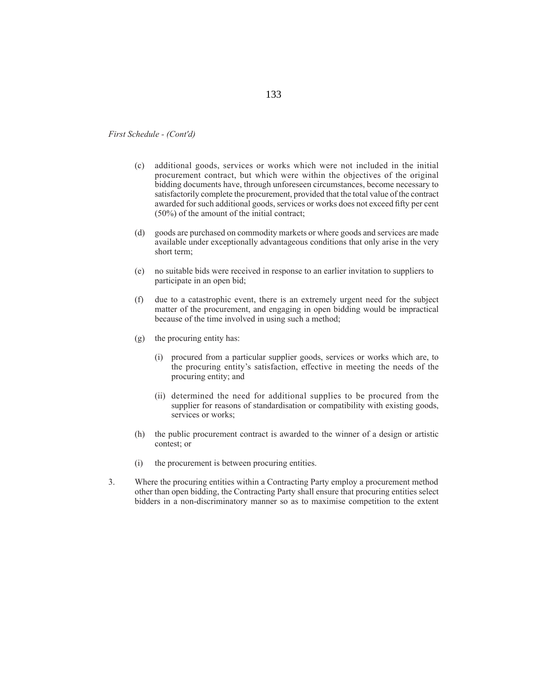- (c) additional goods, services or works which were not included in the initial procurement contract, but which were within the objectives of the original bidding documents have, through unforeseen circumstances, become necessary to satisfactorily complete the procurement, provided that the total value of the contract awarded for such additional goods, services or works does not exceed fifty per cent (50%) of the amount of the initial contract;
- (d) goods are purchased on commodity markets or where goods and services are made available under exceptionally advantageous conditions that only arise in the very short term;
- (e) no suitable bids were received in response to an earlier invitation to suppliers to participate in an open bid;
- (f) due to a catastrophic event, there is an extremely urgent need for the subject matter of the procurement, and engaging in open bidding would be impractical because of the time involved in using such a method;
- (g) the procuring entity has:
	- (i) procured from a particular supplier goods, services or works which are, to the procuring entity's satisfaction, effective in meeting the needs of the procuring entity; and
	- (ii) determined the need for additional supplies to be procured from the supplier for reasons of standardisation or compatibility with existing goods, services or works;
- (h) the public procurement contract is awarded to the winner of a design or artistic contest; or
- (i) the procurement is between procuring entities.
- 3. Where the procuring entities within a Contracting Party employ a procurement method other than open bidding, the Contracting Party shall ensure that procuring entities select bidders in a non-discriminatory manner so as to maximise competition to the extent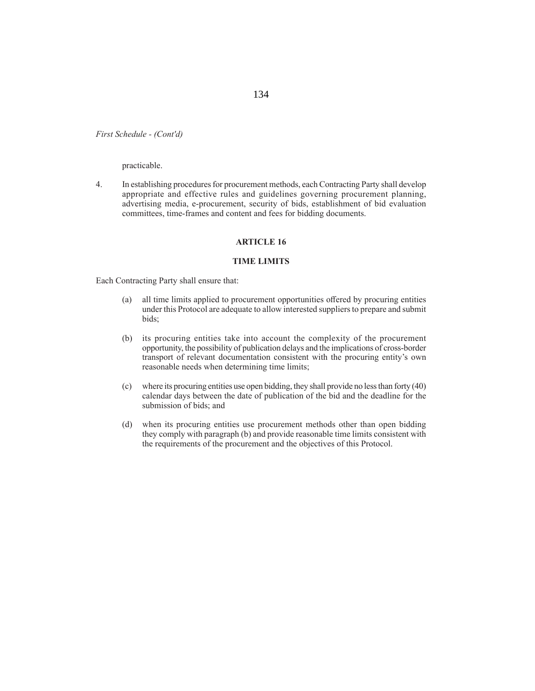practicable.

4. In establishing procedures for procurement methods, each Contracting Party shall develop appropriate and effective rules and guidelines governing procurement planning, advertising media, e-procurement, security of bids, establishment of bid evaluation committees, time-frames and content and fees for bidding documents.

# **ARTICLE 16**

### **TIME LIMITS**

Each Contracting Party shall ensure that:

- (a) all time limits applied to procurement opportunities offered by procuring entities under this Protocol are adequate to allow interested suppliers to prepare and submit bids;
- (b) its procuring entities take into account the complexity of the procurement opportunity, the possibility of publication delays and the implications of cross-border transport of relevant documentation consistent with the procuring entity's own reasonable needs when determining time limits;
- (c) where its procuring entities use open bidding, they shall provide no less than forty (40) calendar days between the date of publication of the bid and the deadline for the submission of bids; and
- (d) when its procuring entities use procurement methods other than open bidding they comply with paragraph (b) and provide reasonable time limits consistent with the requirements of the procurement and the objectives of this Protocol.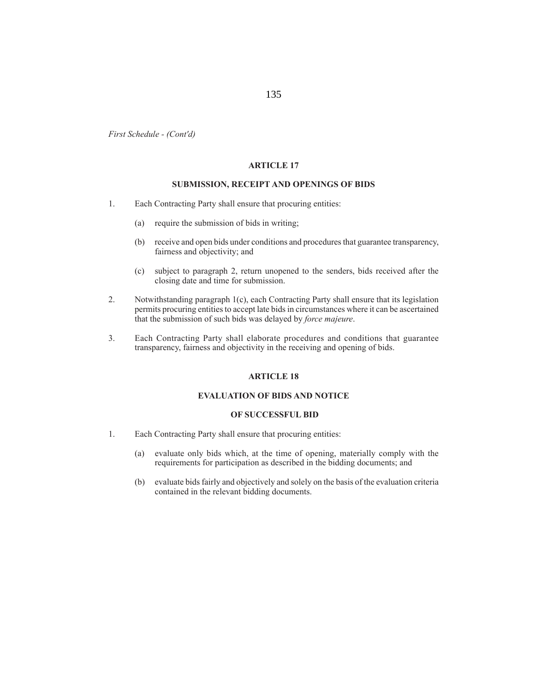135

*First Schedule - (Cont'd)*

### **ARTICLE 17**

### **SUBMISSION, RECEIPT AND OPENINGS OF BIDS**

- 1. Each Contracting Party shall ensure that procuring entities:
	- (a) require the submission of bids in writing;
	- (b) receive and open bids under conditions and procedures that guarantee transparency, fairness and objectivity; and
	- (c) subject to paragraph 2, return unopened to the senders, bids received after the closing date and time for submission.
- 2. Notwithstanding paragraph 1(c), each Contracting Party shall ensure that its legislation permits procuring entities to accept late bids in circumstances where it can be ascertained that the submission of such bids was delayed by *force majeure*.
- 3. Each Contracting Party shall elaborate procedures and conditions that guarantee transparency, fairness and objectivity in the receiving and opening of bids.

# **ARTICLE 18**

## **EVALUATION OF BIDS AND NOTICE**

### **OF SUCCESSFUL BID**

- 1. Each Contracting Party shall ensure that procuring entities:
	- (a) evaluate only bids which, at the time of opening, materially comply with the requirements for participation as described in the bidding documents; and
	- (b) evaluate bids fairly and objectively and solely on the basis of the evaluation criteria contained in the relevant bidding documents.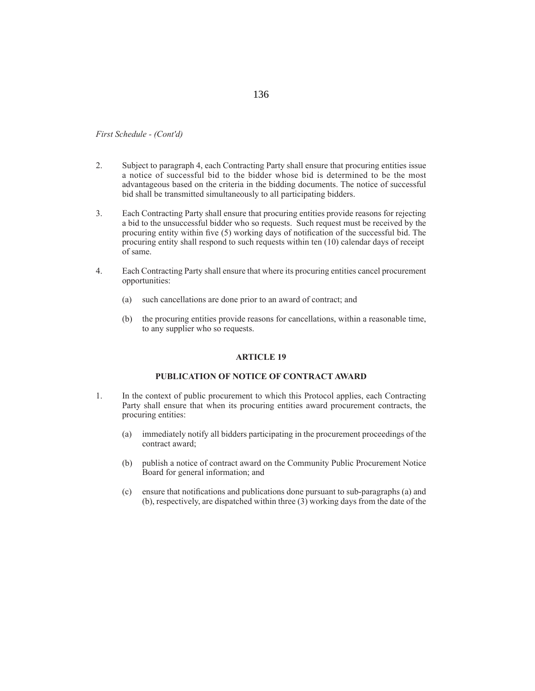- 2. Subject to paragraph 4, each Contracting Party shall ensure that procuring entities issue a notice of successful bid to the bidder whose bid is determined to be the most advantageous based on the criteria in the bidding documents. The notice of successful bid shall be transmitted simultaneously to all participating bidders.
- 3. Each Contracting Party shall ensure that procuring entities provide reasons for rejecting a bid to the unsuccessful bidder who so requests. Such request must be received by the procuring entity within five  $(5)$  working days of notification of the successful bid. The procuring entity shall respond to such requests within ten (10) calendar days of receipt of same.
- 4. Each Contracting Party shall ensure that where its procuring entities cancel procurement opportunities:
	- (a) such cancellations are done prior to an award of contract; and
	- (b) the procuring entities provide reasons for cancellations, within a reasonable time, to any supplier who so requests.

#### **ARTICLE 19**

### **PUBLICATION OF NOTICE OF CONTRACT AWARD**

- 1. In the context of public procurement to which this Protocol applies, each Contracting Party shall ensure that when its procuring entities award procurement contracts, the procuring entities:
	- (a) immediately notify all bidders participating in the procurement proceedings of the contract award;
	- (b) publish a notice of contract award on the Community Public Procurement Notice Board for general information; and
	- (c) ensure that notifications and publications done pursuant to sub-paragraphs (a) and (b), respectively, are dispatched within three (3) working days from the date of the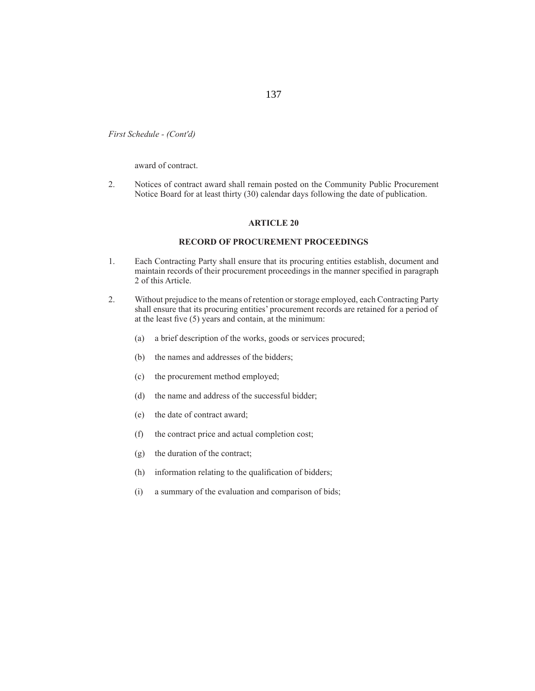award of contract.

2. Notices of contract award shall remain posted on the Community Public Procurement Notice Board for at least thirty (30) calendar days following the date of publication.

#### **ARTICLE 20**

# **RECORD OF PROCUREMENT PROCEEDINGS**

- 1. Each Contracting Party shall ensure that its procuring entities establish, document and maintain records of their procurement proceedings in the manner specified in paragraph 2 of this Article.
- 2. Without prejudice to the means of retention or storage employed, each Contracting Party shall ensure that its procuring entities' procurement records are retained for a period of at the least five  $(5)$  years and contain, at the minimum:
	- (a) a brief description of the works, goods or services procured;
	- (b) the names and addresses of the bidders;
	- (c) the procurement method employed;
	- (d) the name and address of the successful bidder;
	- (e) the date of contract award;
	- (f) the contract price and actual completion cost;
	- (g) the duration of the contract;
	- (h) information relating to the qualification of bidders;
	- (i) a summary of the evaluation and comparison of bids;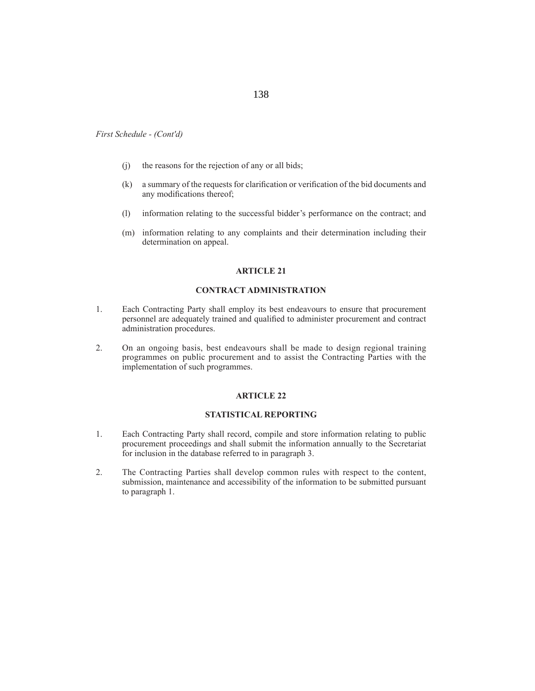- (j) the reasons for the rejection of any or all bids;
- (k) a summary of the requests for clarification or verification of the bid documents and any modifications thereof;
- (l) information relating to the successful bidder's performance on the contract; and
- (m) information relating to any complaints and their determination including their determination on appeal.

#### **ARTICLE 21**

#### **CONTRACT ADMINISTRATION**

- 1. Each Contracting Party shall employ its best endeavours to ensure that procurement personnel are adequately trained and qualified to administer procurement and contract administration procedures.
- 2. On an ongoing basis, best endeavours shall be made to design regional training programmes on public procurement and to assist the Contracting Parties with the implementation of such programmes.

### **ARTICLE 22**

### **STATISTICAL REPORTING**

- 1. Each Contracting Party shall record, compile and store information relating to public procurement proceedings and shall submit the information annually to the Secretariat for inclusion in the database referred to in paragraph 3.
- 2. The Contracting Parties shall develop common rules with respect to the content, submission, maintenance and accessibility of the information to be submitted pursuant to paragraph 1.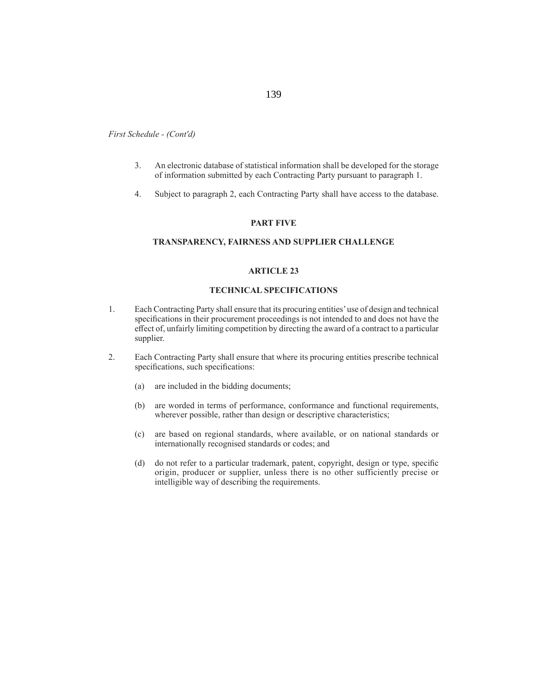- 3. An electronic database of statistical information shall be developed for the storage of information submitted by each Contracting Party pursuant to paragraph 1.
- 4. Subject to paragraph 2, each Contracting Party shall have access to the database.

### **PART FIVE**

# **TRANSPARENCY, FAIRNESS AND SUPPLIER CHALLENGE**

#### **ARTICLE 23**

#### **TECHNICAL SPECIFICATIONS**

- 1. Each Contracting Party shall ensure that its procuring entities' use of design and technical specifications in their procurement proceedings is not intended to and does not have the effect of, unfairly limiting competition by directing the award of a contract to a particular supplier.
- 2. Each Contracting Party shall ensure that where its procuring entities prescribe technical specifications, such specifications:
	- (a) are included in the bidding documents;
	- (b) are worded in terms of performance, conformance and functional requirements, wherever possible, rather than design or descriptive characteristics;
	- (c) are based on regional standards, where available, or on national standards or internationally recognised standards or codes; and
	- (d) do not refer to a particular trademark, patent, copyright, design or type, specific origin, producer or supplier, unless there is no other sufficiently precise or intelligible way of describing the requirements.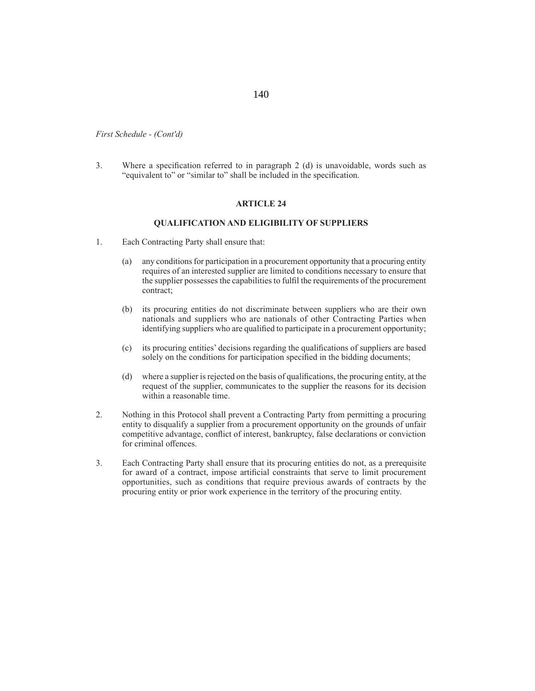3. Where a specification referred to in paragraph  $2$  (d) is unavoidable, words such as "equivalent to" or "similar to" shall be included in the specification.

# **ARTICLE 24**

# **QUALIFICATION AND ELIGIBILITY OF SUPPLIERS**

- 1. Each Contracting Party shall ensure that:
	- (a) any conditions for participation in a procurement opportunity that a procuring entity requires of an interested supplier are limited to conditions necessary to ensure that the supplier possesses the capabilities to fulfil the requirements of the procurement contract;
	- (b) its procuring entities do not discriminate between suppliers who are their own nationals and suppliers who are nationals of other Contracting Parties when identifying suppliers who are qualified to participate in a procurement opportunity;
	- (c) its procuring entities' decisions regarding the qualifications of suppliers are based solely on the conditions for participation specified in the bidding documents;
	- (d) where a supplier is rejected on the basis of qualifications, the procuring entity, at the request of the supplier, communicates to the supplier the reasons for its decision within a reasonable time.
- 2. Nothing in this Protocol shall prevent a Contracting Party from permitting a procuring entity to disqualify a supplier from a procurement opportunity on the grounds of unfair competitive advantage, conflict of interest, bankruptcy, false declarations or conviction for criminal offences.
- 3. Each Contracting Party shall ensure that its procuring entities do not, as a prerequisite for award of a contract, impose artificial constraints that serve to limit procurement opportunities, such as conditions that require previous awards of contracts by the procuring entity or prior work experience in the territory of the procuring entity.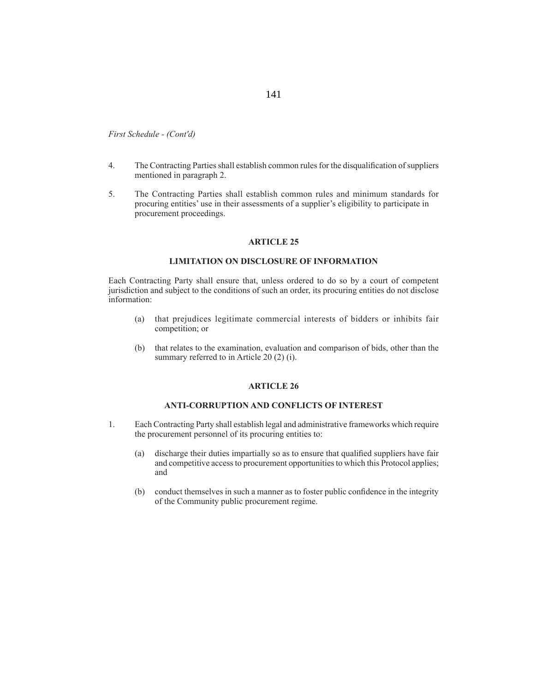- 4. The Contracting Parties shall establish common rules for the disqualification of suppliers mentioned in paragraph 2.
- 5. The Contracting Parties shall establish common rules and minimum standards for procuring entities' use in their assessments of a supplier's eligibility to participate in procurement proceedings.

## **ARTICLE 25**

# **LIMITATION ON DISCLOSURE OF INFORMATION**

Each Contracting Party shall ensure that, unless ordered to do so by a court of competent jurisdiction and subject to the conditions of such an order, its procuring entities do not disclose information:

- (a) that prejudices legitimate commercial interests of bidders or inhibits fair competition; or
- (b) that relates to the examination, evaluation and comparison of bids, other than the summary referred to in Article 20 (2) (i).

#### **ARTICLE 26**

## **ANTI-CORRUPTION AND CONFLICTS OF INTEREST**

- 1. Each Contracting Party shall establish legal and administrative frameworks which require the procurement personnel of its procuring entities to:
	- (a) discharge their duties impartially so as to ensure that qualified suppliers have fair and competitive access to procurement opportunities to which this Protocol applies; and
	- (b) conduct themselves in such a manner as to foster public confidence in the integrity of the Community public procurement regime.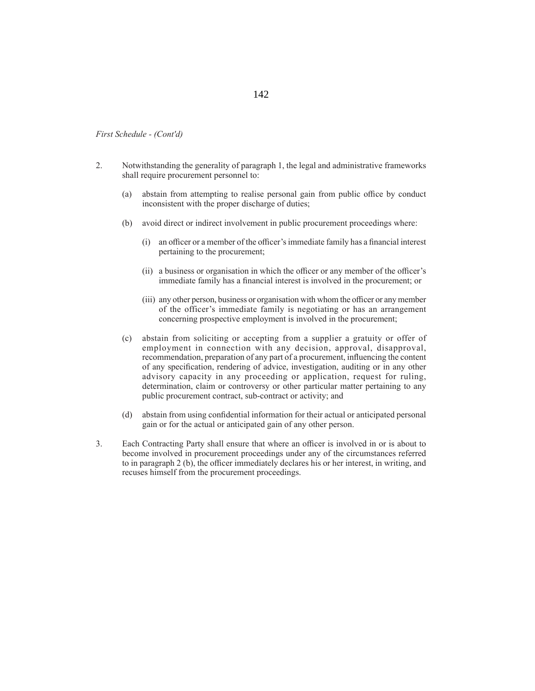- 2. Notwithstanding the generality of paragraph 1, the legal and administrative frameworks shall require procurement personnel to:
	- (a) abstain from attempting to realise personal gain from public office by conduct inconsistent with the proper discharge of duties;
	- (b) avoid direct or indirect involvement in public procurement proceedings where:
		- $(i)$  an officer or a member of the officer's immediate family has a financial interest pertaining to the procurement;
		- $(i)$  a business or organisation in which the officer or any member of the officer's immediate family has a financial interest is involved in the procurement; or
		- (iii) any other person, business or organisation with whom the officer or any member of the officer's immediate family is negotiating or has an arrangement concerning prospective employment is involved in the procurement;
	- (c) abstain from soliciting or accepting from a supplier a gratuity or offer of employment in connection with any decision, approval, disapproval, recommendation, preparation of any part of a procurement, influencing the content of any specification, rendering of advice, investigation, auditing or in any other advisory capacity in any proceeding or application, request for ruling, determination, claim or controversy or other particular matter pertaining to any public procurement contract, sub-contract or activity; and
	- (d) abstain from using confidential information for their actual or anticipated personal gain or for the actual or anticipated gain of any other person.
- 3. Each Contracting Party shall ensure that where an officer is involved in or is about to become involved in procurement proceedings under any of the circumstances referred to in paragraph 2 (b), the officer immediately declares his or her interest, in writing, and recuses himself from the procurement proceedings.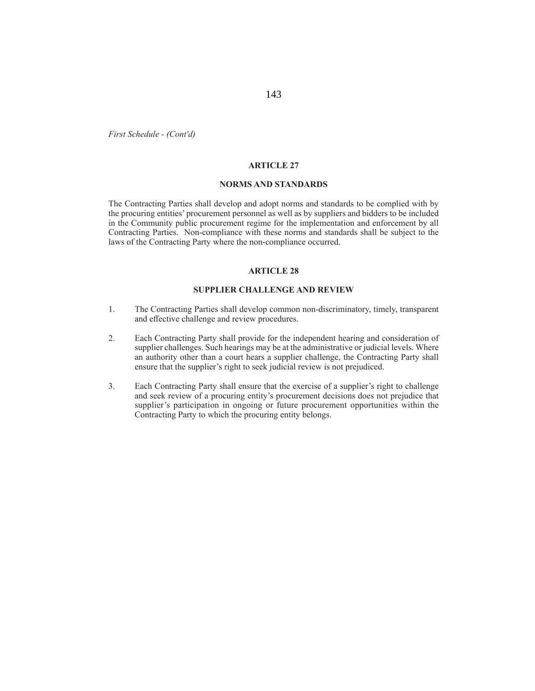#### **ARTICLE 27**

#### **NORMS AND STANDARDS**

The Contracting Parties shall develop and adopt norms and standards to be complied with by the procuring entities' procurement personnel as well as by suppliers and bidders to be included in the Community public procurement regime for the implementation and enforcement by all Contracting Parties. Non-compliance with these norms and standards shall be subject to the laws of the Contracting Party where the non-compliance occurred.

### **ARTICLE 28**

#### **SUPPLIER CHALLENGE AND REVIEW**

- 1. The Contracting Parties shall develop common non-discriminatory, timely, transparent and effective challenge and review procedures.
- 2. Each Contracting Party shall provide for the independent hearing and consideration of supplier challenges. Such hearings may be at the administrative or judicial levels. Where an authority other than a court hears a supplier challenge, the Contracting Party shall ensure that the supplier's right to seek judicial review is not prejudiced.
- 3. Each Contracting Party shall ensure that the exercise of a supplier's right to challenge and seek review of a procuring entity's procurement decisions does not prejudice that supplier's participation in ongoing or future procurement opportunities within the Contracting Party to which the procuring entity belongs.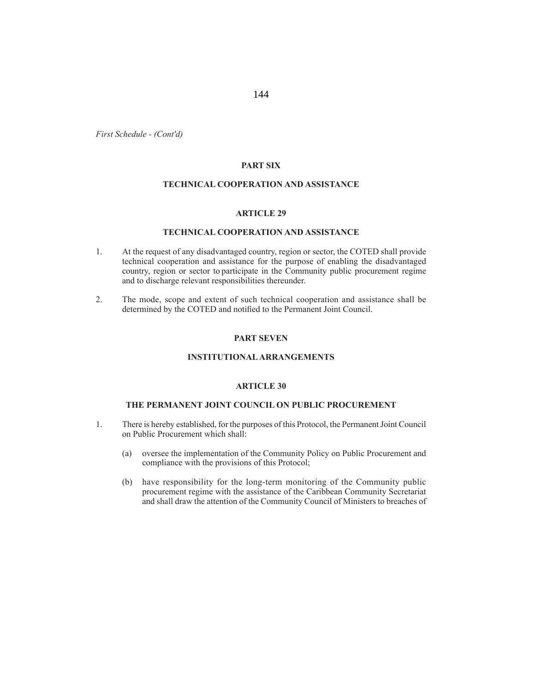# **PART SIX**

### **TECHNICAL COOPERATION AND ASSISTANCE**

### **ARTICLE 29**

## **TECHNICAL COOPERATION AND ASSISTANCE**

- 1. At the request of any disadvantaged country, region or sector, the COTED shall provide technical cooperation and assistance for the purpose of enabling the disadvantaged country, region or sector to participate in the Community public procurement regime and to discharge relevant responsibilities thereunder.
- 2. The mode, scope and extent of such technical cooperation and assistance shall be determined by the COTED and notified to the Permanent Joint Council.

### **PART SEVEN**

# **INSTITUTIONAL ARRANGEMENTS**

### **ARTICLE 30**

## **THE PERMANENT JOINT COUNCIL ON PUBLIC PROCUREMENT**

- 1. There is hereby established, for the purposes of this Protocol, the Permanent Joint Council on Public Procurement which shall:
	- (a) oversee the implementation of the Community Policy on Public Procurement and compliance with the provisions of this Protocol;
	- (b) have responsibility for the long-term monitoring of the Community public procurement regime with the assistance of the Caribbean Community Secretariat and shall draw the attention of the Community Council of Ministers to breaches of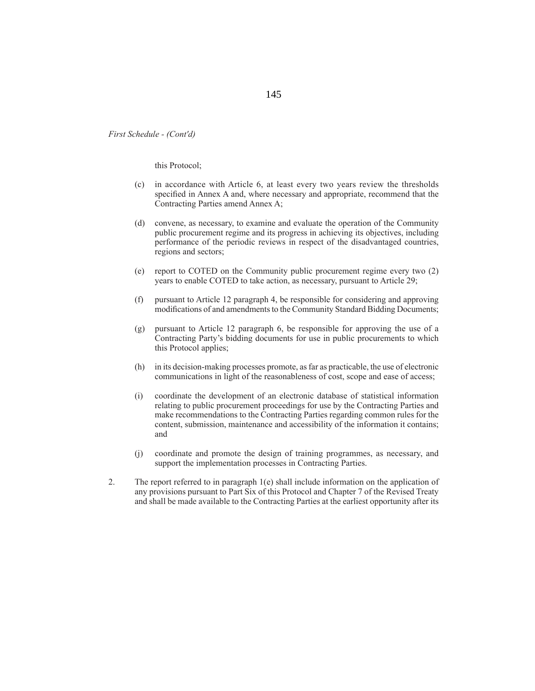this Protocol;

- (c) in accordance with Article 6, at least every two years review the thresholds specified in Annex A and, where necessary and appropriate, recommend that the Contracting Parties amend Annex A;
- (d) convene, as necessary, to examine and evaluate the operation of the Community public procurement regime and its progress in achieving its objectives, including performance of the periodic reviews in respect of the disadvantaged countries, regions and sectors;
- (e) report to COTED on the Community public procurement regime every two (2) years to enable COTED to take action, as necessary, pursuant to Article 29;
- (f) pursuant to Article 12 paragraph 4, be responsible for considering and approving modifications of and amendments to the Community Standard Bidding Documents;
- (g) pursuant to Article 12 paragraph 6, be responsible for approving the use of a Contracting Party's bidding documents for use in public procurements to which this Protocol applies;
- (h) in its decision-making processes promote, as far as practicable, the use of electronic communications in light of the reasonableness of cost, scope and ease of access;
- (i) coordinate the development of an electronic database of statistical information relating to public procurement proceedings for use by the Contracting Parties and make recommendations to the Contracting Parties regarding common rules for the content, submission, maintenance and accessibility of the information it contains; and
- (j) coordinate and promote the design of training programmes, as necessary, and support the implementation processes in Contracting Parties.
- 2. The report referred to in paragraph 1(e) shall include information on the application of any provisions pursuant to Part Six of this Protocol and Chapter 7 of the Revised Treaty and shall be made available to the Contracting Parties at the earliest opportunity after its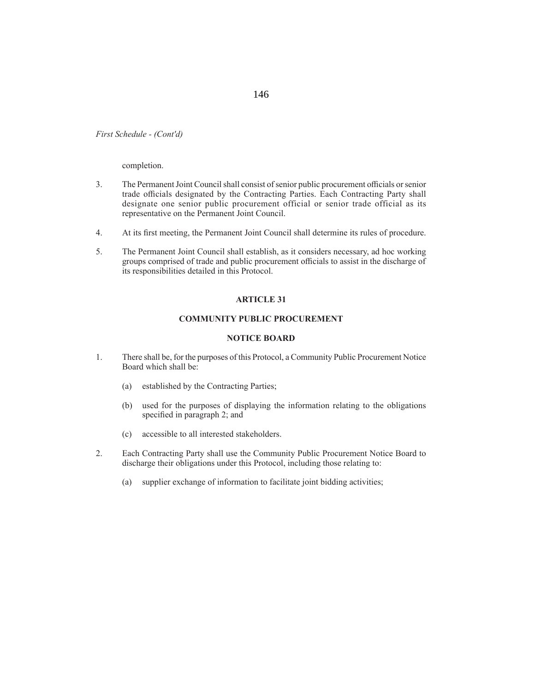completion.

- 3. The Permanent Joint Council shall consist of senior public procurement officials or senior trade officials designated by the Contracting Parties. Each Contracting Party shall designate one senior public procurement official or senior trade official as its representative on the Permanent Joint Council.
- 4. At its first meeting, the Permanent Joint Council shall determine its rules of procedure.
- 5. The Permanent Joint Council shall establish, as it considers necessary, ad hoc working groups comprised of trade and public procurement officials to assist in the discharge of its responsibilities detailed in this Protocol.

#### **ARTICLE 31**

#### **COMMUNITY PUBLIC PROCUREMENT**

#### **NOTICE BOARD**

- 1. There shall be, for the purposes of this Protocol, a Community Public Procurement Notice Board which shall be:
	- (a) established by the Contracting Parties;
	- (b) used for the purposes of displaying the information relating to the obligations specified in paragraph 2; and
	- (c) accessible to all interested stakeholders.
- 2. Each Contracting Party shall use the Community Public Procurement Notice Board to discharge their obligations under this Protocol, including those relating to:
	- (a) supplier exchange of information to facilitate joint bidding activities;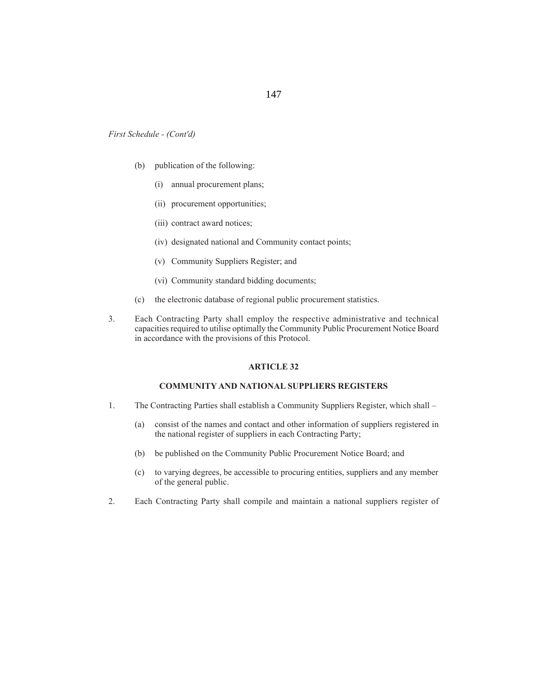147

*First Schedule - (Cont'd)*

- (b) publication of the following:
	- (i) annual procurement plans;
	- (ii) procurement opportunities;
	- (iii) contract award notices;
	- (iv) designated national and Community contact points;
	- (v) Community Suppliers Register; and
	- (vi) Community standard bidding documents;
- (c) the electronic database of regional public procurement statistics.
- 3. Each Contracting Party shall employ the respective administrative and technical capacities required to utilise optimally the Community Public Procurement Notice Board in accordance with the provisions of this Protocol.

#### **ARTICLE 32**

#### **COMMUNITY AND NATIONAL SUPPLIERS REGISTERS**

- 1. The Contracting Parties shall establish a Community Suppliers Register, which shall
	- (a) consist of the names and contact and other information of suppliers registered in the national register of suppliers in each Contracting Party;
	- (b) be published on the Community Public Procurement Notice Board; and
	- (c) to varying degrees, be accessible to procuring entities, suppliers and any member of the general public.
- 2. Each Contracting Party shall compile and maintain a national suppliers register of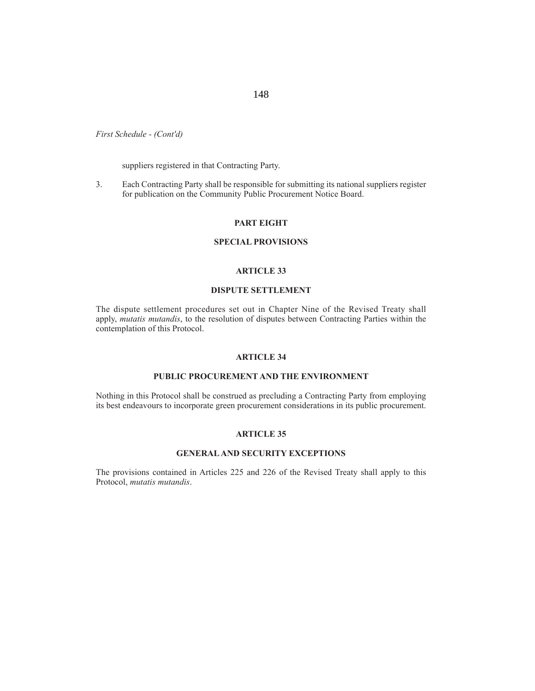suppliers registered in that Contracting Party.

3. Each Contracting Party shall be responsible for submitting its national suppliers register for publication on the Community Public Procurement Notice Board.

#### **PART EIGHT**

#### **SPECIAL PROVISIONS**

#### **ARTICLE 33**

#### **DISPUTE SETTLEMENT**

The dispute settlement procedures set out in Chapter Nine of the Revised Treaty shall apply, *mutatis mutandis*, to the resolution of disputes between Contracting Parties within the contemplation of this Protocol.

#### **ARTICLE 34**

### **PUBLIC PROCUREMENT AND THE ENVIRONMENT**

Nothing in this Protocol shall be construed as precluding a Contracting Party from employing its best endeavours to incorporate green procurement considerations in its public procurement.

#### **ARTICLE 35**

#### **GENERAL AND SECURITY EXCEPTIONS**

The provisions contained in Articles 225 and 226 of the Revised Treaty shall apply to this Protocol, *mutatis mutandis*.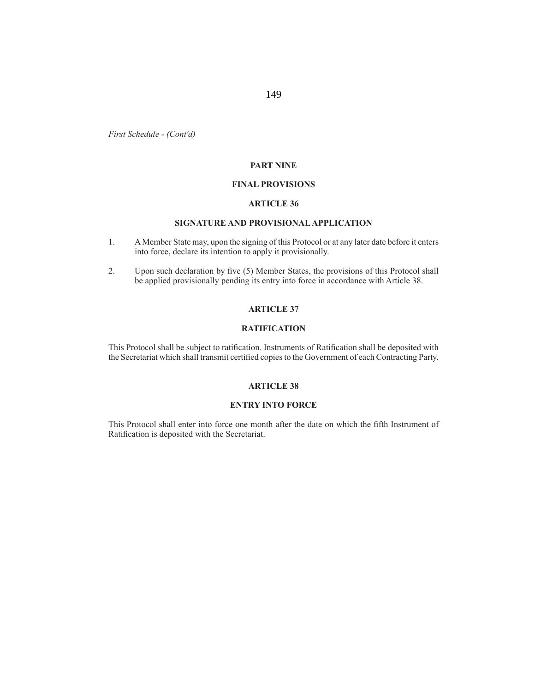#### **PART NINE**

#### **FINAL PROVISIONS**

#### **ARTICLE 36**

### **SIGNATURE AND PROVISIONAL APPLICATION**

- 1. A Member State may, upon the signing of this Protocol or at any later date before it enters into force, declare its intention to apply it provisionally.
- 2. Upon such declaration by five (5) Member States, the provisions of this Protocol shall be applied provisionally pending its entry into force in accordance with Article 38.

#### **ARTICLE 37**

### **RATIFICATION**

This Protocol shall be subject to ratification. Instruments of Ratification shall be deposited with the Secretariat which shall transmit certified copies to the Government of each Contracting Party.

#### **ARTICLE 38**

#### **ENTRY INTO FORCE**

This Protocol shall enter into force one month after the date on which the fifth Instrument of Ratification is deposited with the Secretariat.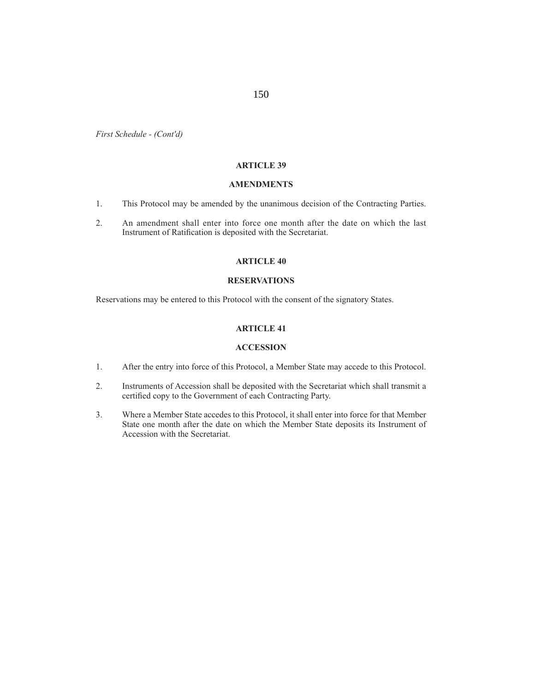### **ARTICLE 39**

150

#### **AMENDMENTS**

- 1. This Protocol may be amended by the unanimous decision of the Contracting Parties.
- 2. An amendment shall enter into force one month after the date on which the last Instrument of Ratification is deposited with the Secretariat.

### **ARTICLE 40**

## **RESERVATIONS**

Reservations may be entered to this Protocol with the consent of the signatory States.

### **ARTICLE 41**

#### **ACCESSION**

- 1. After the entry into force of this Protocol, a Member State may accede to this Protocol.
- 2. Instruments of Accession shall be deposited with the Secretariat which shall transmit a certified copy to the Government of each Contracting Party.
- 3. Where a Member State accedes to this Protocol, it shall enter into force for that Member State one month after the date on which the Member State deposits its Instrument of Accession with the Secretariat.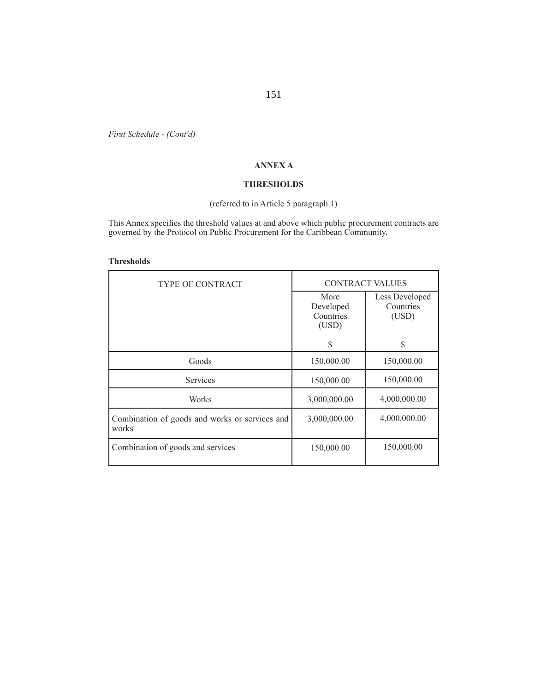### **ANNEX A**

#### **THRESHOLDS**

# (referred to in Article 5 paragraph 1)

This Annex specifies the threshold values at and above which public procurement contracts are governed by the Protocol on Public Procurement for the Caribbean Community.

#### **Thresholds**

| <b>TYPE OF CONTRACT</b>                                 | <b>CONTRACT VALUES</b>                  |                                      |
|---------------------------------------------------------|-----------------------------------------|--------------------------------------|
|                                                         | More<br>Developed<br>Countries<br>(USD) | Less Developed<br>Countries<br>(USD) |
|                                                         | S                                       | \$                                   |
| Goods                                                   | 150,000.00                              | 150,000.00                           |
| Services                                                | 150,000.00                              | 150,000.00                           |
| Works                                                   | 3,000,000.00                            | 4,000,000.00                         |
| Combination of goods and works or services and<br>works | 3,000,000.00                            | 4,000,000.00                         |
| Combination of goods and services                       | 150,000.00                              | 150,000.00                           |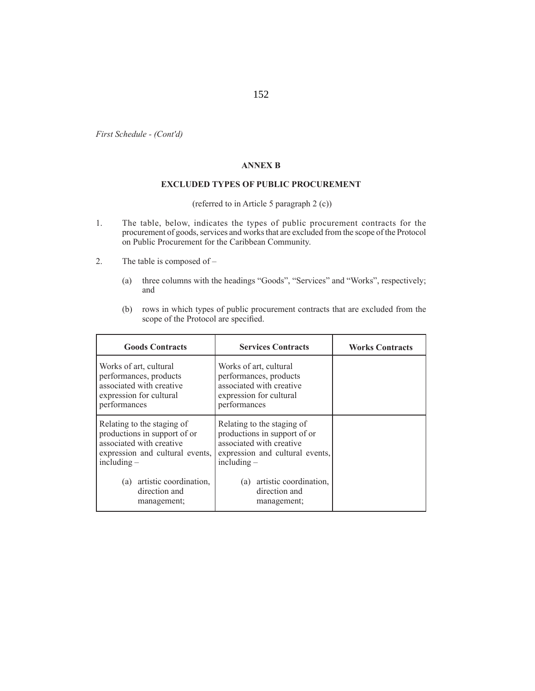### **ANNEX B**

#### **EXCLUDED TYPES OF PUBLIC PROCUREMENT**

(referred to in Article 5 paragraph 2 (c))

- 1. The table, below, indicates the types of public procurement contracts for the procurement of goods, services and works that are excluded from the scope of the Protocol on Public Procurement for the Caribbean Community.
- 2. The table is composed of
	- (a) three columns with the headings "Goods", "Services" and "Works", respectively; and
	- (b) rows in which types of public procurement contracts that are excluded from the scope of the Protocol are specified.

| <b>Goods Contracts</b>                                                                                                                     | <b>Services Contracts</b>                                                                                                                  | <b>Works Contracts</b> |
|--------------------------------------------------------------------------------------------------------------------------------------------|--------------------------------------------------------------------------------------------------------------------------------------------|------------------------|
| Works of art, cultural<br>performances, products<br>associated with creative<br>expression for cultural<br>performances                    | Works of art, cultural<br>performances, products<br>associated with creative<br>expression for cultural<br>performances                    |                        |
| Relating to the staging of<br>productions in support of or<br>associated with creative<br>expression and cultural events,<br>including $-$ | Relating to the staging of<br>productions in support of or<br>associated with creative<br>expression and cultural events,<br>including $-$ |                        |
| (a) artistic coordination,<br>direction and<br>management;                                                                                 | (a) artistic coordination,<br>direction and<br>management;                                                                                 |                        |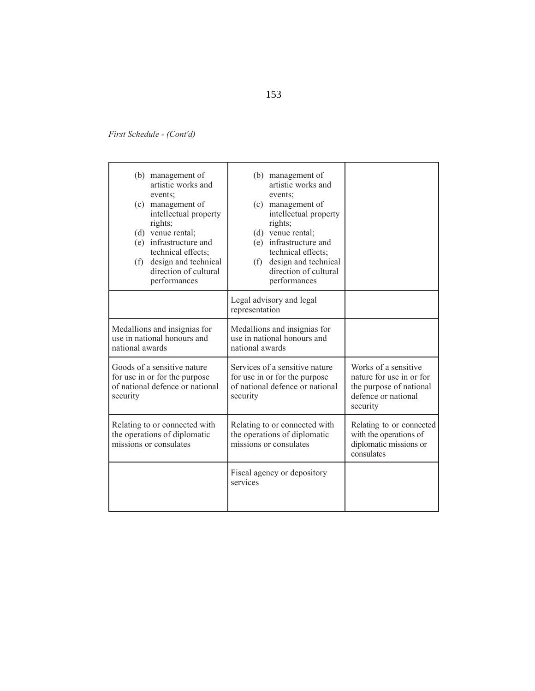| (b) management of<br>artistic works and<br>events:<br>(c) management of<br>intellectual property<br>rights;<br>(d) venue rental;<br>(e) infrastructure and<br>technical effects;<br>(f) design and technical<br>direction of cultural<br>performances | (b) management of<br>artistic works and<br>events:<br>(c) management of<br>intellectual property<br>rights;<br>(d) venue rental;<br>(e) infrastructure and<br>technical effects;<br>design and technical<br>(f)<br>direction of cultural<br>performances |                                                                                                                |
|-------------------------------------------------------------------------------------------------------------------------------------------------------------------------------------------------------------------------------------------------------|----------------------------------------------------------------------------------------------------------------------------------------------------------------------------------------------------------------------------------------------------------|----------------------------------------------------------------------------------------------------------------|
|                                                                                                                                                                                                                                                       | Legal advisory and legal<br>representation                                                                                                                                                                                                               |                                                                                                                |
| Medallions and insignias for<br>use in national honours and<br>national awards                                                                                                                                                                        | Medallions and insignias for<br>use in national honours and<br>national awards                                                                                                                                                                           |                                                                                                                |
| Goods of a sensitive nature<br>for use in or for the purpose<br>of national defence or national<br>security                                                                                                                                           | Services of a sensitive nature<br>for use in or for the purpose<br>of national defence or national<br>security                                                                                                                                           | Works of a sensitive<br>nature for use in or for<br>the purpose of national<br>defence or national<br>security |
| Relating to or connected with<br>the operations of diplomatic<br>missions or consulates                                                                                                                                                               | Relating to or connected with<br>the operations of diplomatic<br>missions or consulates                                                                                                                                                                  | Relating to or connected<br>with the operations of<br>diplomatic missions or<br>consulates                     |
|                                                                                                                                                                                                                                                       | Fiscal agency or depository<br>services                                                                                                                                                                                                                  |                                                                                                                |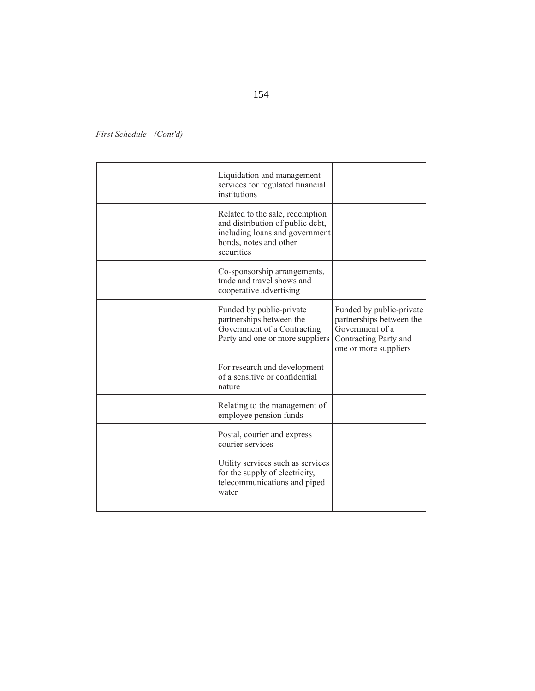| Liquidation and management<br>services for regulated financial<br>institutions                                                                |                                                                                                                           |
|-----------------------------------------------------------------------------------------------------------------------------------------------|---------------------------------------------------------------------------------------------------------------------------|
| Related to the sale, redemption<br>and distribution of public debt,<br>including loans and government<br>bonds, notes and other<br>securities |                                                                                                                           |
| Co-sponsorship arrangements,<br>trade and travel shows and<br>cooperative advertising                                                         |                                                                                                                           |
| Funded by public-private<br>partnerships between the<br>Government of a Contracting<br>Party and one or more suppliers                        | Funded by public-private<br>partnerships between the<br>Government of a<br>Contracting Party and<br>one or more suppliers |
| For research and development<br>of a sensitive or confidential<br>nature                                                                      |                                                                                                                           |
| Relating to the management of<br>employee pension funds                                                                                       |                                                                                                                           |
| Postal, courier and express<br>courier services                                                                                               |                                                                                                                           |
| Utility services such as services<br>for the supply of electricity,<br>telecommunications and piped<br>water                                  |                                                                                                                           |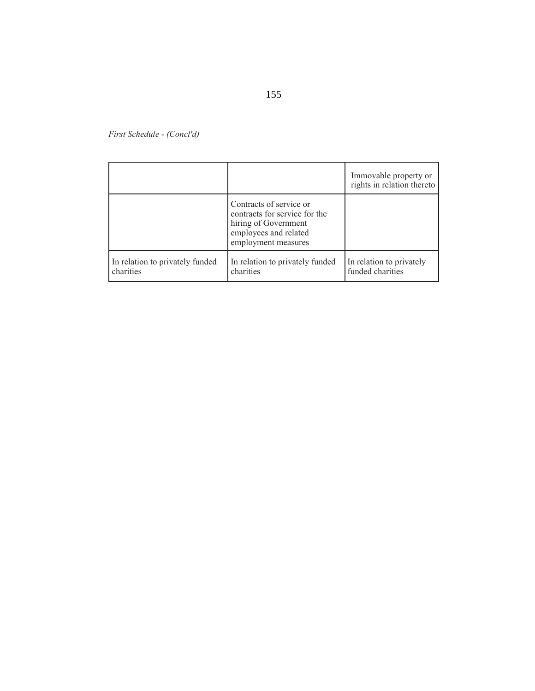|                                              |                                                                                                                                  | Immovable property or<br>rights in relation thereto |
|----------------------------------------------|----------------------------------------------------------------------------------------------------------------------------------|-----------------------------------------------------|
|                                              | Contracts of service or<br>contracts for service for the<br>hiring of Government<br>employees and related<br>employment measures |                                                     |
| In relation to privately funded<br>charities | In relation to privately funded<br>charities                                                                                     | In relation to privately<br>funded charities        |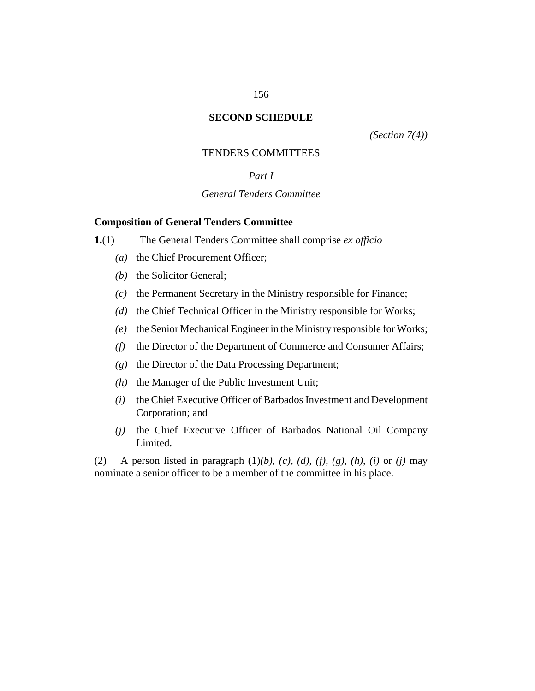### **SECOND SCHEDULE**

*[\(Section 7\(](#page-18-0)4))*

### TENDERS COMMITTEES

# *Part I*

# *General Tenders Committee*

### **Composition of General Tenders Committee**

- The General Tenders Committee shall comprise *ex officio* **1.**(1)
	- (a) the Chief Procurement Officer;
	- (b) the Solicitor General;
	- $(c)$  the Permanent Secretary in the Ministry responsible for Finance;
	- (d) the Chief Technical Officer in the Ministry responsible for Works;
	- (e) the Senior Mechanical Engineer in the Ministry responsible for Works;
	- the Director of the Department of Commerce and Consumer Affairs; *(f)*
	- (g) the Director of the Data Processing Department;
	- $(h)$  the Manager of the Public Investment Unit;
	- the Chief Executive Officer of Barbados Investment and Development Corporation; and *(i)*
	- (j) the Chief Executive Officer of Barbados National Oil Company Limited.

A person listed in paragraph  $(1)(b)$ ,  $(c)$ ,  $(d)$ ,  $(f)$ ,  $(g)$ ,  $(h)$ ,  $(i)$  or  $(j)$  may nominate a senior officer to be a member of the committee in his place. (2)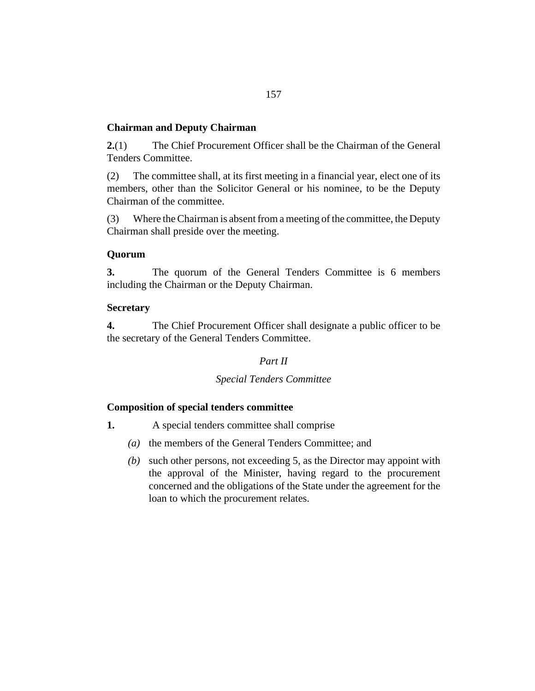# **Chairman and Deputy Chairman**

The Chief Procurement Officer shall be the Chairman of the General Tenders Committee. **2.**(1)

The committee shall, at its first meeting in a financial year, elect one of its members, other than the Solicitor General or his nominee, to be the Deputy Chairman of the committee. (2)

Where the Chairman is absent from a meeting of the committee, the Deputy Chairman shall preside over the meeting. (3)

## **Quorum**

The quorum of the General Tenders Committee is 6 members including the Chairman or the Deputy Chairman. **3.**

## **Secretary**

The Chief Procurement Officer shall designate a public officer to be the secretary of the General Tenders Committee. **4.**

# *Part II*

## *Special Tenders Committee*

## **Composition of special tenders committee**

- A special tenders committee shall comprise **1.**
	- (a) the members of the General Tenders Committee; and
	- (b) such other persons, not exceeding 5, as the Director may appoint with the approval of the Minister, having regard to the procurement concerned and the obligations of the State under the agreement for the loan to which the procurement relates.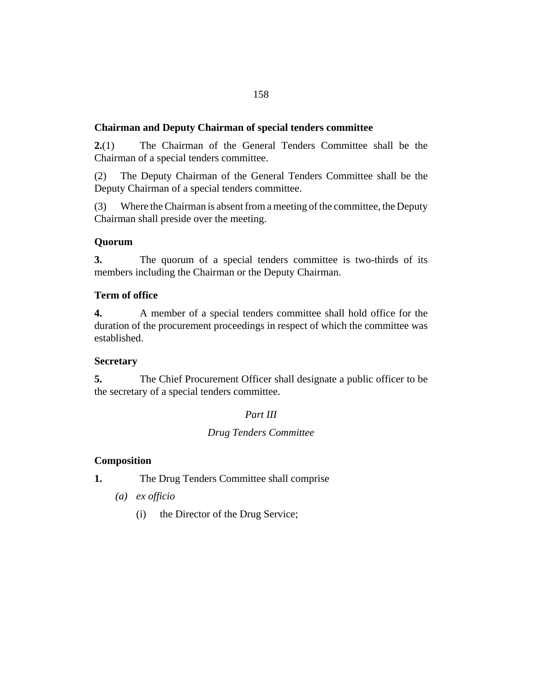# **Chairman and Deputy Chairman of special tenders committee**

The Chairman of the General Tenders Committee shall be the Chairman of a special tenders committee. **2.**(1)

The Deputy Chairman of the General Tenders Committee shall be the Deputy Chairman of a special tenders committee. (2)

Where the Chairman is absent from a meeting of the committee, the Deputy Chairman shall preside over the meeting. (3)

# **Quorum**

The quorum of a special tenders committee is two-thirds of its members including the Chairman or the Deputy Chairman. **3.**

## **Term of office**

A member of a special tenders committee shall hold office for the duration of the procurement proceedings in respect of which the committee was established. **4.**

## **Secretary**

The Chief Procurement Officer shall designate a public officer to be the secretary of a special tenders committee. **5.**

## *Part III*

# *Drug Tenders Committee*

# **Composition**

- The Drug Tenders Committee shall comprise **1.**
	- *ex officio (a)*
		- the Director of the Drug Service; (i)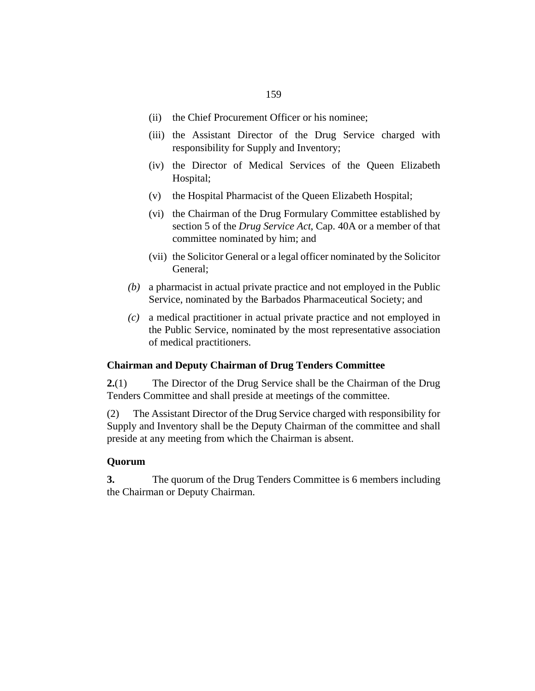- (ii) the Chief Procurement Officer or his nominee;
- (iii) the Assistant Director of the Drug Service charged with responsibility for Supply and Inventory;
- (iv) the Director of Medical Services of the Queen Elizabeth Hospital;
- (v) the Hospital Pharmacist of the Queen Elizabeth Hospital;
- (vi) the Chairman of the Drug Formulary Committee established by section 5 of the *[Drug Service Act](http://barbadosparliament-laws.com/en/showdoc/cs/40A)*, Cap. 40A or a member of that committee nominated by him; and
- (vii) the Solicitor General or a legal officer nominated by the Solicitor General;
- a pharmacist in actual private practice and not employed in the Public *(b)* Service, nominated by the Barbados Pharmaceutical Society; and
- a medical practitioner in actual private practice and not employed in *(c)* the Public Service, nominated by the most representative association of medical practitioners.

## **Chairman and Deputy Chairman of Drug Tenders Committee**

The Director of the Drug Service shall be the Chairman of the Drug Tenders Committee and shall preside at meetings of the committee. **2.**(1)

The Assistant Director of the Drug Service charged with responsibility for Supply and Inventory shall be the Deputy Chairman of the committee and shall preside at any meeting from which the Chairman is absent. (2)

## **Quorum**

The quorum of the Drug Tenders Committee is 6 members including the Chairman or Deputy Chairman. **3.**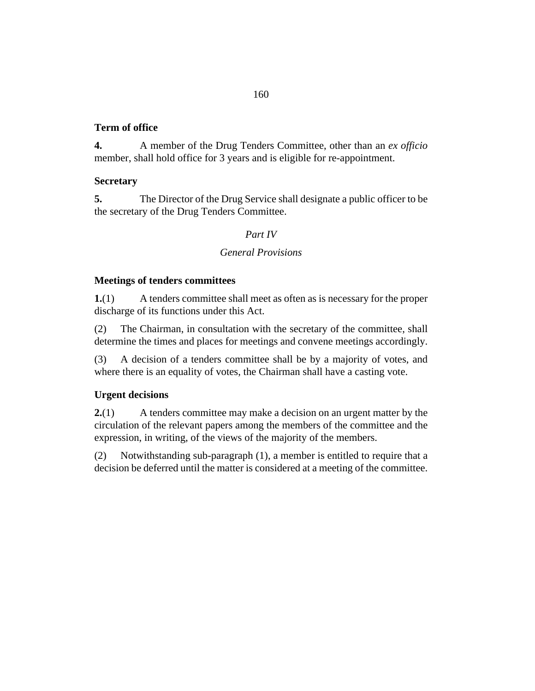## 160

# **Term of office**

A member of the Drug Tenders Committee, other than an *ex officio* member, shall hold office for 3 years and is eligible for re-appointment. **4.**

# **Secretary**

The Director of the Drug Service shall designate a public officer to be the secretary of the Drug Tenders Committee. **5.**

# *Part IV*

# *General Provisions*

# **Meetings of tenders committees**

A tenders committee shall meet as often as is necessary for the proper discharge of its functions under this Act. **1.**(1)

The Chairman, in consultation with the secretary of the committee, shall determine the times and places for meetings and convene meetings accordingly. (2)

A decision of a tenders committee shall be by a majority of votes, and where there is an equality of votes, the Chairman shall have a casting vote. (3)

# **Urgent decisions**

A tenders committee may make a decision on an urgent matter by the circulation of the relevant papers among the members of the committee and the expression, in writing, of the views of the majority of the members. **2.**(1)

Notwithstanding sub-paragraph (1), a member is entitled to require that a decision be deferred until the matter is considered at a meeting of the committee. (2)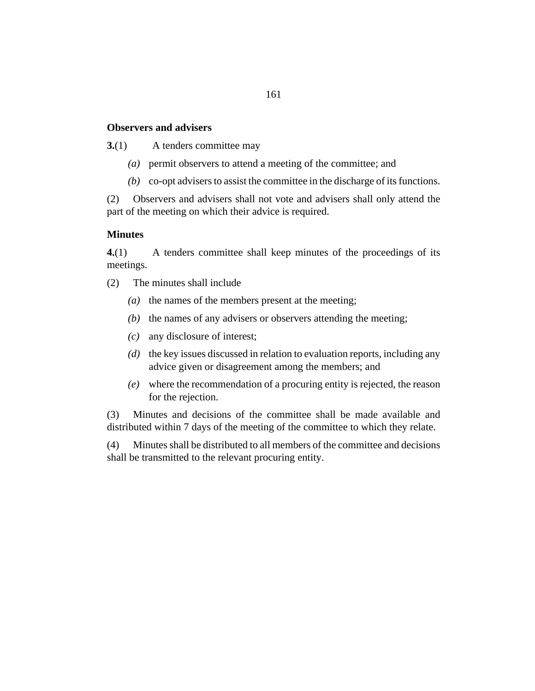## **Observers and advisers**

A tenders committee may **3.**(1)

- permit observers to attend a meeting of the committee; and *(a)*
- co-opt advisers to assist the committee in the discharge of its functions. *(b)*

Observers and advisers shall not vote and advisers shall only attend the part of the meeting on which their advice is required. (2)

## **Minutes**

A tenders committee shall keep minutes of the proceedings of its meetings. **4.**(1)

- The minutes shall include (2)
	- ( $a$ ) the names of the members present at the meeting;
	- $(b)$  the names of any advisers or observers attending the meeting;
	- any disclosure of interest; *(c)*
	- (d) the key issues discussed in relation to evaluation reports, including any advice given or disagreement among the members; and
	- where the recommendation of a procuring entity is rejected, the reason *(e)* for the rejection.

Minutes and decisions of the committee shall be made available and distributed within 7 days of the meeting of the committee to which they relate. (3)

Minutes shall be distributed to all members of the committee and decisions shall be transmitted to the relevant procuring entity. (4)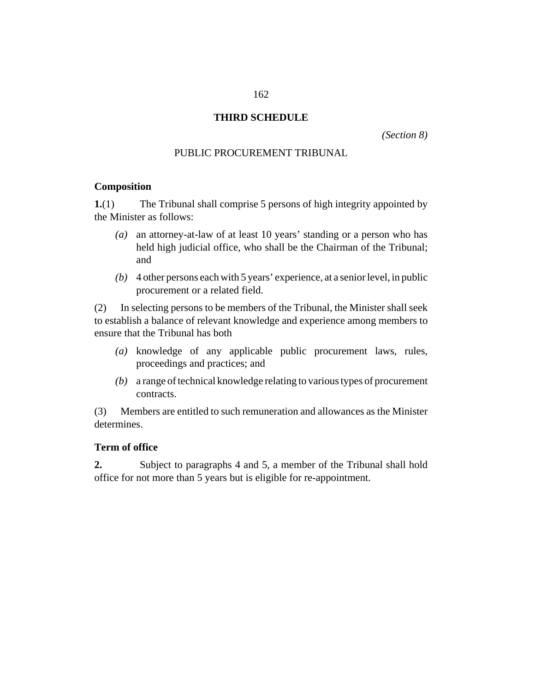# **THIRD SCHEDULE**

*[\(Section 8\)](#page-19-0)*

## PUBLIC PROCUREMENT TRIBUNAL

### **Composition**

The Tribunal shall comprise 5 persons of high integrity appointed by the Minister as follows: **1.**(1)

- an attorney-at-law of at least 10 years' standing or a person who has *(a)* held high judicial office, who shall be the Chairman of the Tribunal; and
- 4 other persons each with 5 years' experience, at a senior level, in public *(b)* procurement or a related field.

In selecting persons to be members of the Tribunal, the Minister shall seek to establish a balance of relevant knowledge and experience among members to ensure that the Tribunal has both (2)

- knowledge of any applicable public procurement laws, rules, *(a)* proceedings and practices; and
- a range of technical knowledge relating to various types of procurement *(b)* contracts.

Members are entitled to such remuneration and allowances as the Minister determines. (3)

## **Term of office**

Subject to paragraphs 4 and 5, a member of the Tribunal shall hold office for not more than 5 years but is eligible for re-appointment. **2.**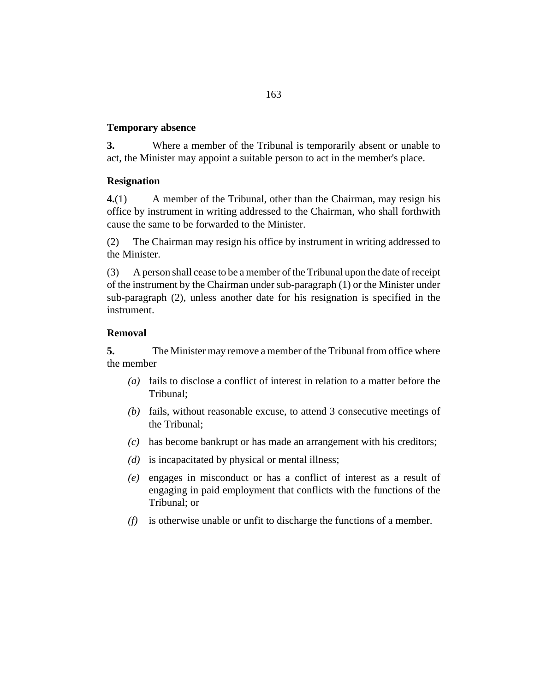## **Temporary absence**

Where a member of the Tribunal is temporarily absent or unable to act, the Minister may appoint a suitable person to act in the member's place. **3.**

## **Resignation**

A member of the Tribunal, other than the Chairman, may resign his office by instrument in writing addressed to the Chairman, who shall forthwith cause the same to be forwarded to the Minister. **4.**(1)

The Chairman may resign his office by instrument in writing addressed to the Minister. (2)

A person shall cease to be a member of the Tribunal upon the date of receipt of the instrument by the Chairman under sub-paragraph (1) or the Minister under sub-paragraph (2), unless another date for his resignation is specified in the instrument. (3)

## **Removal**

The Minister may remove a member of the Tribunal from office where the member **5.**

- fails to disclose a conflict of interest in relation to a matter before the *(a)* Tribunal;
- (b) fails, without reasonable excuse, to attend 3 consecutive meetings of the Tribunal;
- has become bankrupt or has made an arrangement with his creditors; *(c)*
- (d) is incapacitated by physical or mental illness;
- engages in misconduct or has a conflict of interest as a result of *(e)* engaging in paid employment that conflicts with the functions of the Tribunal; or
- $(f)$  is otherwise unable or unfit to discharge the functions of a member.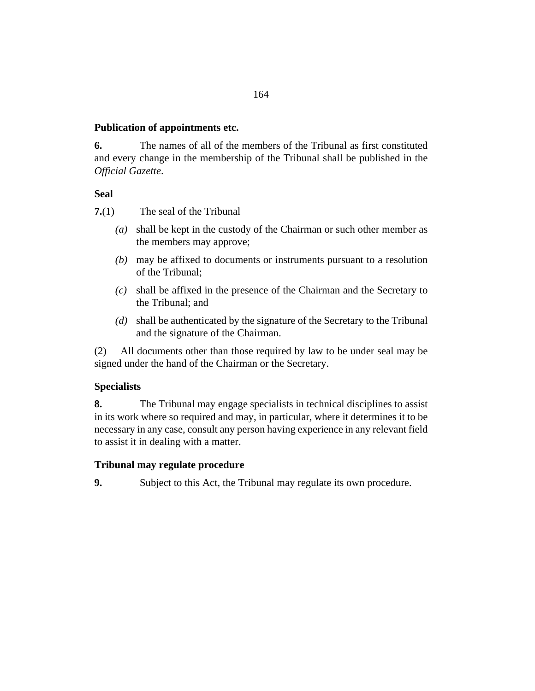# **Publication of appointments etc.**

The names of all of the members of the Tribunal as first constituted and every change in the membership of the Tribunal shall be published in the *Official Gazette*. **6.**

# **Seal**

- The seal of the Tribunal **7.**(1)
	- shall be kept in the custody of the Chairman or such other member as *(a)* the members may approve;
	- may be affixed to documents or instruments pursuant to a resolution *(b)* of the Tribunal;
	- shall be affixed in the presence of the Chairman and the Secretary to *(c)* the Tribunal; and
	- shall be authenticated by the signature of the Secretary to the Tribunal *(d)* and the signature of the Chairman.

All documents other than those required by law to be under seal may be signed under the hand of the Chairman or the Secretary. (2)

# **Specialists**

The Tribunal may engage specialists in technical disciplines to assist in its work where so required and may, in particular, where it determines it to be necessary in any case, consult any person having experience in any relevant field to assist it in dealing with a matter. **8.**

# **Tribunal may regulate procedure**

Subject to this Act, the Tribunal may regulate its own procedure. **9.**